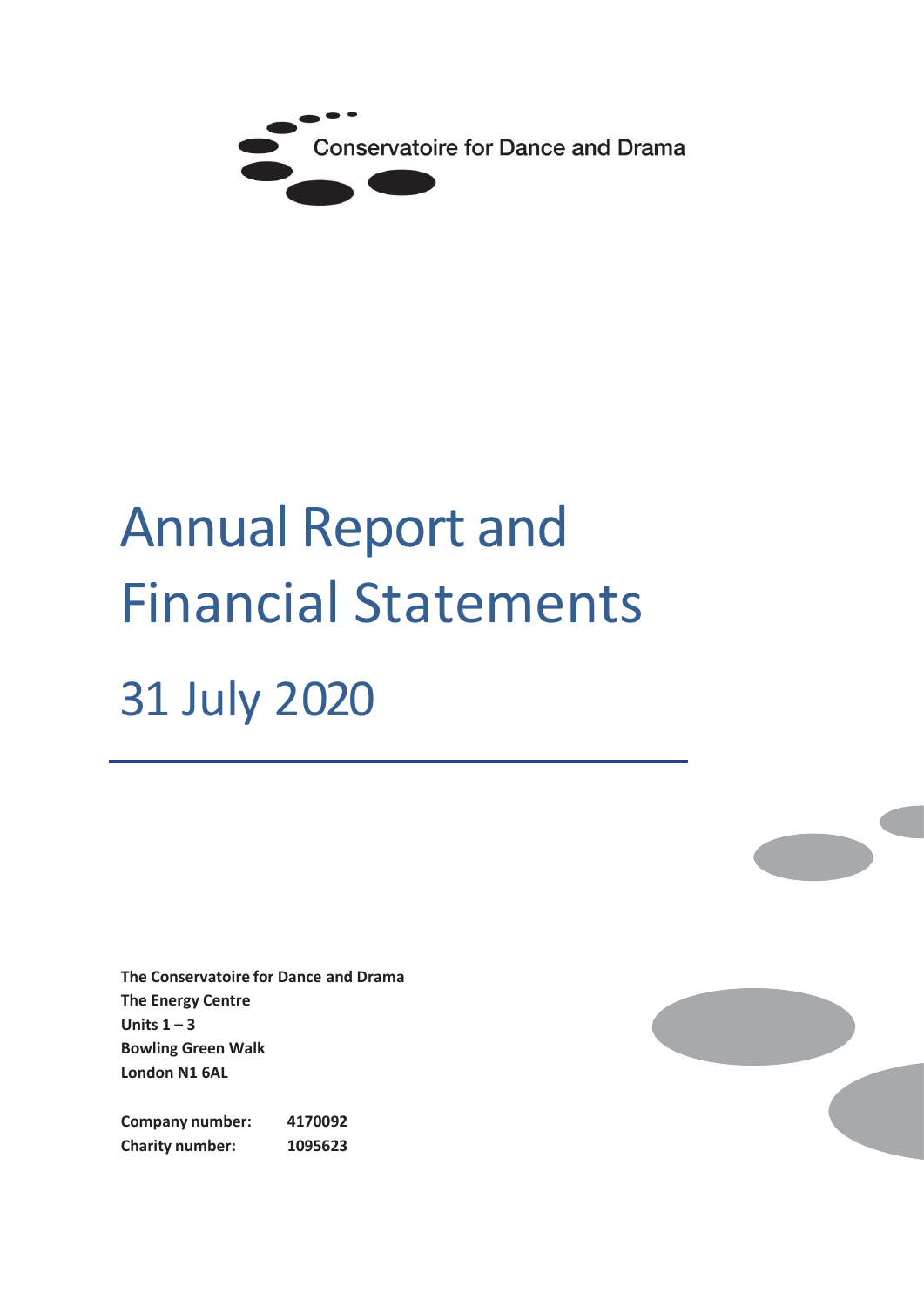

# Annual Report and Financial Statements 31 July 2020

**The Conservatoire for Dance and Drama The Energy Centre Units 1 – 3 Bowling Green Walk London N1 6AL**

**Company number: 4170092 Charity number: 1095623**

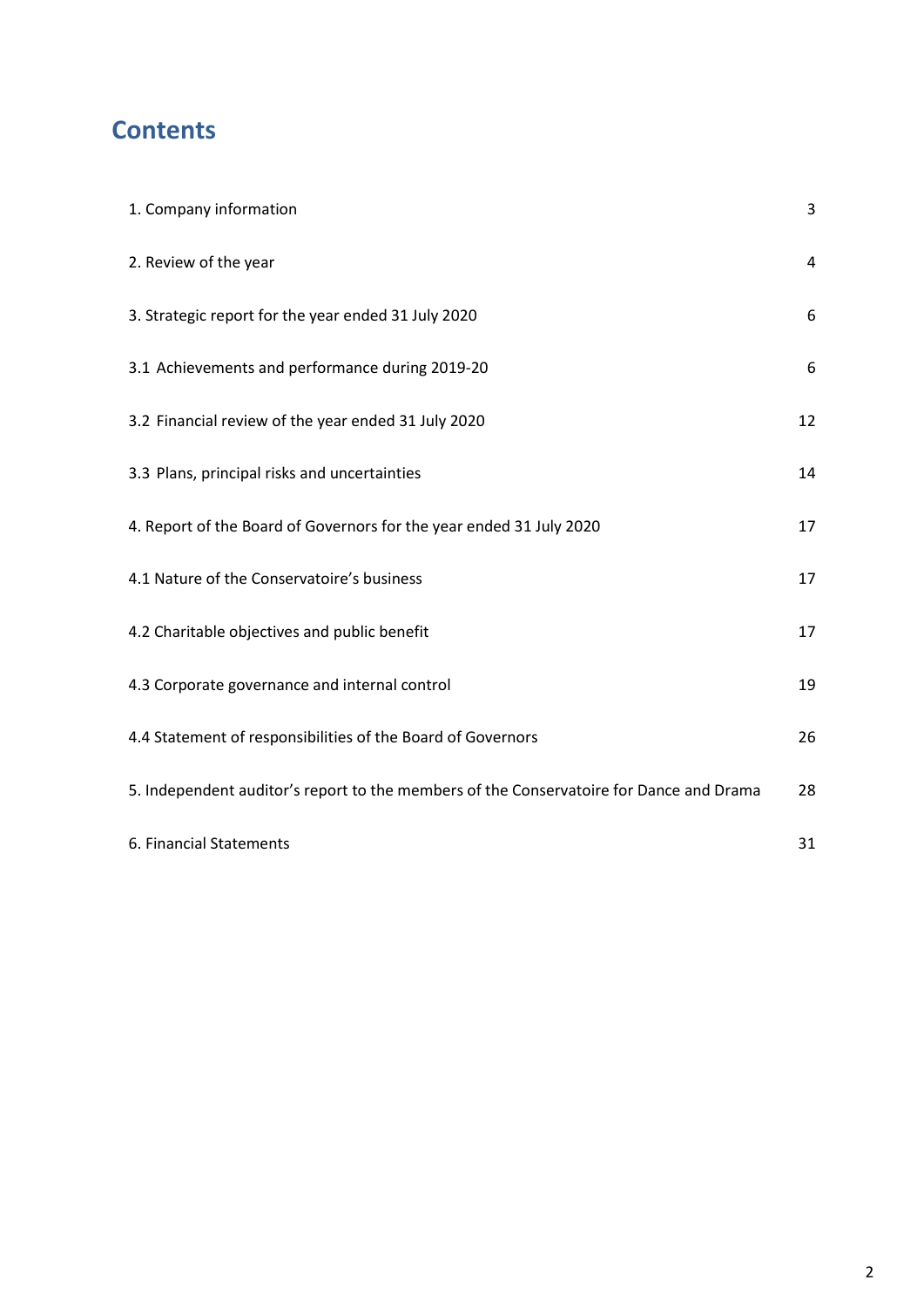# **Contents**

| 1. Company information                                                                  | 3  |
|-----------------------------------------------------------------------------------------|----|
| 2. Review of the year                                                                   | 4  |
| 3. Strategic report for the year ended 31 July 2020                                     | 6  |
| 3.1 Achievements and performance during 2019-20                                         | 6  |
| 3.2 Financial review of the year ended 31 July 2020                                     | 12 |
| 3.3 Plans, principal risks and uncertainties                                            | 14 |
| 4. Report of the Board of Governors for the year ended 31 July 2020                     | 17 |
| 4.1 Nature of the Conservatoire's business                                              | 17 |
| 4.2 Charitable objectives and public benefit                                            | 17 |
| 4.3 Corporate governance and internal control                                           | 19 |
| 4.4 Statement of responsibilities of the Board of Governors                             | 26 |
| 5. Independent auditor's report to the members of the Conservatoire for Dance and Drama | 28 |
| 6. Financial Statements                                                                 | 31 |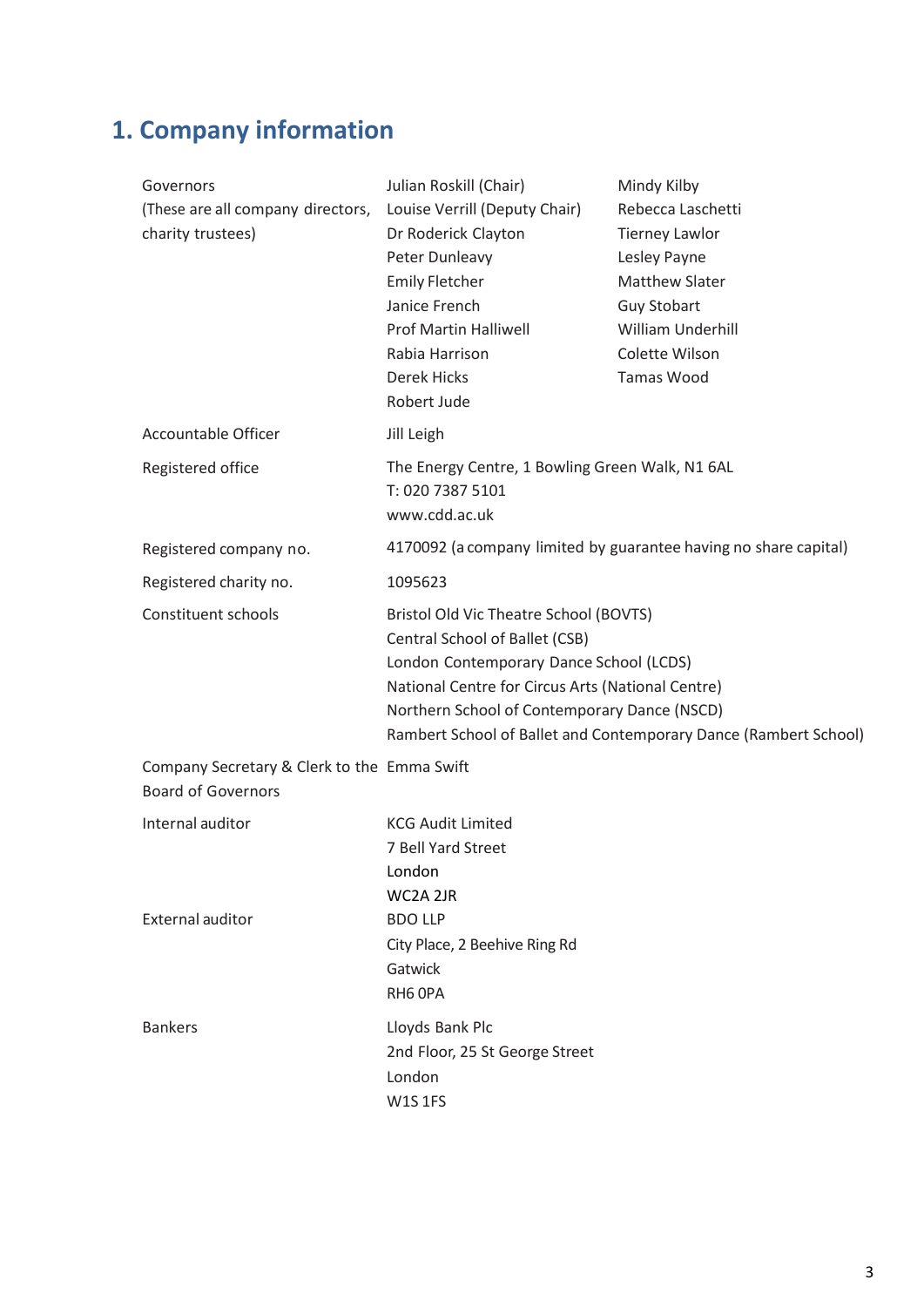# **1. Company information**

| Governors<br>(These are all company directors,<br>charity trustees)      | Julian Roskill (Chair)<br>Louise Verrill (Deputy Chair)<br>Dr Roderick Clayton<br>Peter Dunleavy<br><b>Emily Fletcher</b><br>Janice French<br><b>Prof Martin Halliwell</b><br>Rabia Harrison<br><b>Derek Hicks</b><br>Robert Jude                                                            | Mindy Kilby<br>Rebecca Laschetti<br><b>Tierney Lawlor</b><br>Lesley Payne<br><b>Matthew Slater</b><br><b>Guy Stobart</b><br>William Underhill<br>Colette Wilson<br><b>Tamas Wood</b> |
|--------------------------------------------------------------------------|----------------------------------------------------------------------------------------------------------------------------------------------------------------------------------------------------------------------------------------------------------------------------------------------|--------------------------------------------------------------------------------------------------------------------------------------------------------------------------------------|
| Accountable Officer                                                      | Jill Leigh                                                                                                                                                                                                                                                                                   |                                                                                                                                                                                      |
| Registered office                                                        | The Energy Centre, 1 Bowling Green Walk, N1 6AL<br>T: 020 7387 5101<br>www.cdd.ac.uk                                                                                                                                                                                                         |                                                                                                                                                                                      |
| Registered company no.                                                   |                                                                                                                                                                                                                                                                                              | 4170092 (a company limited by guarantee having no share capital)                                                                                                                     |
| Registered charity no.                                                   | 1095623                                                                                                                                                                                                                                                                                      |                                                                                                                                                                                      |
| Constituent schools                                                      | Bristol Old Vic Theatre School (BOVTS)<br>Central School of Ballet (CSB)<br>London Contemporary Dance School (LCDS)<br>National Centre for Circus Arts (National Centre)<br>Northern School of Contemporary Dance (NSCD)<br>Rambert School of Ballet and Contemporary Dance (Rambert School) |                                                                                                                                                                                      |
| Company Secretary & Clerk to the Emma Swift<br><b>Board of Governors</b> |                                                                                                                                                                                                                                                                                              |                                                                                                                                                                                      |
| Internal auditor<br>External auditor                                     | <b>KCG Audit Limited</b><br>7 Bell Yard Street<br>London<br>WC2A 2JR<br><b>BDO LLP</b>                                                                                                                                                                                                       |                                                                                                                                                                                      |
|                                                                          | City Place, 2 Beehive Ring Rd<br>Gatwick<br>RH6 OPA                                                                                                                                                                                                                                          |                                                                                                                                                                                      |
| <b>Bankers</b>                                                           | Lloyds Bank Plc<br>2nd Floor, 25 St George Street<br>London<br><b>W1S1FS</b>                                                                                                                                                                                                                 |                                                                                                                                                                                      |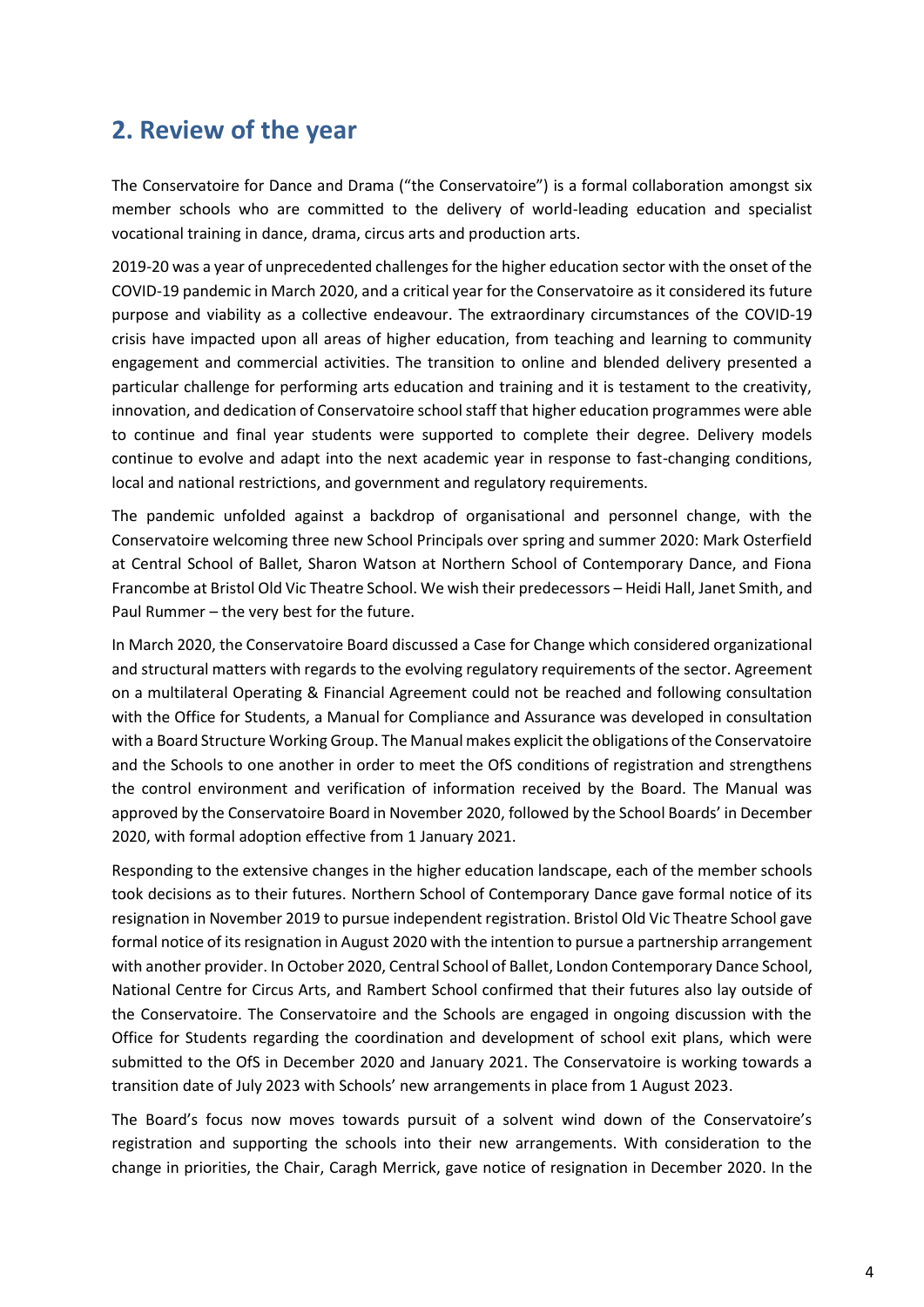# **2. Review of the year**

The Conservatoire for Dance and Drama ("the Conservatoire") is a formal collaboration amongst six member schools who are committed to the delivery of world-leading education and specialist vocational training in dance, drama, circus arts and production arts.

2019-20 was a year of unprecedented challenges for the higher education sector with the onset of the COVID-19 pandemic in March 2020, and a critical year for the Conservatoire as it considered its future purpose and viability as a collective endeavour. The extraordinary circumstances of the COVID-19 crisis have impacted upon all areas of higher education, from teaching and learning to community engagement and commercial activities. The transition to online and blended delivery presented a particular challenge for performing arts education and training and it is testament to the creativity, innovation, and dedication of Conservatoire school staff that higher education programmes were able to continue and final year students were supported to complete their degree. Delivery models continue to evolve and adapt into the next academic year in response to fast-changing conditions, local and national restrictions, and government and regulatory requirements.

The pandemic unfolded against a backdrop of organisational and personnel change, with the Conservatoire welcoming three new School Principals over spring and summer 2020: Mark Osterfield at Central School of Ballet, Sharon Watson at Northern School of Contemporary Dance, and Fiona Francombe at Bristol Old Vic Theatre School. We wish their predecessors – Heidi Hall, Janet Smith, and Paul Rummer – the very best for the future.

In March 2020, the Conservatoire Board discussed a Case for Change which considered organizational and structural matters with regards to the evolving regulatory requirements of the sector. Agreement on a multilateral Operating & Financial Agreement could not be reached and following consultation with the Office for Students, a Manual for Compliance and Assurance was developed in consultation with a Board Structure Working Group. The Manual makes explicit the obligations of the Conservatoire and the Schools to one another in order to meet the OfS conditions of registration and strengthens the control environment and verification of information received by the Board. The Manual was approved by the Conservatoire Board in November 2020, followed by the School Boards' in December 2020, with formal adoption effective from 1 January 2021.

Responding to the extensive changes in the higher education landscape, each of the member schools took decisions as to their futures. Northern School of Contemporary Dance gave formal notice of its resignation in November 2019 to pursue independent registration. Bristol Old Vic Theatre School gave formal notice of its resignation in August 2020 with the intention to pursue a partnership arrangement with another provider. In October 2020, Central School of Ballet, London Contemporary Dance School, National Centre for Circus Arts, and Rambert School confirmed that their futures also lay outside of the Conservatoire. The Conservatoire and the Schools are engaged in ongoing discussion with the Office for Students regarding the coordination and development of school exit plans, which were submitted to the OfS in December 2020 and January 2021. The Conservatoire is working towards a transition date of July 2023 with Schools' new arrangements in place from 1 August 2023.

The Board's focus now moves towards pursuit of a solvent wind down of the Conservatoire's registration and supporting the schools into their new arrangements. With consideration to the change in priorities, the Chair, Caragh Merrick, gave notice of resignation in December 2020. In the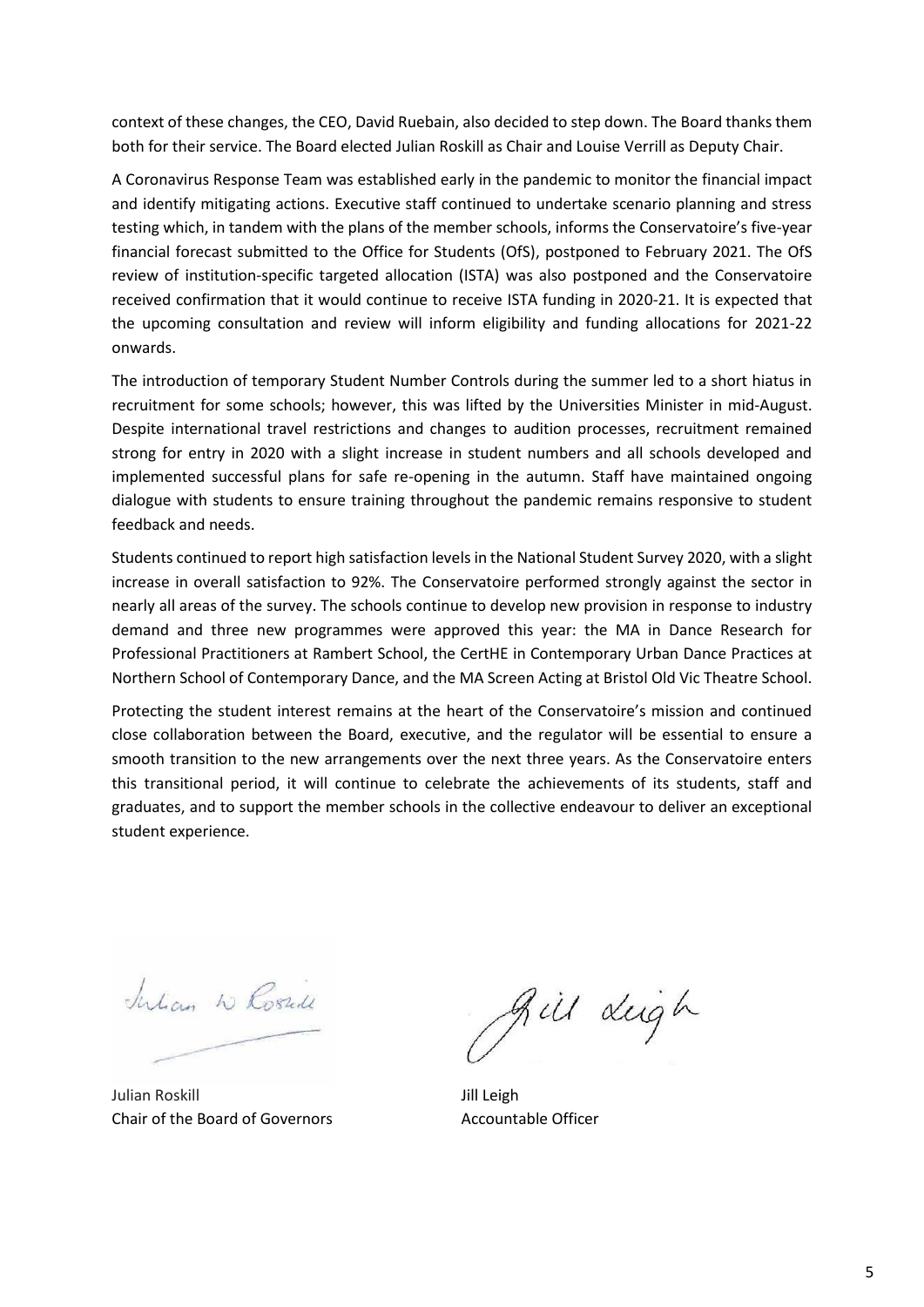context of these changes, the CEO, David Ruebain, also decided to step down. The Board thanks them both for their service. The Board elected Julian Roskill as Chair and Louise Verrill as Deputy Chair.

A Coronavirus Response Team was established early in the pandemic to monitor the financial impact and identify mitigating actions. Executive staff continued to undertake scenario planning and stress testing which, in tandem with the plans of the member schools, informs the Conservatoire's five-year financial forecast submitted to the Office for Students (OfS), postponed to February 2021. The OfS review of institution-specific targeted allocation (ISTA) was also postponed and the Conservatoire received confirmation that it would continue to receive ISTA funding in 2020-21. It is expected that the upcoming consultation and review will inform eligibility and funding allocations for 2021-22 onwards.

The introduction of temporary Student Number Controls during the summer led to a short hiatus in recruitment for some schools; however, this was lifted by the Universities Minister in mid-August. Despite international travel restrictions and changes to audition processes, recruitment remained strong for entry in 2020 with a slight increase in student numbers and all schools developed and implemented successful plans for safe re-opening in the autumn. Staff have maintained ongoing dialogue with students to ensure training throughout the pandemic remains responsive to student feedback and needs.

Students continued to report high satisfaction levels in the National Student Survey 2020, with a slight increase in overall satisfaction to 92%. The Conservatoire performed strongly against the sector in nearly all areas of the survey. The schools continue to develop new provision in response to industry demand and three new programmes were approved this year: the MA in Dance Research for Professional Practitioners at Rambert School, the CertHE in Contemporary Urban Dance Practices at Northern School of Contemporary Dance, and the MA Screen Acting at Bristol Old Vic Theatre School.

Protecting the student interest remains at the heart of the Conservatoire's mission and continued close collaboration between the Board, executive, and the regulator will be essential to ensure a smooth transition to the new arrangements over the next three years. As the Conservatoire enters this transitional period, it will continue to celebrate the achievements of its students, staff and graduates, and to support the member schools in the collective endeavour to deliver an exceptional student experience.

Intian W Rossill

Julian Roskill Chair of the Board of Governors

gill dugh

Jill Leigh Accountable Officer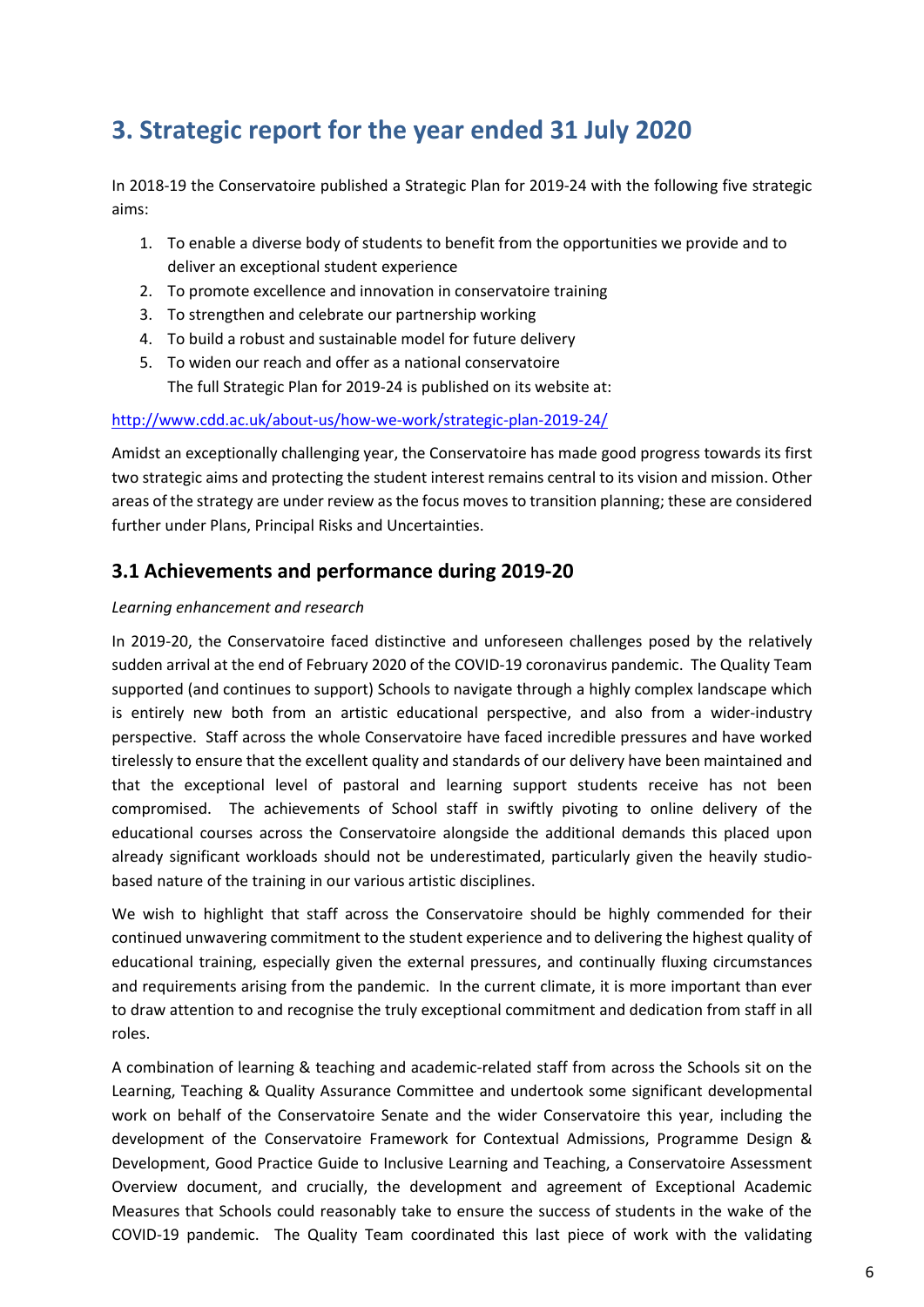# **3. Strategic report for the year ended 31 July 2020**

In 2018-19 the Conservatoire published a Strategic Plan for 2019-24 with the following five strategic aims:

- 1. To enable a diverse body of students to benefit from the opportunities we provide and to deliver an exceptional student experience
- 2. To promote excellence and innovation in conservatoire training
- 3. To strengthen and celebrate our partnership working
- 4. To build a robust and sustainable model for future delivery
- 5. To widen our reach and offer as a national conservatoire The full Strategic Plan for 2019-24 is published on its website at:

#### <http://www.cdd.ac.uk/about-us/how-we-work/strategic-plan-2019-24/>

Amidst an exceptionally challenging year, the Conservatoire has made good progress towards its first two strategic aims and protecting the student interest remains central to its vision and mission. Other areas of the strategy are under review as the focus moves to transition planning; these are considered further under Plans, Principal Risks and Uncertainties.

# **3.1 Achievements and performance during 2019-20**

#### *Learning enhancement and research*

In 2019-20, the Conservatoire faced distinctive and unforeseen challenges posed by the relatively sudden arrival at the end of February 2020 of the COVID-19 coronavirus pandemic. The Quality Team supported (and continues to support) Schools to navigate through a highly complex landscape which is entirely new both from an artistic educational perspective, and also from a wider-industry perspective. Staff across the whole Conservatoire have faced incredible pressures and have worked tirelessly to ensure that the excellent quality and standards of our delivery have been maintained and that the exceptional level of pastoral and learning support students receive has not been compromised. The achievements of School staff in swiftly pivoting to online delivery of the educational courses across the Conservatoire alongside the additional demands this placed upon already significant workloads should not be underestimated, particularly given the heavily studiobased nature of the training in our various artistic disciplines.

We wish to highlight that staff across the Conservatoire should be highly commended for their continued unwavering commitment to the student experience and to delivering the highest quality of educational training, especially given the external pressures, and continually fluxing circumstances and requirements arising from the pandemic. In the current climate, it is more important than ever to draw attention to and recognise the truly exceptional commitment and dedication from staff in all roles.

A combination of learning & teaching and academic-related staff from across the Schools sit on the Learning, Teaching & Quality Assurance Committee and undertook some significant developmental work on behalf of the Conservatoire Senate and the wider Conservatoire this year, including the development of the Conservatoire Framework for Contextual Admissions, Programme Design & Development, Good Practice Guide to Inclusive Learning and Teaching, a Conservatoire Assessment Overview document, and crucially, the development and agreement of Exceptional Academic Measures that Schools could reasonably take to ensure the success of students in the wake of the COVID-19 pandemic. The Quality Team coordinated this last piece of work with the validating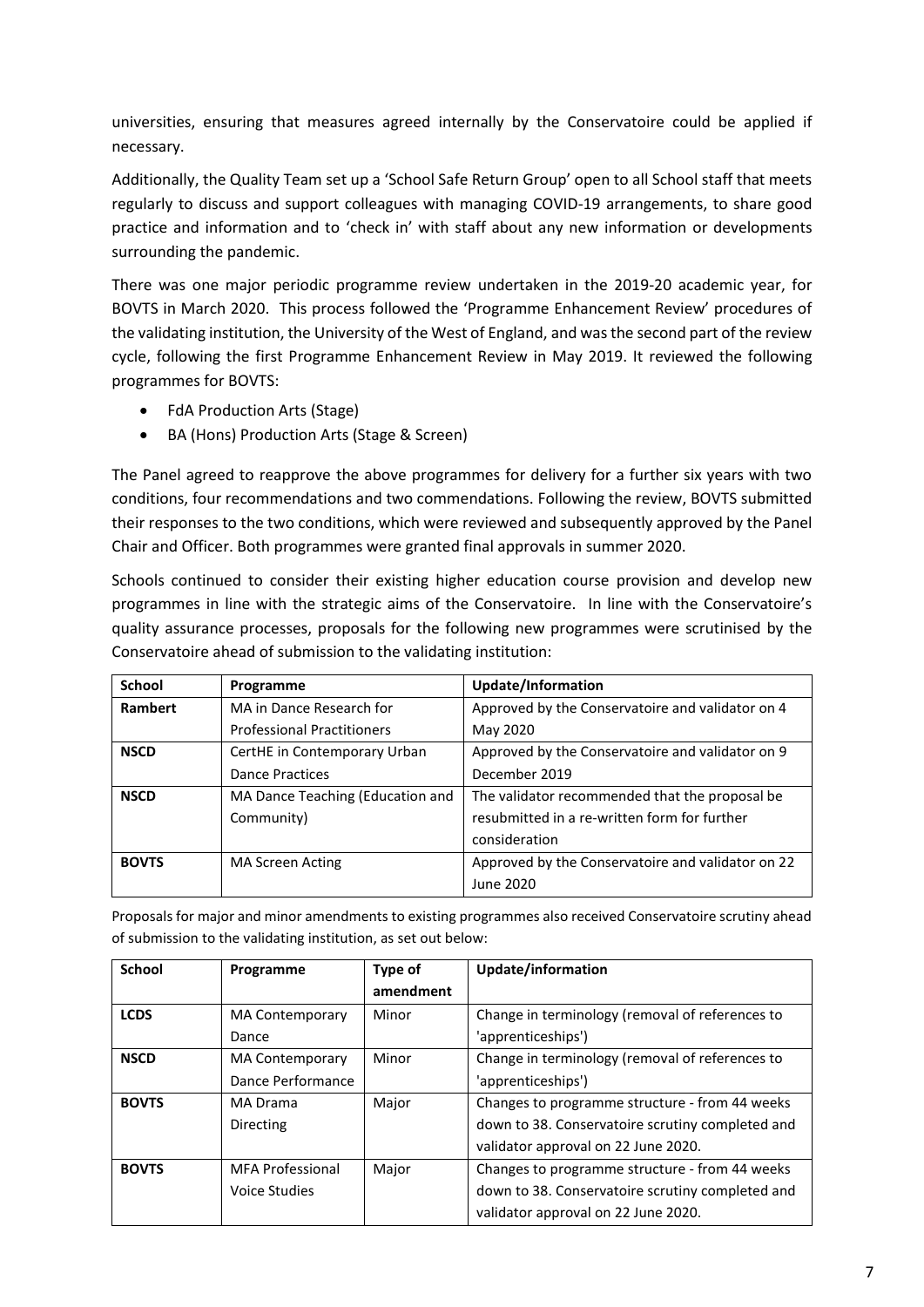universities, ensuring that measures agreed internally by the Conservatoire could be applied if necessary.

Additionally, the Quality Team set up a 'School Safe Return Group' open to all School staff that meets regularly to discuss and support colleagues with managing COVID-19 arrangements, to share good practice and information and to 'check in' with staff about any new information or developments surrounding the pandemic.

There was one major periodic programme review undertaken in the 2019-20 academic year, for BOVTS in March 2020. This process followed the 'Programme Enhancement Review' procedures of the validating institution, the University of the West of England, and was the second part of the review cycle, following the first Programme Enhancement Review in May 2019. It reviewed the following programmes for BOVTS:

- FdA Production Arts (Stage)
- BA (Hons) Production Arts (Stage & Screen)

The Panel agreed to reapprove the above programmes for delivery for a further six years with two conditions, four recommendations and two commendations. Following the review, BOVTS submitted their responses to the two conditions, which were reviewed and subsequently approved by the Panel Chair and Officer. Both programmes were granted final approvals in summer 2020.

Schools continued to consider their existing higher education course provision and develop new programmes in line with the strategic aims of the Conservatoire. In line with the Conservatoire's quality assurance processes, proposals for the following new programmes were scrutinised by the Conservatoire ahead of submission to the validating institution:

| School       | Programme                         | Update/Information                                |
|--------------|-----------------------------------|---------------------------------------------------|
| Rambert      | MA in Dance Research for          | Approved by the Conservatoire and validator on 4  |
|              | <b>Professional Practitioners</b> | May 2020                                          |
| <b>NSCD</b>  | CertHE in Contemporary Urban      | Approved by the Conservatoire and validator on 9  |
|              | <b>Dance Practices</b>            | December 2019                                     |
| <b>NSCD</b>  | MA Dance Teaching (Education and  | The validator recommended that the proposal be    |
|              | Community)                        | resubmitted in a re-written form for further      |
|              |                                   | consideration                                     |
| <b>BOVTS</b> | MA Screen Acting                  | Approved by the Conservatoire and validator on 22 |
|              |                                   | June 2020                                         |

Proposals for major and minor amendments to existing programmes also received Conservatoire scrutiny ahead of submission to the validating institution, as set out below:

| School       | Programme              | Type of   | Update/information                               |
|--------------|------------------------|-----------|--------------------------------------------------|
|              |                        | amendment |                                                  |
| <b>LCDS</b>  | <b>MA Contemporary</b> | Minor     | Change in terminology (removal of references to  |
|              | Dance                  |           | 'apprenticeships')                               |
| <b>NSCD</b>  | <b>MA Contemporary</b> | Minor     | Change in terminology (removal of references to  |
|              | Dance Performance      |           | 'apprenticeships')                               |
| <b>BOVTS</b> | MA Drama               | Major     | Changes to programme structure - from 44 weeks   |
|              | Directing              |           | down to 38. Conservatoire scrutiny completed and |
|              |                        |           | validator approval on 22 June 2020.              |
| <b>BOVTS</b> | MFA Professional       | Major     | Changes to programme structure - from 44 weeks   |
|              | Voice Studies          |           | down to 38. Conservatoire scrutiny completed and |
|              |                        |           | validator approval on 22 June 2020.              |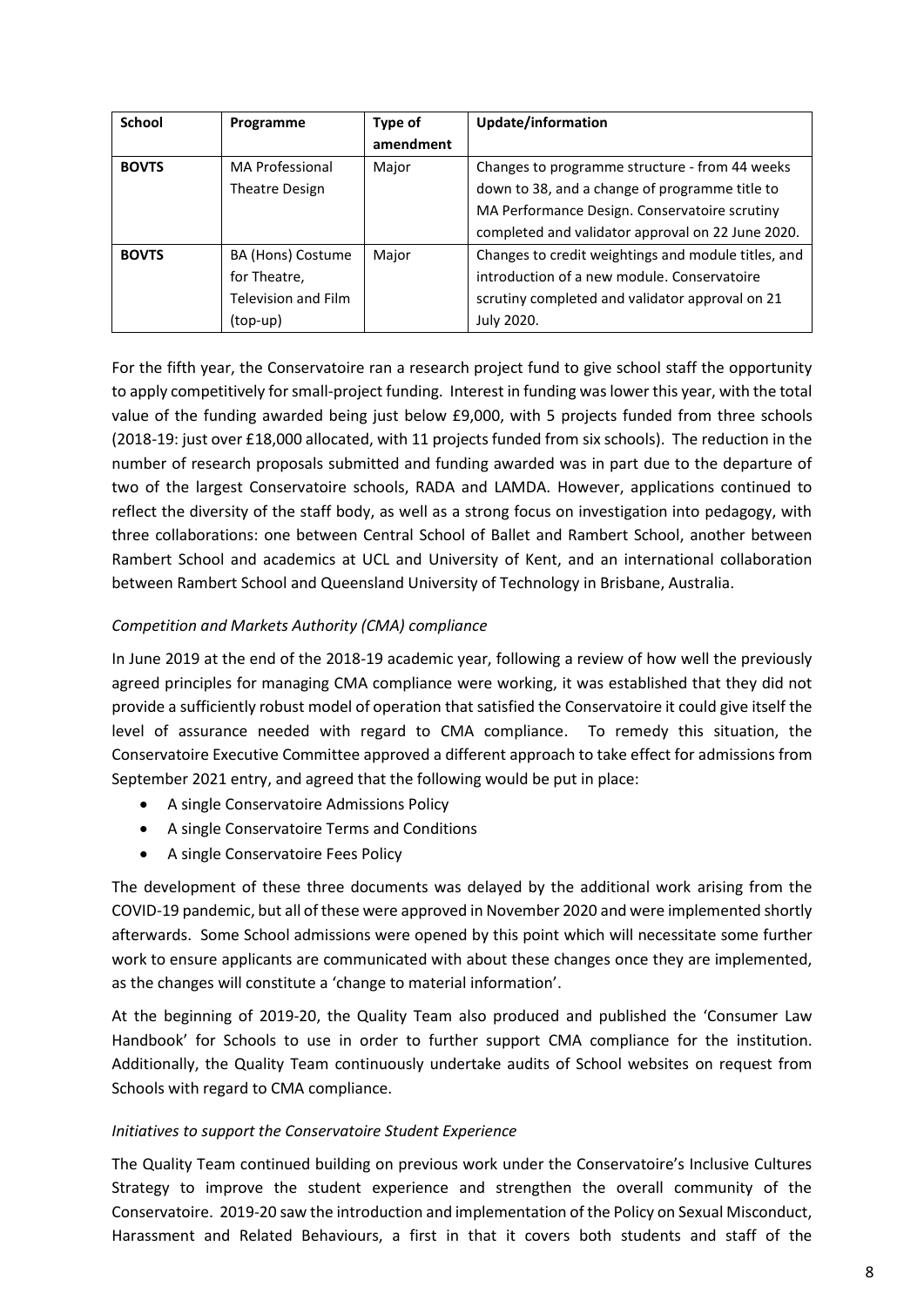| School       | Programme                  | Type of   | Update/information                                  |
|--------------|----------------------------|-----------|-----------------------------------------------------|
|              |                            | amendment |                                                     |
| <b>BOVTS</b> | MA Professional            | Major     | Changes to programme structure - from 44 weeks      |
|              | <b>Theatre Design</b>      |           | down to 38, and a change of programme title to      |
|              |                            |           | MA Performance Design. Conservatoire scrutiny       |
|              |                            |           | completed and validator approval on 22 June 2020.   |
| <b>BOVTS</b> | BA (Hons) Costume          | Major     | Changes to credit weightings and module titles, and |
|              | for Theatre,               |           | introduction of a new module. Conservatoire         |
|              | <b>Television and Film</b> |           | scrutiny completed and validator approval on 21     |
|              | (top-up)                   |           | July 2020.                                          |

For the fifth year, the Conservatoire ran a research project fund to give school staff the opportunity to apply competitively for small-project funding. Interest in funding was lower this year, with the total value of the funding awarded being just below £9,000, with 5 projects funded from three schools (2018-19: just over £18,000 allocated, with 11 projects funded from six schools). The reduction in the number of research proposals submitted and funding awarded was in part due to the departure of two of the largest Conservatoire schools, RADA and LAMDA. However, applications continued to reflect the diversity of the staff body, as well as a strong focus on investigation into pedagogy, with three collaborations: one between Central School of Ballet and Rambert School, another between Rambert School and academics at UCL and University of Kent, and an international collaboration between Rambert School and Queensland University of Technology in Brisbane, Australia.

# *Competition and Markets Authority (CMA) compliance*

In June 2019 at the end of the 2018-19 academic year, following a review of how well the previously agreed principles for managing CMA compliance were working, it was established that they did not provide a sufficiently robust model of operation that satisfied the Conservatoire it could give itself the level of assurance needed with regard to CMA compliance. To remedy this situation, the Conservatoire Executive Committee approved a different approach to take effect for admissions from September 2021 entry, and agreed that the following would be put in place:

- A single Conservatoire Admissions Policy
- A single Conservatoire Terms and Conditions
- A single Conservatoire Fees Policy

The development of these three documents was delayed by the additional work arising from the COVID-19 pandemic, but all of these were approved in November 2020 and were implemented shortly afterwards. Some School admissions were opened by this point which will necessitate some further work to ensure applicants are communicated with about these changes once they are implemented, as the changes will constitute a 'change to material information'.

At the beginning of 2019-20, the Quality Team also produced and published the 'Consumer Law Handbook' for Schools to use in order to further support CMA compliance for the institution. Additionally, the Quality Team continuously undertake audits of School websites on request from Schools with regard to CMA compliance.

# *Initiatives to support the Conservatoire Student Experience*

The Quality Team continued building on previous work under the Conservatoire's Inclusive Cultures Strategy to improve the student experience and strengthen the overall community of the Conservatoire. 2019-20 saw the introduction and implementation of the Policy on Sexual Misconduct, Harassment and Related Behaviours, a first in that it covers both students and staff of the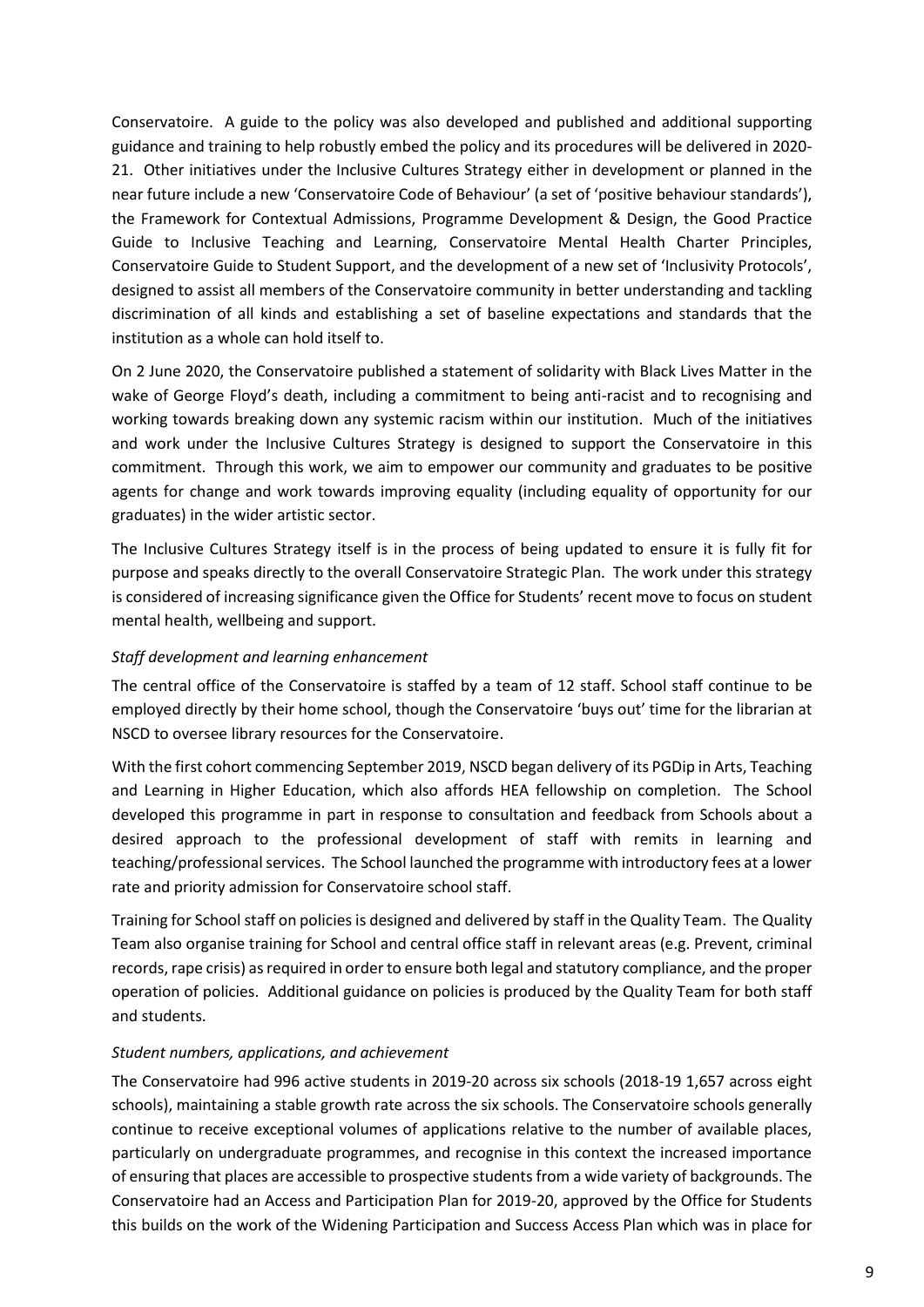Conservatoire. A guide to the policy was also developed and published and additional supporting guidance and training to help robustly embed the policy and its procedures will be delivered in 2020- 21. Other initiatives under the Inclusive Cultures Strategy either in development or planned in the near future include a new 'Conservatoire Code of Behaviour' (a set of 'positive behaviour standards'), the Framework for Contextual Admissions, Programme Development & Design, the Good Practice Guide to Inclusive Teaching and Learning, Conservatoire Mental Health Charter Principles, Conservatoire Guide to Student Support, and the development of a new set of 'Inclusivity Protocols', designed to assist all members of the Conservatoire community in better understanding and tackling discrimination of all kinds and establishing a set of baseline expectations and standards that the institution as a whole can hold itself to.

On 2 June 2020, the Conservatoire published a statement of solidarity with Black Lives Matter in the wake of George Floyd's death, including a commitment to being anti-racist and to recognising and working towards breaking down any systemic racism within our institution. Much of the initiatives and work under the Inclusive Cultures Strategy is designed to support the Conservatoire in this commitment. Through this work, we aim to empower our community and graduates to be positive agents for change and work towards improving equality (including equality of opportunity for our graduates) in the wider artistic sector.

The Inclusive Cultures Strategy itself is in the process of being updated to ensure it is fully fit for purpose and speaks directly to the overall Conservatoire Strategic Plan. The work under this strategy is considered of increasing significance given the Office for Students' recent move to focus on student mental health, wellbeing and support.

#### *Staff development and learning enhancement*

The central office of the Conservatoire is staffed by a team of 12 staff. School staff continue to be employed directly by their home school, though the Conservatoire 'buys out' time for the librarian at NSCD to oversee library resources for the Conservatoire.

With the first cohort commencing September 2019, NSCD began delivery of its PGDip in Arts, Teaching and Learning in Higher Education, which also affords HEA fellowship on completion. The School developed this programme in part in response to consultation and feedback from Schools about a desired approach to the professional development of staff with remits in learning and teaching/professional services. The School launched the programme with introductory fees at a lower rate and priority admission for Conservatoire school staff.

Training for School staff on policies is designed and delivered by staff in the Quality Team. The Quality Team also organise training for School and central office staff in relevant areas (e.g. Prevent, criminal records, rape crisis) as required in order to ensure both legal and statutory compliance, and the proper operation of policies. Additional guidance on policies is produced by the Quality Team for both staff and students.

#### *Student numbers, applications, and achievement*

The Conservatoire had 996 active students in 2019-20 across six schools (2018-19 1,657 across eight schools), maintaining a stable growth rate across the six schools. The Conservatoire schools generally continue to receive exceptional volumes of applications relative to the number of available places, particularly on undergraduate programmes, and recognise in this context the increased importance of ensuring that places are accessible to prospective students from a wide variety of backgrounds. The Conservatoire had an Access and Participation Plan for 2019-20, approved by the Office for Students this builds on the work of the Widening Participation and Success Access Plan which was in place for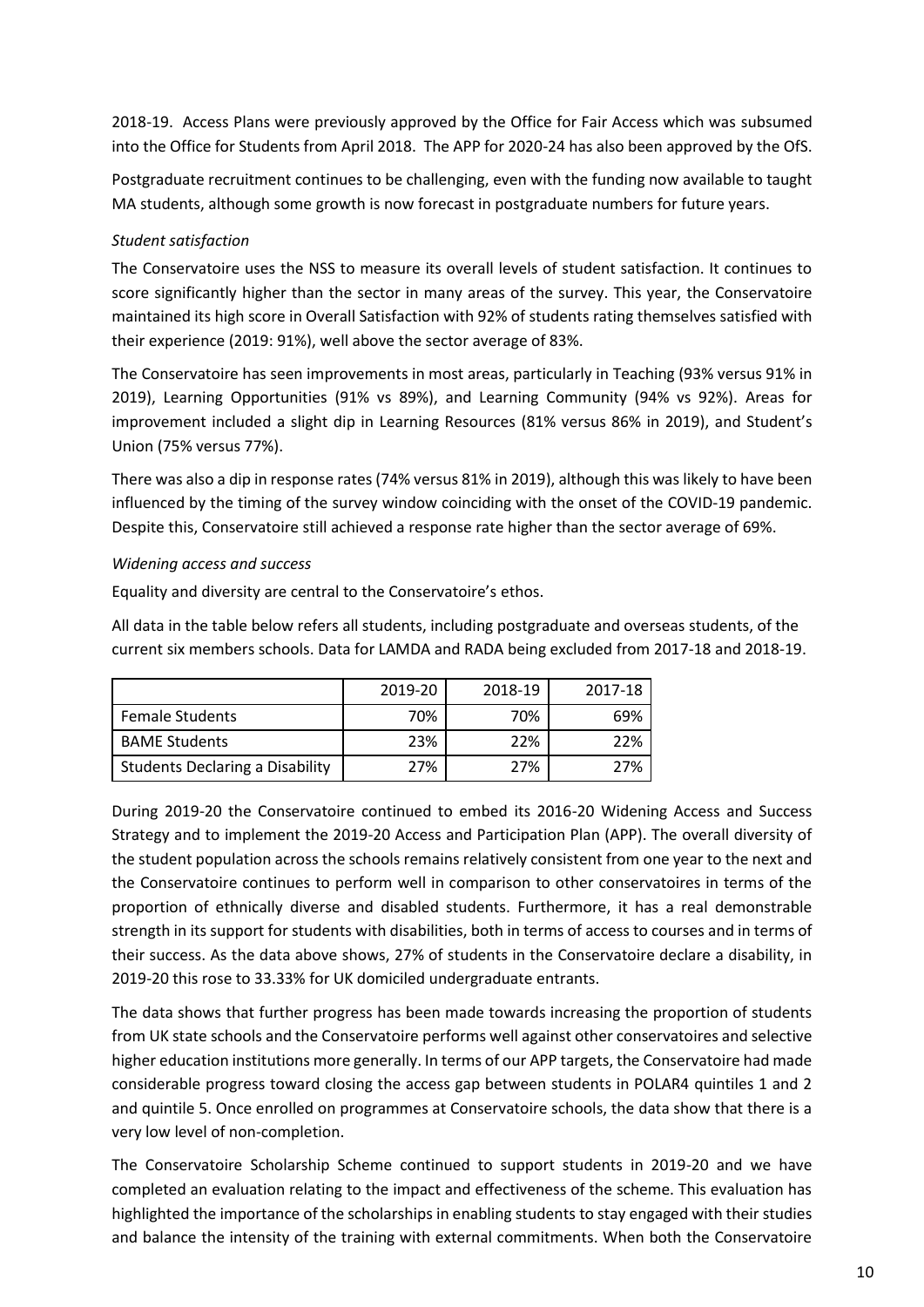2018-19. Access Plans were previously approved by the Office for Fair Access which was subsumed into the Office for Students from April 2018. The APP for 2020-24 has also been approved by the OfS.

Postgraduate recruitment continues to be challenging, even with the funding now available to taught MA students, although some growth is now forecast in postgraduate numbers for future years.

# *Student satisfaction*

The Conservatoire uses the NSS to measure its overall levels of student satisfaction. It continues to score significantly higher than the sector in many areas of the survey. This year, the Conservatoire maintained its high score in Overall Satisfaction with 92% of students rating themselves satisfied with their experience (2019: 91%), well above the sector average of 83%.

The Conservatoire has seen improvements in most areas, particularly in Teaching (93% versus 91% in 2019), Learning Opportunities (91% vs 89%), and Learning Community (94% vs 92%). Areas for improvement included a slight dip in Learning Resources (81% versus 86% in 2019), and Student's Union (75% versus 77%).

There was also a dip in response rates (74% versus 81% in 2019), although this was likely to have been influenced by the timing of the survey window coinciding with the onset of the COVID-19 pandemic. Despite this, Conservatoire still achieved a response rate higher than the sector average of 69%.

# *Widening access and success*

Equality and diversity are central to the Conservatoire's ethos.

All data in the table below refers all students, including postgraduate and overseas students, of the current six members schools. Data for LAMDA and RADA being excluded from 2017-18 and 2018-19.

|                                 | 2019-20 | 2018-19 | 2017-18 |
|---------------------------------|---------|---------|---------|
| <b>Female Students</b>          | 70%     | 70%     | 69%     |
| <b>BAME Students</b>            | 23%     | 22%     | 22%     |
| Students Declaring a Disability | 27%     | 27%     | 27%     |

During 2019-20 the Conservatoire continued to embed its 2016-20 Widening Access and Success Strategy and to implement the 2019-20 Access and Participation Plan (APP). The overall diversity of the student population across the schools remains relatively consistent from one year to the next and the Conservatoire continues to perform well in comparison to other conservatoires in terms of the proportion of ethnically diverse and disabled students. Furthermore, it has a real demonstrable strength in its support for students with disabilities, both in terms of access to courses and in terms of their success. As the data above shows, 27% of students in the Conservatoire declare a disability, in 2019-20 this rose to 33.33% for UK domiciled undergraduate entrants.

The data shows that further progress has been made towards increasing the proportion of students from UK state schools and the Conservatoire performs well against other conservatoires and selective higher education institutions more generally. In terms of our APP targets, the Conservatoire had made considerable progress toward closing the access gap between students in POLAR4 quintiles 1 and 2 and quintile 5. Once enrolled on programmes at Conservatoire schools, the data show that there is a very low level of non-completion.

The Conservatoire Scholarship Scheme continued to support students in 2019-20 and we have completed an evaluation relating to the impact and effectiveness of the scheme. This evaluation has highlighted the importance of the scholarships in enabling students to stay engaged with their studies and balance the intensity of the training with external commitments. When both the Conservatoire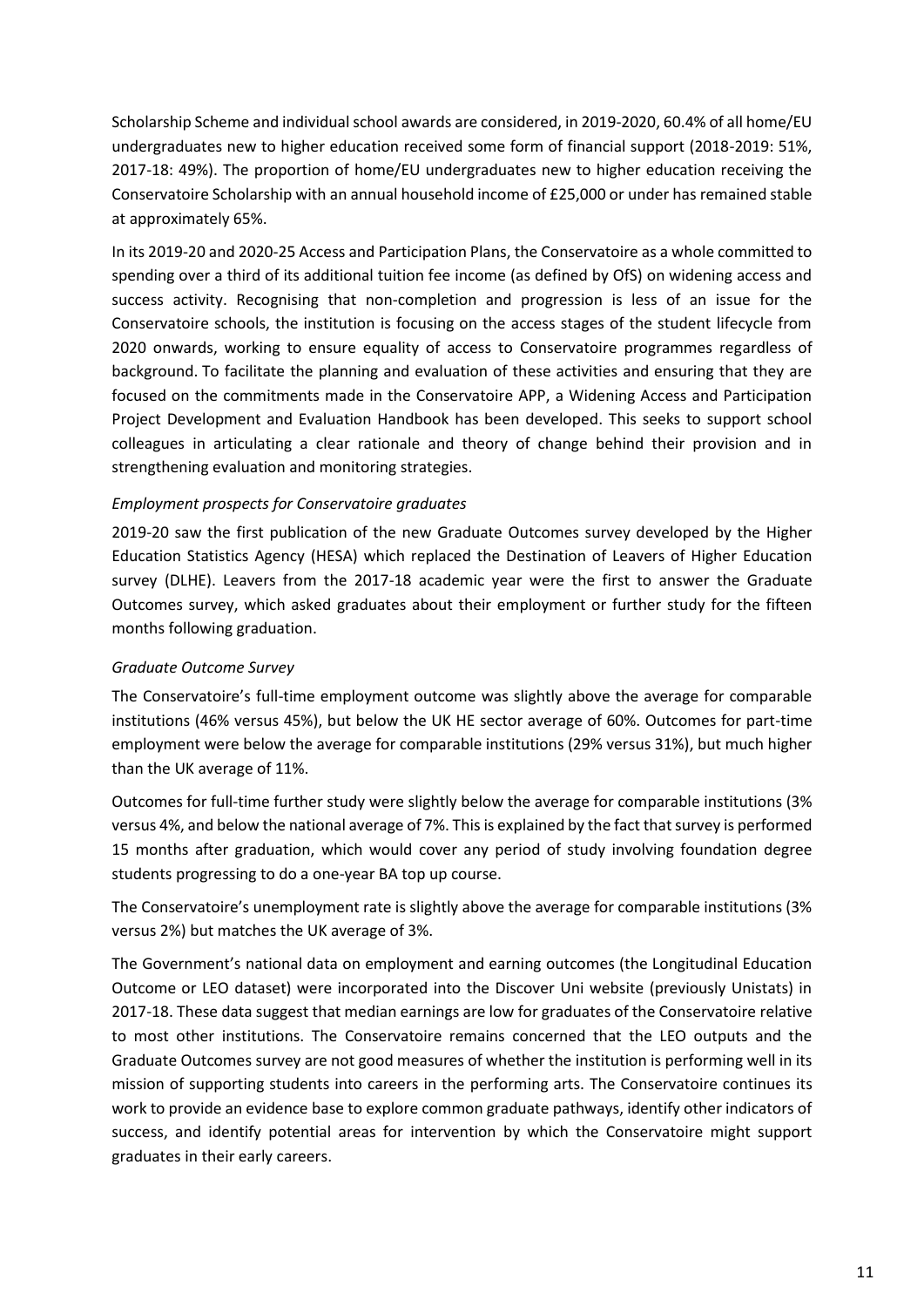Scholarship Scheme and individual school awards are considered, in 2019-2020, 60.4% of all home/EU undergraduates new to higher education received some form of financial support (2018-2019: 51%, 2017-18: 49%). The proportion of home/EU undergraduates new to higher education receiving the Conservatoire Scholarship with an annual household income of £25,000 or under has remained stable at approximately 65%.

In its 2019-20 and 2020-25 Access and Participation Plans, the Conservatoire as a whole committed to spending over a third of its additional tuition fee income (as defined by OfS) on widening access and success activity. Recognising that non-completion and progression is less of an issue for the Conservatoire schools, the institution is focusing on the access stages of the student lifecycle from 2020 onwards, working to ensure equality of access to Conservatoire programmes regardless of background. To facilitate the planning and evaluation of these activities and ensuring that they are focused on the commitments made in the Conservatoire APP, a Widening Access and Participation Project Development and Evaluation Handbook has been developed. This seeks to support school colleagues in articulating a clear rationale and theory of change behind their provision and in strengthening evaluation and monitoring strategies.

# *Employment prospects for Conservatoire graduates*

2019-20 saw the first publication of the new Graduate Outcomes survey developed by the Higher Education Statistics Agency (HESA) which replaced the Destination of Leavers of Higher Education survey (DLHE). Leavers from the 2017-18 academic year were the first to answer the Graduate Outcomes survey, which asked graduates about their employment or further study for the fifteen months following graduation.

#### *Graduate Outcome Survey*

The Conservatoire's full-time employment outcome was slightly above the average for comparable institutions (46% versus 45%), but below the UK HE sector average of 60%. Outcomes for part-time employment were below the average for comparable institutions (29% versus 31%), but much higher than the UK average of 11%.

Outcomes for full-time further study were slightly below the average for comparable institutions (3% versus 4%, and below the national average of 7%. This is explained by the fact that survey is performed 15 months after graduation, which would cover any period of study involving foundation degree students progressing to do a one-year BA top up course.

The Conservatoire's unemployment rate is slightly above the average for comparable institutions (3% versus 2%) but matches the UK average of 3%.

The Government's national data on employment and earning outcomes (the Longitudinal Education Outcome or LEO dataset) were incorporated into the Discover Uni website (previously Unistats) in 2017-18. These data suggest that median earnings are low for graduates of the Conservatoire relative to most other institutions. The Conservatoire remains concerned that the LEO outputs and the Graduate Outcomes survey are not good measures of whether the institution is performing well in its mission of supporting students into careers in the performing arts. The Conservatoire continues its work to provide an evidence base to explore common graduate pathways, identify other indicators of success, and identify potential areas for intervention by which the Conservatoire might support graduates in their early careers.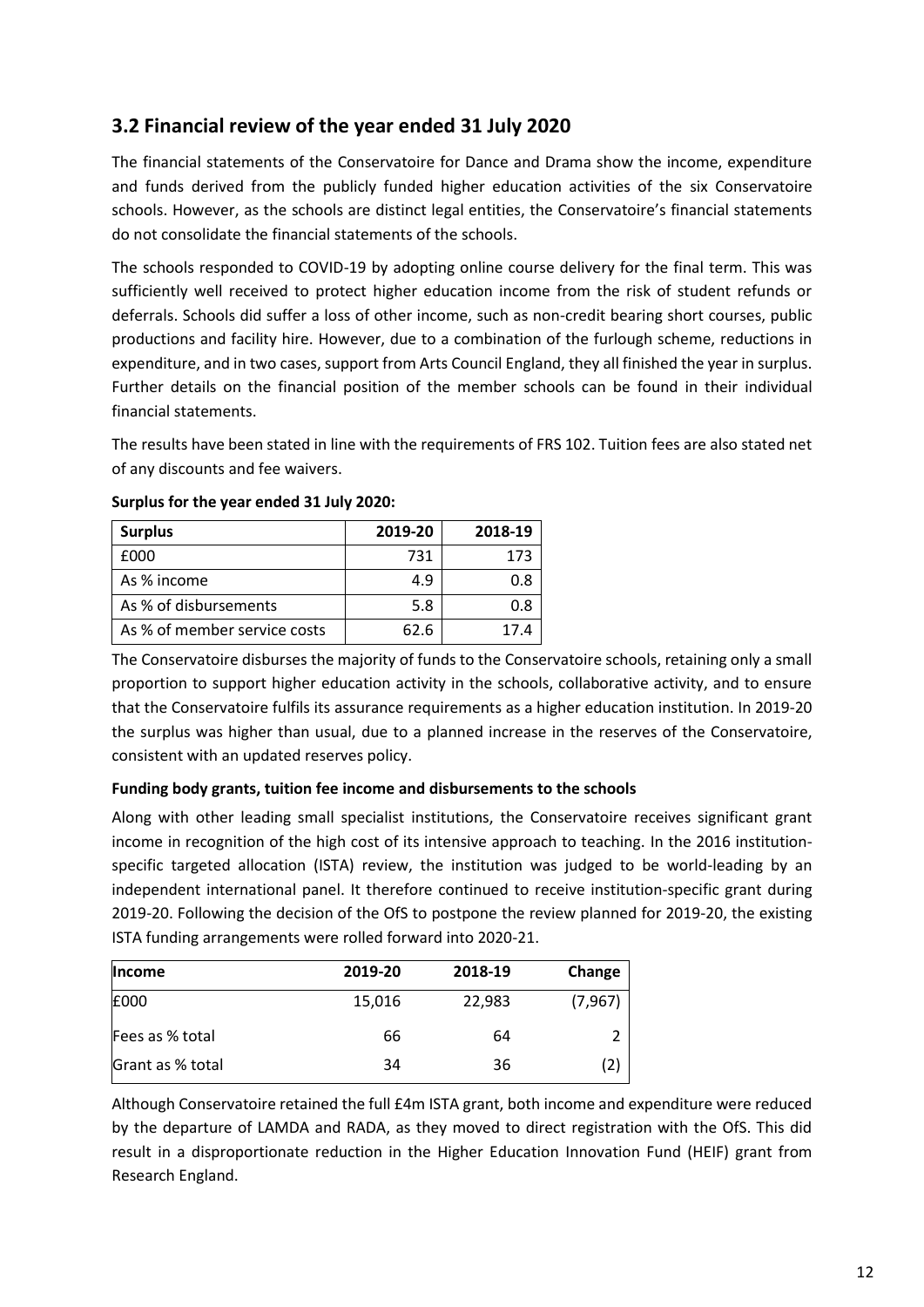# **3.2 Financial review of the year ended 31 July 2020**

The financial statements of the Conservatoire for Dance and Drama show the income, expenditure and funds derived from the publicly funded higher education activities of the six Conservatoire schools. However, as the schools are distinct legal entities, the Conservatoire's financial statements do not consolidate the financial statements of the schools.

The schools responded to COVID-19 by adopting online course delivery for the final term. This was sufficiently well received to protect higher education income from the risk of student refunds or deferrals. Schools did suffer a loss of other income, such as non-credit bearing short courses, public productions and facility hire. However, due to a combination of the furlough scheme, reductions in expenditure, and in two cases, support from Arts Council England, they all finished the year in surplus. Further details on the financial position of the member schools can be found in their individual financial statements.

The results have been stated in line with the requirements of FRS 102. Tuition fees are also stated net of any discounts and fee waivers.

| <b>Surplus</b>               | 2019-20 | 2018-19 |
|------------------------------|---------|---------|
| £000                         | 731     | 173     |
| As % income                  | 4.9     | 0.8     |
| As % of disbursements        | 5.8     | 0.8     |
| As % of member service costs | 62.6    | 17.4    |

# **Surplus for the year ended 31 July 2020:**

The Conservatoire disburses the majority of funds to the Conservatoire schools, retaining only a small proportion to support higher education activity in the schools, collaborative activity, and to ensure that the Conservatoire fulfils its assurance requirements as a higher education institution. In 2019-20 the surplus was higher than usual, due to a planned increase in the reserves of the Conservatoire, consistent with an updated reserves policy.

# **Funding body grants, tuition fee income and disbursements to the schools**

Along with other leading small specialist institutions, the Conservatoire receives significant grant income in recognition of the high cost of its intensive approach to teaching. In the 2016 institutionspecific targeted allocation (ISTA) review, the institution was judged to be world-leading by an independent international panel. It therefore continued to receive institution-specific grant during 2019-20. Following the decision of the OfS to postpone the review planned for 2019-20, the existing ISTA funding arrangements were rolled forward into 2020-21.

| <b>Income</b>    | 2019-20 | 2018-19 | Change   |
|------------------|---------|---------|----------|
| £000             | 15,016  | 22,983  | (7, 967) |
| Fees as % total  | 66      | 64      | ำ        |
| Grant as % total | 34      | 36      | 2)       |

Although Conservatoire retained the full £4m ISTA grant, both income and expenditure were reduced by the departure of LAMDA and RADA, as they moved to direct registration with the OfS. This did result in a disproportionate reduction in the Higher Education Innovation Fund (HEIF) grant from Research England.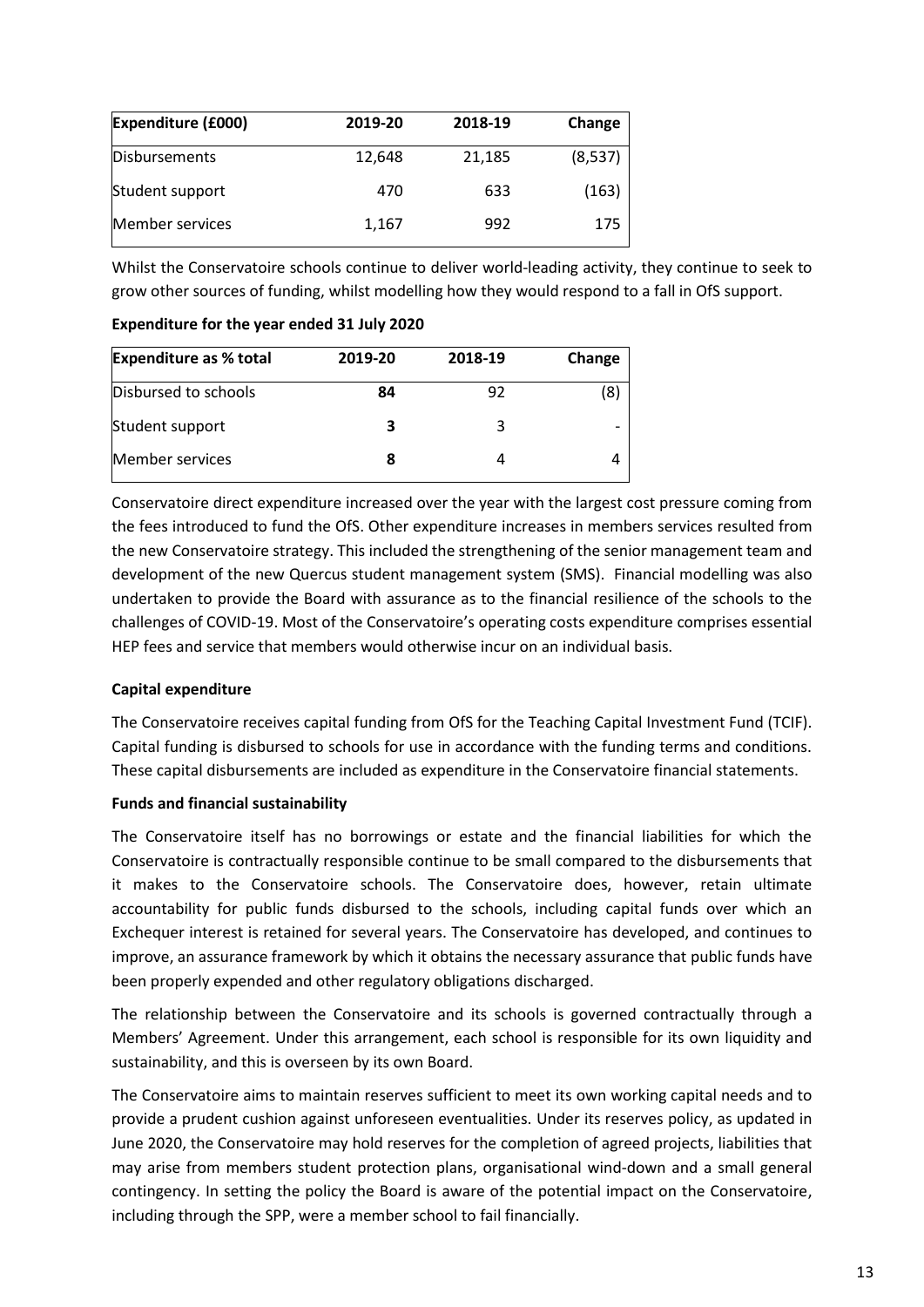| <b>Expenditure (£000)</b> | 2019-20 | 2018-19 | Change  |
|---------------------------|---------|---------|---------|
| <b>Disbursements</b>      | 12,648  | 21,185  | (8,537) |
| Student support           | 470     | 633     | (163)   |
| Member services           | 1,167   | 992     | 175     |

Whilst the Conservatoire schools continue to deliver world-leading activity, they continue to seek to grow other sources of funding, whilst modelling how they would respond to a fall in OfS support.

| <b>Expenditure as % total</b> | 2019-20 | 2018-19 | Change                   |
|-------------------------------|---------|---------|--------------------------|
| Disbursed to schools          | 84      | 92      | 8                        |
| Student support               |         |         | $\overline{\phantom{0}}$ |
| Member services               | 8       |         |                          |

# **Expenditure for the year ended 31 July 2020**

Conservatoire direct expenditure increased over the year with the largest cost pressure coming from the fees introduced to fund the OfS. Other expenditure increases in members services resulted from the new Conservatoire strategy. This included the strengthening of the senior management team and development of the new Quercus student management system (SMS). Financial modelling was also undertaken to provide the Board with assurance as to the financial resilience of the schools to the challenges of COVID-19. Most of the Conservatoire's operating costs expenditure comprises essential HEP fees and service that members would otherwise incur on an individual basis.

# **Capital expenditure**

The Conservatoire receives capital funding from OfS for the Teaching Capital Investment Fund (TCIF). Capital funding is disbursed to schools for use in accordance with the funding terms and conditions. These capital disbursements are included as expenditure in the Conservatoire financial statements.

# **Funds and financial sustainability**

The Conservatoire itself has no borrowings or estate and the financial liabilities for which the Conservatoire is contractually responsible continue to be small compared to the disbursements that it makes to the Conservatoire schools. The Conservatoire does, however, retain ultimate accountability for public funds disbursed to the schools, including capital funds over which an Exchequer interest is retained for several years. The Conservatoire has developed, and continues to improve, an assurance framework by which it obtains the necessary assurance that public funds have been properly expended and other regulatory obligations discharged.

The relationship between the Conservatoire and its schools is governed contractually through a Members' Agreement. Under this arrangement, each school is responsible for its own liquidity and sustainability, and this is overseen by its own Board.

The Conservatoire aims to maintain reserves sufficient to meet its own working capital needs and to provide a prudent cushion against unforeseen eventualities. Under its reserves policy, as updated in June 2020, the Conservatoire may hold reserves for the completion of agreed projects, liabilities that may arise from members student protection plans, organisational wind-down and a small general contingency. In setting the policy the Board is aware of the potential impact on the Conservatoire, including through the SPP, were a member school to fail financially.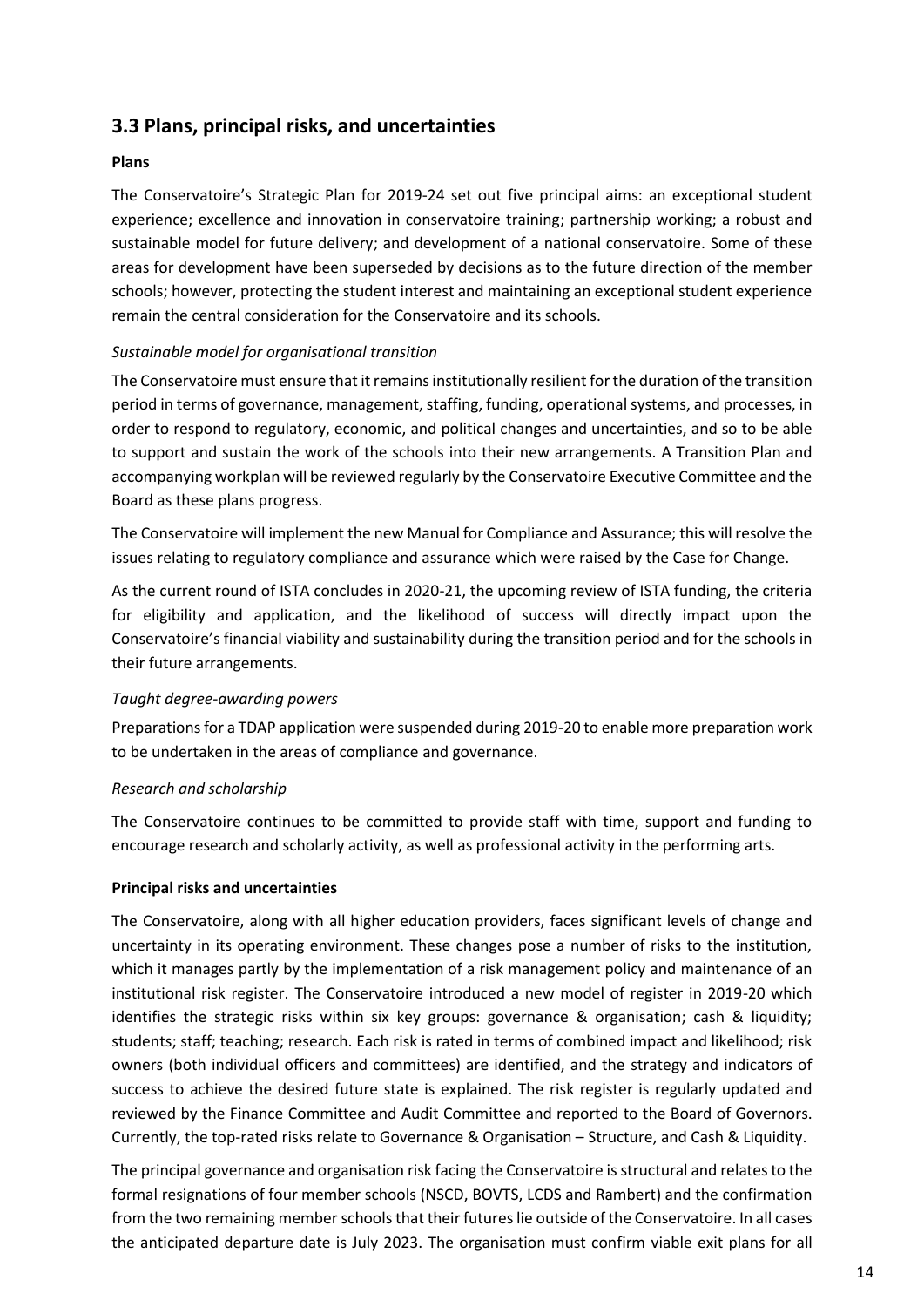# **3.3 Plans, principal risks, and uncertainties**

# **Plans**

The Conservatoire's Strategic Plan for 2019-24 set out five principal aims: an exceptional student experience; excellence and innovation in conservatoire training; partnership working; a robust and sustainable model for future delivery; and development of a national conservatoire. Some of these areas for development have been superseded by decisions as to the future direction of the member schools; however, protecting the student interest and maintaining an exceptional student experience remain the central consideration for the Conservatoire and its schools.

# *Sustainable model for organisational transition*

The Conservatoire must ensure that it remains institutionally resilient for the duration of the transition period in terms of governance, management, staffing, funding, operational systems, and processes, in order to respond to regulatory, economic, and political changes and uncertainties, and so to be able to support and sustain the work of the schools into their new arrangements. A Transition Plan and accompanying workplan will be reviewed regularly by the Conservatoire Executive Committee and the Board as these plans progress.

The Conservatoire will implement the new Manual for Compliance and Assurance; this will resolve the issues relating to regulatory compliance and assurance which were raised by the Case for Change.

As the current round of ISTA concludes in 2020-21, the upcoming review of ISTA funding, the criteria for eligibility and application, and the likelihood of success will directly impact upon the Conservatoire's financial viability and sustainability during the transition period and for the schools in their future arrangements.

#### *Taught degree-awarding powers*

Preparations for a TDAP application were suspended during 2019-20 to enable more preparation work to be undertaken in the areas of compliance and governance.

#### *Research and scholarship*

The Conservatoire continues to be committed to provide staff with time, support and funding to encourage research and scholarly activity, as well as professional activity in the performing arts.

#### **Principal risks and uncertainties**

The Conservatoire, along with all higher education providers, faces significant levels of change and uncertainty in its operating environment. These changes pose a number of risks to the institution, which it manages partly by the implementation of a risk management policy and maintenance of an institutional risk register. The Conservatoire introduced a new model of register in 2019-20 which identifies the strategic risks within six key groups: governance & organisation; cash & liquidity; students; staff; teaching; research. Each risk is rated in terms of combined impact and likelihood; risk owners (both individual officers and committees) are identified, and the strategy and indicators of success to achieve the desired future state is explained. The risk register is regularly updated and reviewed by the Finance Committee and Audit Committee and reported to the Board of Governors. Currently, the top-rated risks relate to Governance & Organisation – Structure, and Cash & Liquidity.

The principal governance and organisation risk facing the Conservatoire is structural and relates to the formal resignations of four member schools (NSCD, BOVTS, LCDS and Rambert) and the confirmation from the two remaining member schools that their futures lie outside of the Conservatoire. In all cases the anticipated departure date is July 2023. The organisation must confirm viable exit plans for all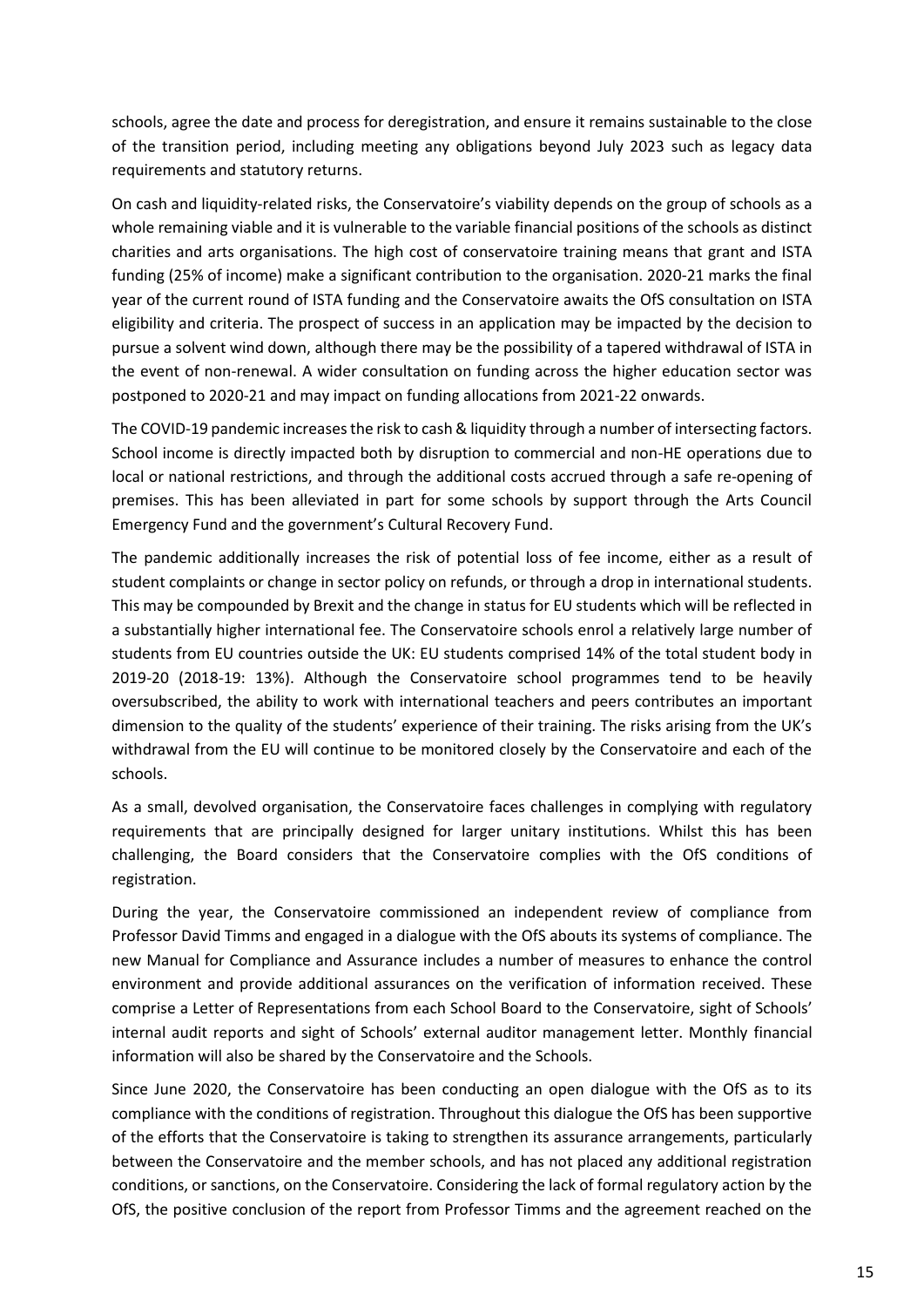schools, agree the date and process for deregistration, and ensure it remains sustainable to the close of the transition period, including meeting any obligations beyond July 2023 such as legacy data requirements and statutory returns.

On cash and liquidity-related risks, the Conservatoire's viability depends on the group of schools as a whole remaining viable and it is vulnerable to the variable financial positions of the schools as distinct charities and arts organisations. The high cost of conservatoire training means that grant and ISTA funding (25% of income) make a significant contribution to the organisation. 2020-21 marks the final year of the current round of ISTA funding and the Conservatoire awaits the OfS consultation on ISTA eligibility and criteria. The prospect of success in an application may be impacted by the decision to pursue a solvent wind down, although there may be the possibility of a tapered withdrawal of ISTA in the event of non-renewal. A wider consultation on funding across the higher education sector was postponed to 2020-21 and may impact on funding allocations from 2021-22 onwards.

The COVID-19 pandemic increases the risk to cash & liquidity through a number of intersecting factors. School income is directly impacted both by disruption to commercial and non-HE operations due to local or national restrictions, and through the additional costs accrued through a safe re-opening of premises. This has been alleviated in part for some schools by support through the Arts Council Emergency Fund and the government's Cultural Recovery Fund.

The pandemic additionally increases the risk of potential loss of fee income, either as a result of student complaints or change in sector policy on refunds, or through a drop in international students. This may be compounded by Brexit and the change in status for EU students which will be reflected in a substantially higher international fee. The Conservatoire schools enrol a relatively large number of students from EU countries outside the UK: EU students comprised 14% of the total student body in 2019-20 (2018-19: 13%). Although the Conservatoire school programmes tend to be heavily oversubscribed, the ability to work with international teachers and peers contributes an important dimension to the quality of the students' experience of their training. The risks arising from the UK's withdrawal from the EU will continue to be monitored closely by the Conservatoire and each of the schools.

As a small, devolved organisation, the Conservatoire faces challenges in complying with regulatory requirements that are principally designed for larger unitary institutions. Whilst this has been challenging, the Board considers that the Conservatoire complies with the OfS conditions of registration.

During the year, the Conservatoire commissioned an independent review of compliance from Professor David Timms and engaged in a dialogue with the OfS abouts its systems of compliance. The new Manual for Compliance and Assurance includes a number of measures to enhance the control environment and provide additional assurances on the verification of information received. These comprise a Letter of Representations from each School Board to the Conservatoire, sight of Schools' internal audit reports and sight of Schools' external auditor management letter. Monthly financial information will also be shared by the Conservatoire and the Schools.

Since June 2020, the Conservatoire has been conducting an open dialogue with the OfS as to its compliance with the conditions of registration. Throughout this dialogue the OfS has been supportive of the efforts that the Conservatoire is taking to strengthen its assurance arrangements, particularly between the Conservatoire and the member schools, and has not placed any additional registration conditions, or sanctions, on the Conservatoire. Considering the lack of formal regulatory action by the OfS, the positive conclusion of the report from Professor Timms and the agreement reached on the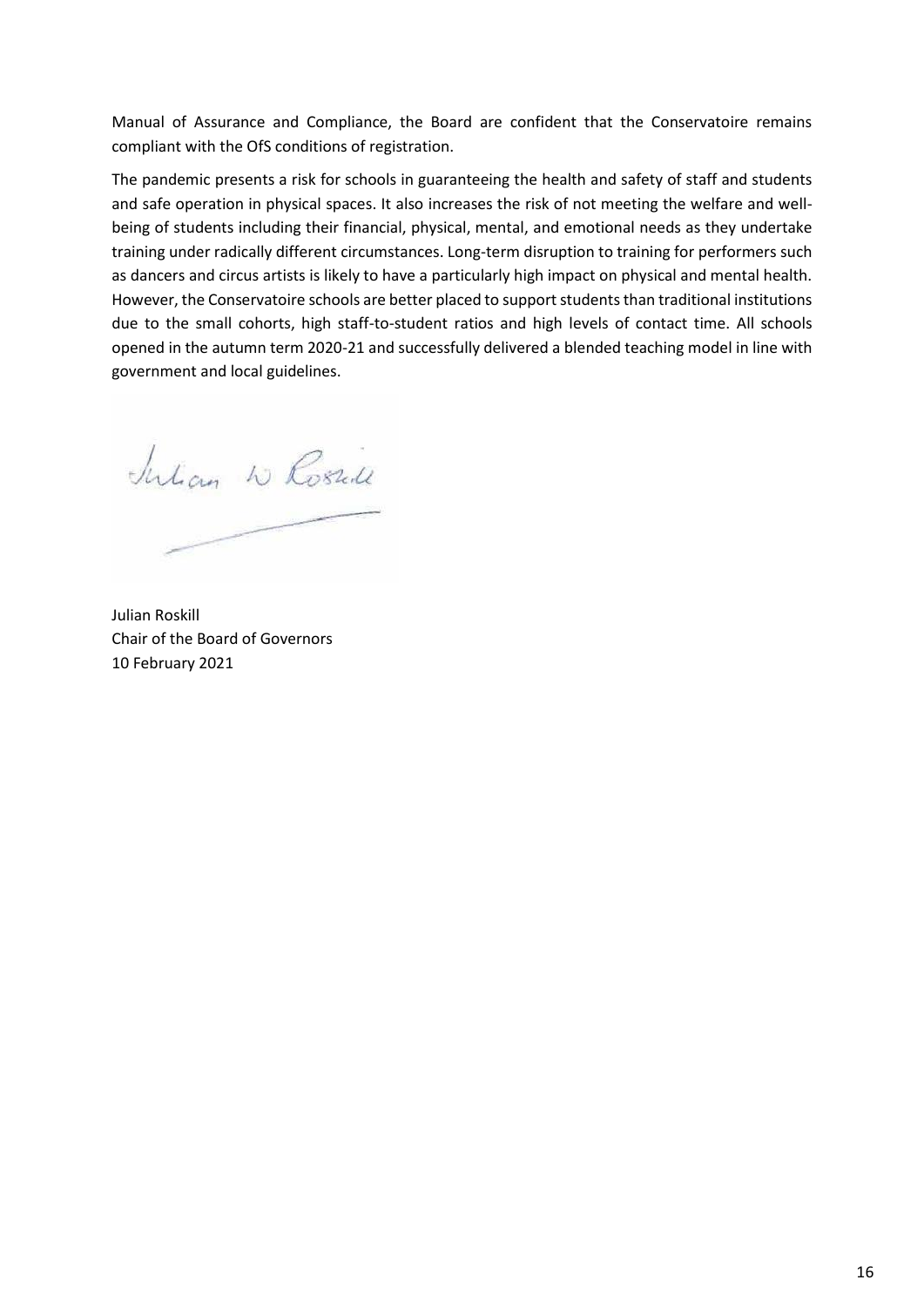Manual of Assurance and Compliance, the Board are confident that the Conservatoire remains compliant with the OfS conditions of registration.

The pandemic presents a risk for schools in guaranteeing the health and safety of staff and students and safe operation in physical spaces. It also increases the risk of not meeting the welfare and wellbeing of students including their financial, physical, mental, and emotional needs as they undertake training under radically different circumstances. Long-term disruption to training for performers such as dancers and circus artists is likely to have a particularly high impact on physical and mental health. However, the Conservatoire schools are better placed to support students than traditional institutions due to the small cohorts, high staff-to-student ratios and high levels of contact time. All schools opened in the autumn term 2020-21 and successfully delivered a blended teaching model in line with government and local guidelines.

Julian W Rosall

Julian Roskill Chair of the Board of Governors 10 February 2021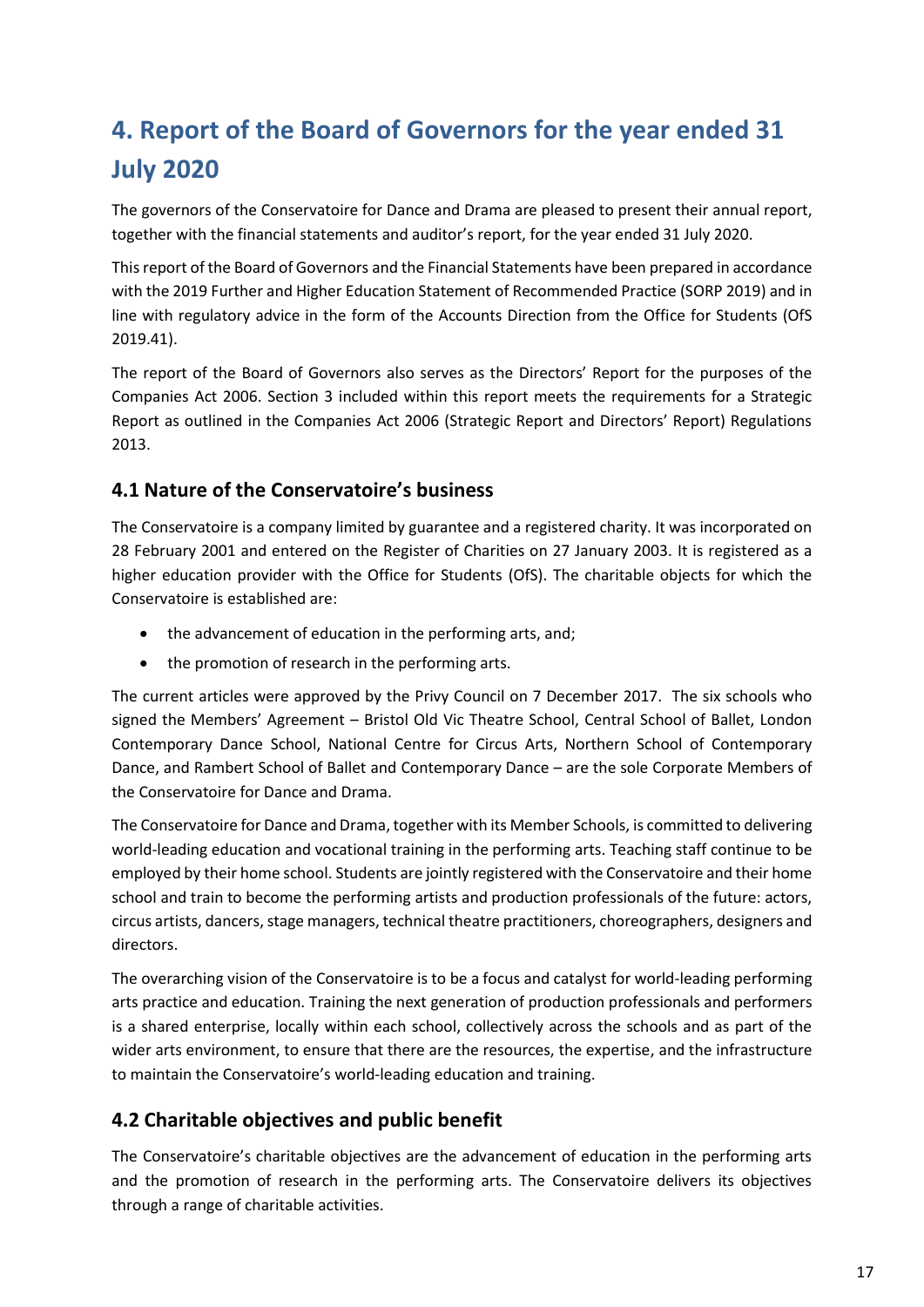# **4. Report of the Board of Governors for the year ended 31 July 2020**

The governors of the Conservatoire for Dance and Drama are pleased to present their annual report, together with the financial statements and auditor's report, for the year ended 31 July 2020.

This report of the Board of Governors and the Financial Statements have been prepared in accordance with the 2019 Further and Higher Education Statement of Recommended Practice (SORP 2019) and in line with regulatory advice in the form of the Accounts Direction from the Office for Students (OfS 2019.41).

The report of the Board of Governors also serves as the Directors' Report for the purposes of the Companies Act 2006. Section 3 included within this report meets the requirements for a Strategic Report as outlined in the Companies Act 2006 (Strategic Report and Directors' Report) Regulations 2013.

# **4.1 Nature of the Conservatoire's business**

The Conservatoire is a company limited by guarantee and a registered charity. It was incorporated on 28 February 2001 and entered on the Register of Charities on 27 January 2003. It is registered as a higher education provider with the Office for Students (OfS). The charitable objects for which the Conservatoire is established are:

- the advancement of education in the performing arts, and;
- the promotion of research in the performing arts.

The current articles were approved by the Privy Council on 7 December 2017. The six schools who signed the Members' Agreement – Bristol Old Vic Theatre School, Central School of Ballet, London Contemporary Dance School, National Centre for Circus Arts, Northern School of Contemporary Dance, and Rambert School of Ballet and Contemporary Dance – are the sole Corporate Members of the Conservatoire for Dance and Drama.

The Conservatoire for Dance and Drama, together with its Member Schools, is committed to delivering world-leading education and vocational training in the performing arts. Teaching staff continue to be employed by their home school. Students are jointly registered with the Conservatoire and their home school and train to become the performing artists and production professionals of the future: actors, circus artists, dancers, stage managers, technical theatre practitioners, choreographers, designers and directors.

The overarching vision of the Conservatoire is to be a focus and catalyst for world-leading performing arts practice and education. Training the next generation of production professionals and performers is a shared enterprise, locally within each school, collectively across the schools and as part of the wider arts environment, to ensure that there are the resources, the expertise, and the infrastructure to maintain the Conservatoire's world-leading education and training.

# **4.2 Charitable objectives and public benefit**

The Conservatoire's charitable objectives are the advancement of education in the performing arts and the promotion of research in the performing arts. The Conservatoire delivers its objectives through a range of charitable activities.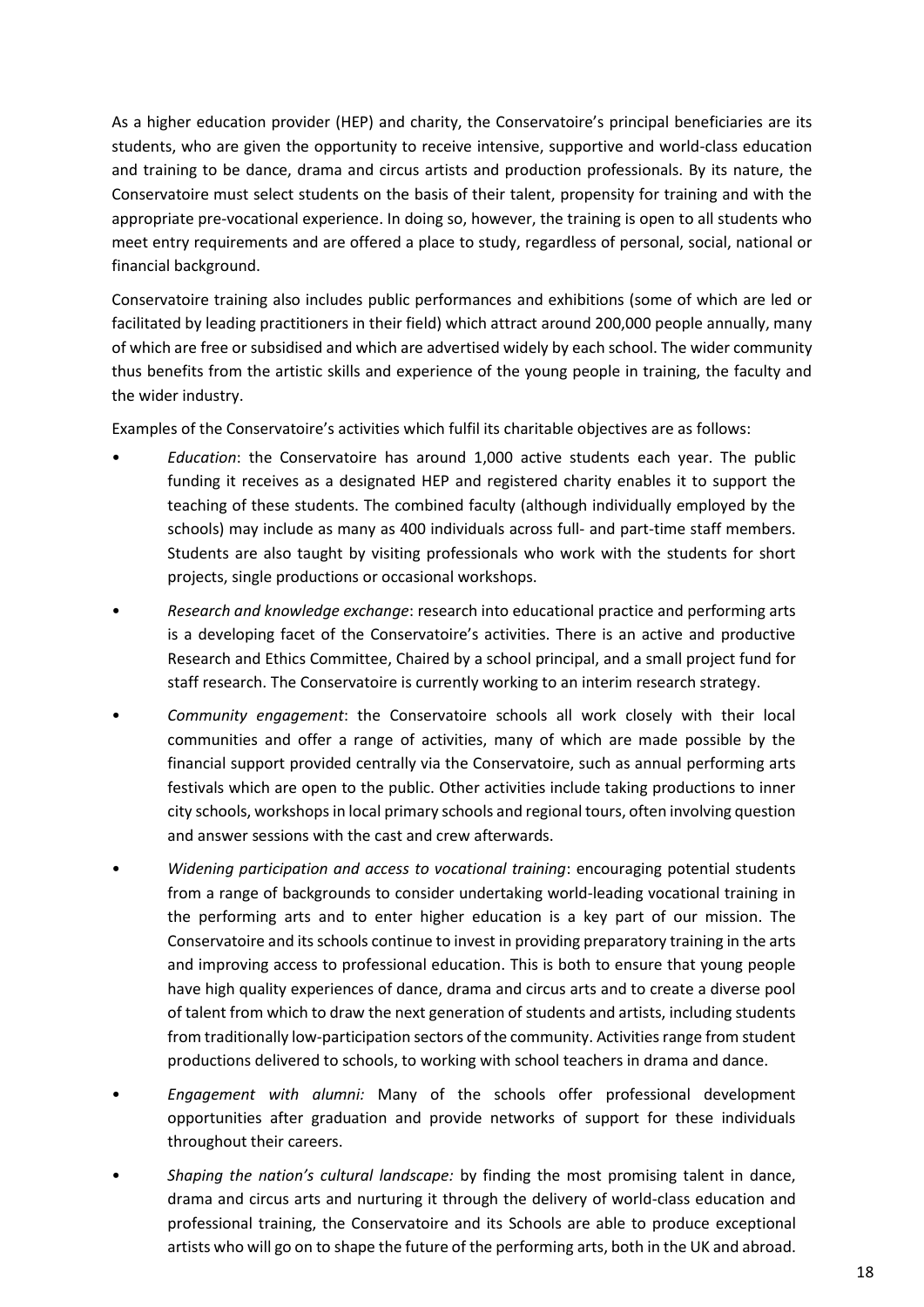As a higher education provider (HEP) and charity, the Conservatoire's principal beneficiaries are its students, who are given the opportunity to receive intensive, supportive and world-class education and training to be dance, drama and circus artists and production professionals. By its nature, the Conservatoire must select students on the basis of their talent, propensity for training and with the appropriate pre-vocational experience. In doing so, however, the training is open to all students who meet entry requirements and are offered a place to study, regardless of personal, social, national or financial background.

Conservatoire training also includes public performances and exhibitions (some of which are led or facilitated by leading practitioners in their field) which attract around 200,000 people annually, many of which are free or subsidised and which are advertised widely by each school. The wider community thus benefits from the artistic skills and experience of the young people in training, the faculty and the wider industry.

Examples of the Conservatoire's activities which fulfil its charitable objectives are as follows:

- *Education*: the Conservatoire has around 1,000 active students each year. The public funding it receives as a designated HEP and registered charity enables it to support the teaching of these students. The combined faculty (although individually employed by the schools) may include as many as 400 individuals across full- and part-time staff members. Students are also taught by visiting professionals who work with the students for short projects, single productions or occasional workshops.
- *Research and knowledge exchange*: research into educational practice and performing arts is a developing facet of the Conservatoire's activities. There is an active and productive Research and Ethics Committee, Chaired by a school principal, and a small project fund for staff research. The Conservatoire is currently working to an interim research strategy.
- *Community engagement*: the Conservatoire schools all work closely with their local communities and offer a range of activities, many of which are made possible by the financial support provided centrally via the Conservatoire, such as annual performing arts festivals which are open to the public. Other activities include taking productions to inner city schools, workshops in local primary schools and regional tours, often involving question and answer sessions with the cast and crew afterwards.
- *Widening participation and access to vocational training*: encouraging potential students from a range of backgrounds to consider undertaking world-leading vocational training in the performing arts and to enter higher education is a key part of our mission. The Conservatoire and its schools continue to invest in providing preparatory training in the arts and improving access to professional education. This is both to ensure that young people have high quality experiences of dance, drama and circus arts and to create a diverse pool of talent from which to draw the next generation of students and artists, including students from traditionally low-participation sectors of the community. Activities range from student productions delivered to schools, to working with school teachers in drama and dance.
- *Engagement with alumni:* Many of the schools offer professional development opportunities after graduation and provide networks of support for these individuals throughout their careers.
- *Shaping the nation's cultural landscape:* by finding the most promising talent in dance, drama and circus arts and nurturing it through the delivery of world-class education and professional training, the Conservatoire and its Schools are able to produce exceptional artists who will go on to shape the future of the performing arts, both in the UK and abroad.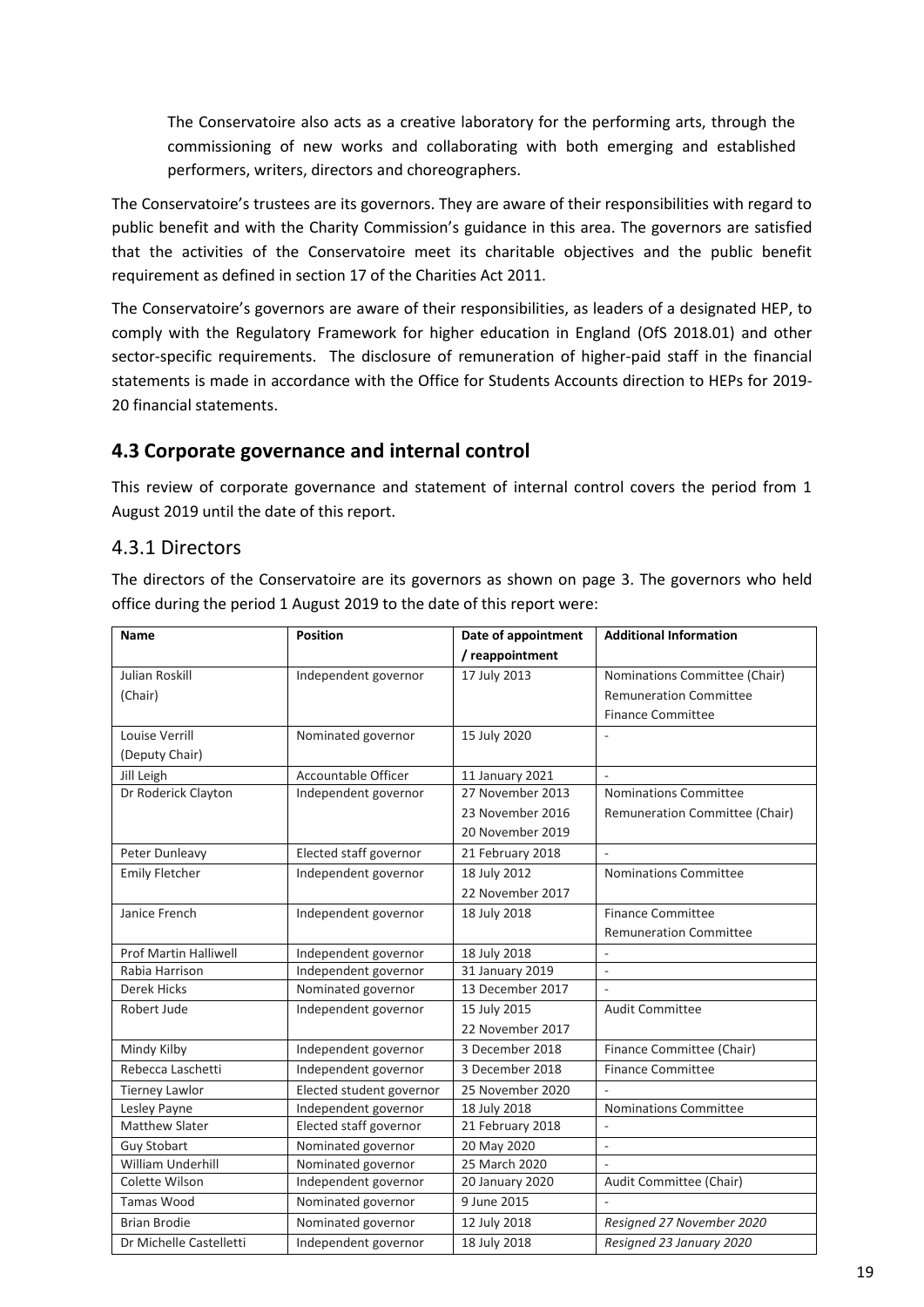The Conservatoire also acts as a creative laboratory for the performing arts, through the commissioning of new works and collaborating with both emerging and established performers, writers, directors and choreographers.

The Conservatoire's trustees are its governors. They are aware of their responsibilities with regard to public benefit and with the Charity Commission's guidance in this area. The governors are satisfied that the activities of the Conservatoire meet its charitable objectives and the public benefit requirement as defined in section 17 of the Charities Act 2011.

The Conservatoire's governors are aware of their responsibilities, as leaders of a designated HEP, to comply with the Regulatory Framework for higher education in England (OfS 2018.01) and other sector-specific requirements. The disclosure of remuneration of higher-paid staff in the financial statements is made in accordance with the Office for Students Accounts direction to HEPs for 2019- 20 financial statements.

# **4.3 Corporate governance and internal control**

This review of corporate governance and statement of internal control covers the period from 1 August 2019 until the date of this report.

# 4.3.1 Directors

The directors of the Conservatoire are its governors as shown on page 3. The governors who held office during the period 1 August 2019 to the date of this report were:

| Name                         | <b>Position</b>            | Date of appointment | <b>Additional Information</b>  |
|------------------------------|----------------------------|---------------------|--------------------------------|
|                              |                            | / reappointment     |                                |
| <b>Julian Roskill</b>        | Independent governor       | 17 July 2013        | Nominations Committee (Chair)  |
| (Chair)                      |                            |                     | <b>Remuneration Committee</b>  |
|                              |                            |                     | <b>Finance Committee</b>       |
| Louise Verrill               | Nominated governor         | 15 July 2020        |                                |
| (Deputy Chair)               |                            |                     |                                |
| Jill Leigh                   | <b>Accountable Officer</b> | 11 January 2021     |                                |
| Dr Roderick Clayton          | Independent governor       | 27 November 2013    | Nominations Committee          |
|                              |                            | 23 November 2016    | Remuneration Committee (Chair) |
|                              |                            | 20 November 2019    |                                |
| Peter Dunleavy               | Elected staff governor     | 21 February 2018    | ÷.                             |
| <b>Emily Fletcher</b>        | Independent governor       | 18 July 2012        | <b>Nominations Committee</b>   |
|                              |                            | 22 November 2017    |                                |
| Janice French                | Independent governor       | 18 July 2018        | <b>Finance Committee</b>       |
|                              |                            |                     | <b>Remuneration Committee</b>  |
| <b>Prof Martin Halliwell</b> | Independent governor       | 18 July 2018        |                                |
| Rabia Harrison               | Independent governor       | 31 January 2019     | $\sim$                         |
| <b>Derek Hicks</b>           | Nominated governor         | 13 December 2017    | $\sim$                         |
| Robert Jude                  | Independent governor       | 15 July 2015        | <b>Audit Committee</b>         |
|                              |                            | 22 November 2017    |                                |
| Mindy Kilby                  | Independent governor       | 3 December 2018     | Finance Committee (Chair)      |
| Rebecca Laschetti            | Independent governor       | 3 December 2018     | <b>Finance Committee</b>       |
| <b>Tierney Lawlor</b>        | Elected student governor   | 25 November 2020    |                                |
| Lesley Payne                 | Independent governor       | 18 July 2018        | <b>Nominations Committee</b>   |
| Matthew Slater               | Elected staff governor     | 21 February 2018    |                                |
| <b>Guy Stobart</b>           | Nominated governor         | 20 May 2020         | $\sim$                         |
| <b>William Underhill</b>     | Nominated governor         | 25 March 2020       |                                |
| Colette Wilson               | Independent governor       | 20 January 2020     | Audit Committee (Chair)        |
| <b>Tamas Wood</b>            | Nominated governor         | 9 June 2015         |                                |
| <b>Brian Brodie</b>          | Nominated governor         | 12 July 2018        | Resigned 27 November 2020      |
| Dr Michelle Castelletti      | Independent governor       | 18 July 2018        | Resigned 23 January 2020       |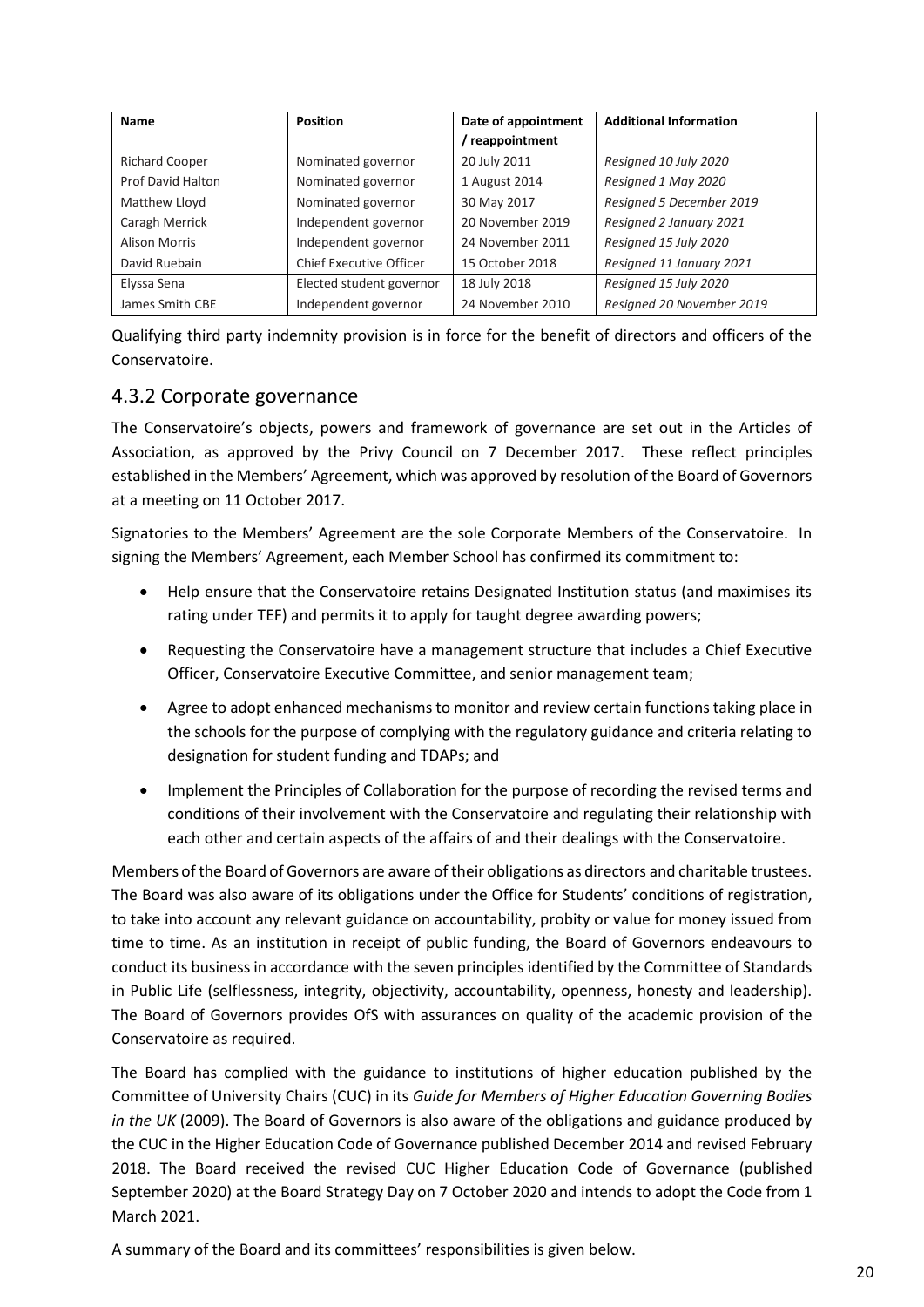| <b>Name</b>           | <b>Position</b>                | Date of appointment | <b>Additional Information</b> |
|-----------------------|--------------------------------|---------------------|-------------------------------|
|                       |                                | reappointment       |                               |
| <b>Richard Cooper</b> | Nominated governor             | 20 July 2011        | Resigned 10 July 2020         |
| Prof David Halton     | Nominated governor             | 1 August 2014       | Resigned 1 May 2020           |
| Matthew Lloyd         | Nominated governor             | 30 May 2017         | Resigned 5 December 2019      |
| Caragh Merrick        | Independent governor           | 20 November 2019    | Resigned 2 January 2021       |
| <b>Alison Morris</b>  | Independent governor           | 24 November 2011    | Resigned 15 July 2020         |
| David Ruebain         | <b>Chief Executive Officer</b> | 15 October 2018     | Resigned 11 January 2021      |
| Elyssa Sena           | Elected student governor       | 18 July 2018        | Resigned 15 July 2020         |
| James Smith CBE       | Independent governor           | 24 November 2010    | Resigned 20 November 2019     |

Qualifying third party indemnity provision is in force for the benefit of directors and officers of the Conservatoire.

# 4.3.2 Corporate governance

The Conservatoire's objects, powers and framework of governance are set out in the Articles of Association, as approved by the Privy Council on 7 December 2017. These reflect principles established in the Members' Agreement, which was approved by resolution of the Board of Governors at a meeting on 11 October 2017.

Signatories to the Members' Agreement are the sole Corporate Members of the Conservatoire. In signing the Members' Agreement, each Member School has confirmed its commitment to:

- Help ensure that the Conservatoire retains Designated Institution status (and maximises its rating under TEF) and permits it to apply for taught degree awarding powers;
- Requesting the Conservatoire have a management structure that includes a Chief Executive Officer, Conservatoire Executive Committee, and senior management team;
- Agree to adopt enhanced mechanisms to monitor and review certain functions taking place in the schools for the purpose of complying with the regulatory guidance and criteria relating to designation for student funding and TDAPs; and
- Implement the Principles of Collaboration for the purpose of recording the revised terms and conditions of their involvement with the Conservatoire and regulating their relationship with each other and certain aspects of the affairs of and their dealings with the Conservatoire.

Members of the Board of Governors are aware of their obligations as directors and charitable trustees. The Board was also aware of its obligations under the Office for Students' conditions of registration, to take into account any relevant guidance on accountability, probity or value for money issued from time to time. As an institution in receipt of public funding, the Board of Governors endeavours to conduct its business in accordance with the seven principles identified by the Committee of Standards in Public Life (selflessness, integrity, objectivity, accountability, openness, honesty and leadership). The Board of Governors provides OfS with assurances on quality of the academic provision of the Conservatoire as required.

The Board has complied with the guidance to institutions of higher education published by the Committee of University Chairs (CUC) in its *Guide for Members of Higher Education Governing Bodies in the UK* (2009). The Board of Governors is also aware of the obligations and guidance produced by the CUC in the Higher Education Code of Governance published December 2014 and revised February 2018. The Board received the revised CUC Higher Education Code of Governance (published September 2020) at the Board Strategy Day on 7 October 2020 and intends to adopt the Code from 1 March 2021.

A summary of the Board and its committees' responsibilities is given below.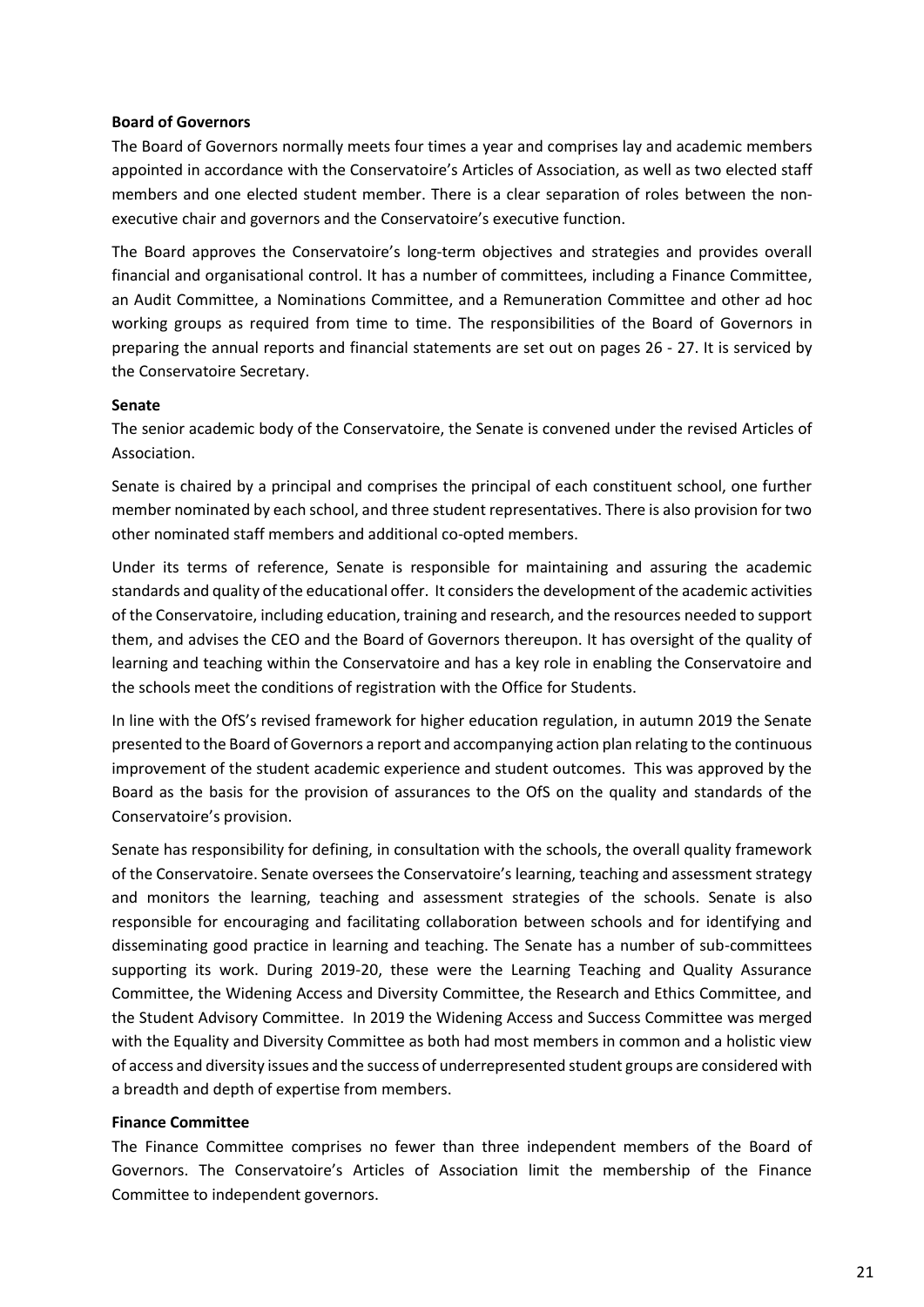#### **Board of Governors**

The Board of Governors normally meets four times a year and comprises lay and academic members appointed in accordance with the Conservatoire's Articles of Association, as well as two elected staff members and one elected student member. There is a clear separation of roles between the nonexecutive chair and governors and the Conservatoire's executive function.

The Board approves the Conservatoire's long-term objectives and strategies and provides overall financial and organisational control. It has a number of committees, including a Finance Committee, an Audit Committee, a Nominations Committee, and a Remuneration Committee and other ad hoc working groups as required from time to time. The responsibilities of the Board of Governors in preparing the annual reports and financial statements are set out on pages 26 - 27. It is serviced by the Conservatoire Secretary.

#### **Senate**

The senior academic body of the Conservatoire, the Senate is convened under the revised Articles of Association.

Senate is chaired by a principal and comprises the principal of each constituent school, one further member nominated by each school, and three student representatives. There is also provision for two other nominated staff members and additional co-opted members.

Under its terms of reference, Senate is responsible for maintaining and assuring the academic standards and quality of the educational offer. It considers the development of the academic activities of the Conservatoire, including education, training and research, and the resources needed to support them, and advises the CEO and the Board of Governors thereupon. It has oversight of the quality of learning and teaching within the Conservatoire and has a key role in enabling the Conservatoire and the schools meet the conditions of registration with the Office for Students.

In line with the OfS's revised framework for higher education regulation, in autumn 2019 the Senate presented to the Board of Governors a report and accompanying action plan relating to the continuous improvement of the student academic experience and student outcomes. This was approved by the Board as the basis for the provision of assurances to the OfS on the quality and standards of the Conservatoire's provision.

Senate has responsibility for defining, in consultation with the schools, the overall quality framework of the Conservatoire. Senate oversees the Conservatoire's learning, teaching and assessment strategy and monitors the learning, teaching and assessment strategies of the schools. Senate is also responsible for encouraging and facilitating collaboration between schools and for identifying and disseminating good practice in learning and teaching. The Senate has a number of sub-committees supporting its work. During 2019-20, these were the Learning Teaching and Quality Assurance Committee, the Widening Access and Diversity Committee, the Research and Ethics Committee, and the Student Advisory Committee. In 2019 the Widening Access and Success Committee was merged with the Equality and Diversity Committee as both had most members in common and a holistic view of access and diversity issues and the success of underrepresented student groups are considered with a breadth and depth of expertise from members.

#### **Finance Committee**

The Finance Committee comprises no fewer than three independent members of the Board of Governors. The Conservatoire's Articles of Association limit the membership of the Finance Committee to independent governors.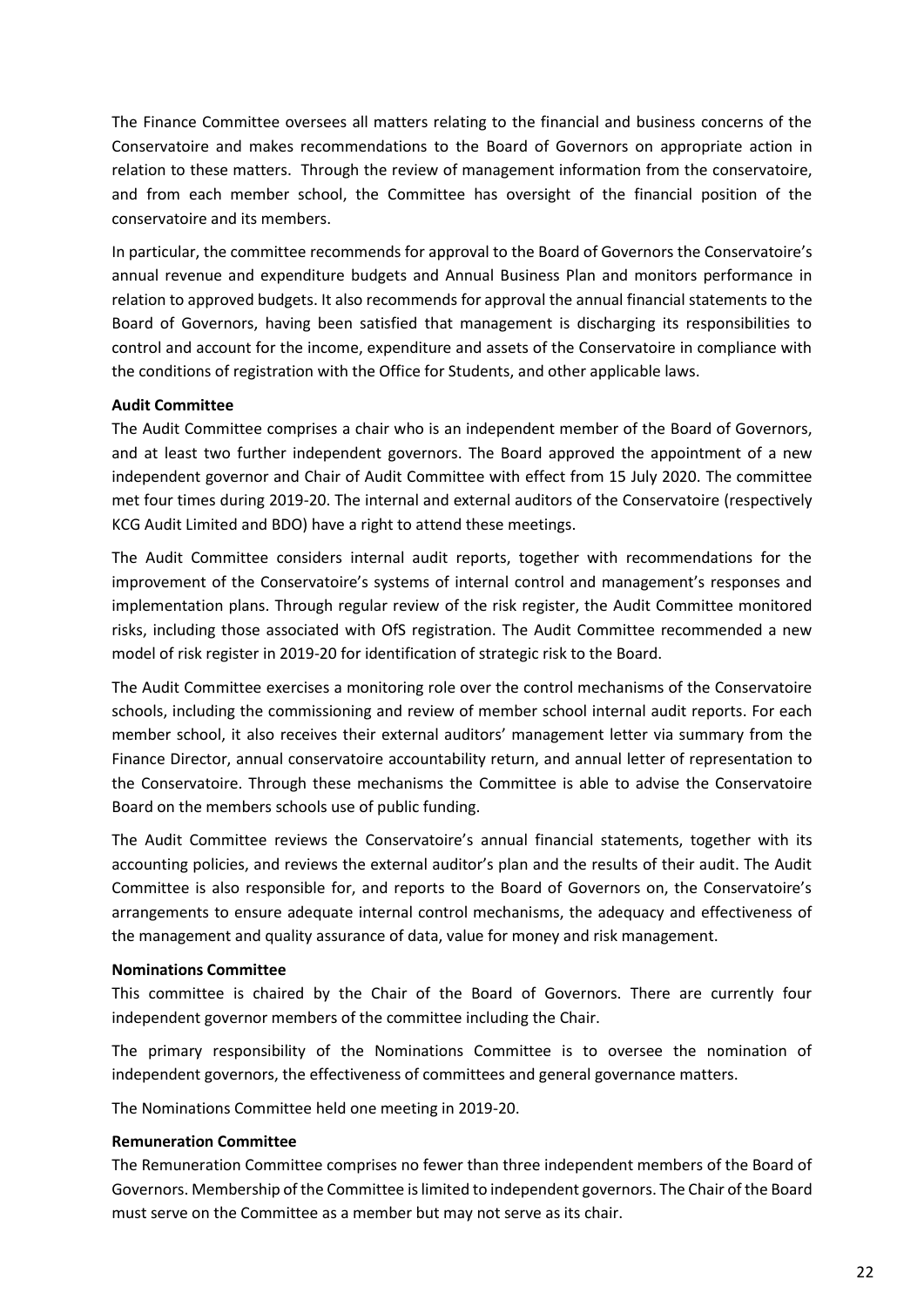The Finance Committee oversees all matters relating to the financial and business concerns of the Conservatoire and makes recommendations to the Board of Governors on appropriate action in relation to these matters. Through the review of management information from the conservatoire, and from each member school, the Committee has oversight of the financial position of the conservatoire and its members.

In particular, the committee recommends for approval to the Board of Governors the Conservatoire's annual revenue and expenditure budgets and Annual Business Plan and monitors performance in relation to approved budgets. It also recommends for approval the annual financial statements to the Board of Governors, having been satisfied that management is discharging its responsibilities to control and account for the income, expenditure and assets of the Conservatoire in compliance with the conditions of registration with the Office for Students, and other applicable laws.

# **Audit Committee**

The Audit Committee comprises a chair who is an independent member of the Board of Governors, and at least two further independent governors. The Board approved the appointment of a new independent governor and Chair of Audit Committee with effect from 15 July 2020. The committee met four times during 2019-20. The internal and external auditors of the Conservatoire (respectively KCG Audit Limited and BDO) have a right to attend these meetings.

The Audit Committee considers internal audit reports, together with recommendations for the improvement of the Conservatoire's systems of internal control and management's responses and implementation plans. Through regular review of the risk register, the Audit Committee monitored risks, including those associated with OfS registration. The Audit Committee recommended a new model of risk register in 2019-20 for identification of strategic risk to the Board.

The Audit Committee exercises a monitoring role over the control mechanisms of the Conservatoire schools, including the commissioning and review of member school internal audit reports. For each member school, it also receives their external auditors' management letter via summary from the Finance Director, annual conservatoire accountability return, and annual letter of representation to the Conservatoire. Through these mechanisms the Committee is able to advise the Conservatoire Board on the members schools use of public funding.

The Audit Committee reviews the Conservatoire's annual financial statements, together with its accounting policies, and reviews the external auditor's plan and the results of their audit. The Audit Committee is also responsible for, and reports to the Board of Governors on, the Conservatoire's arrangements to ensure adequate internal control mechanisms, the adequacy and effectiveness of the management and quality assurance of data, value for money and risk management.

#### **Nominations Committee**

This committee is chaired by the Chair of the Board of Governors. There are currently four independent governor members of the committee including the Chair.

The primary responsibility of the Nominations Committee is to oversee the nomination of independent governors, the effectiveness of committees and general governance matters.

The Nominations Committee held one meeting in 2019-20.

# **Remuneration Committee**

The Remuneration Committee comprises no fewer than three independent members of the Board of Governors. Membership of the Committee is limited to independent governors. The Chair of the Board must serve on the Committee as a member but may not serve as its chair.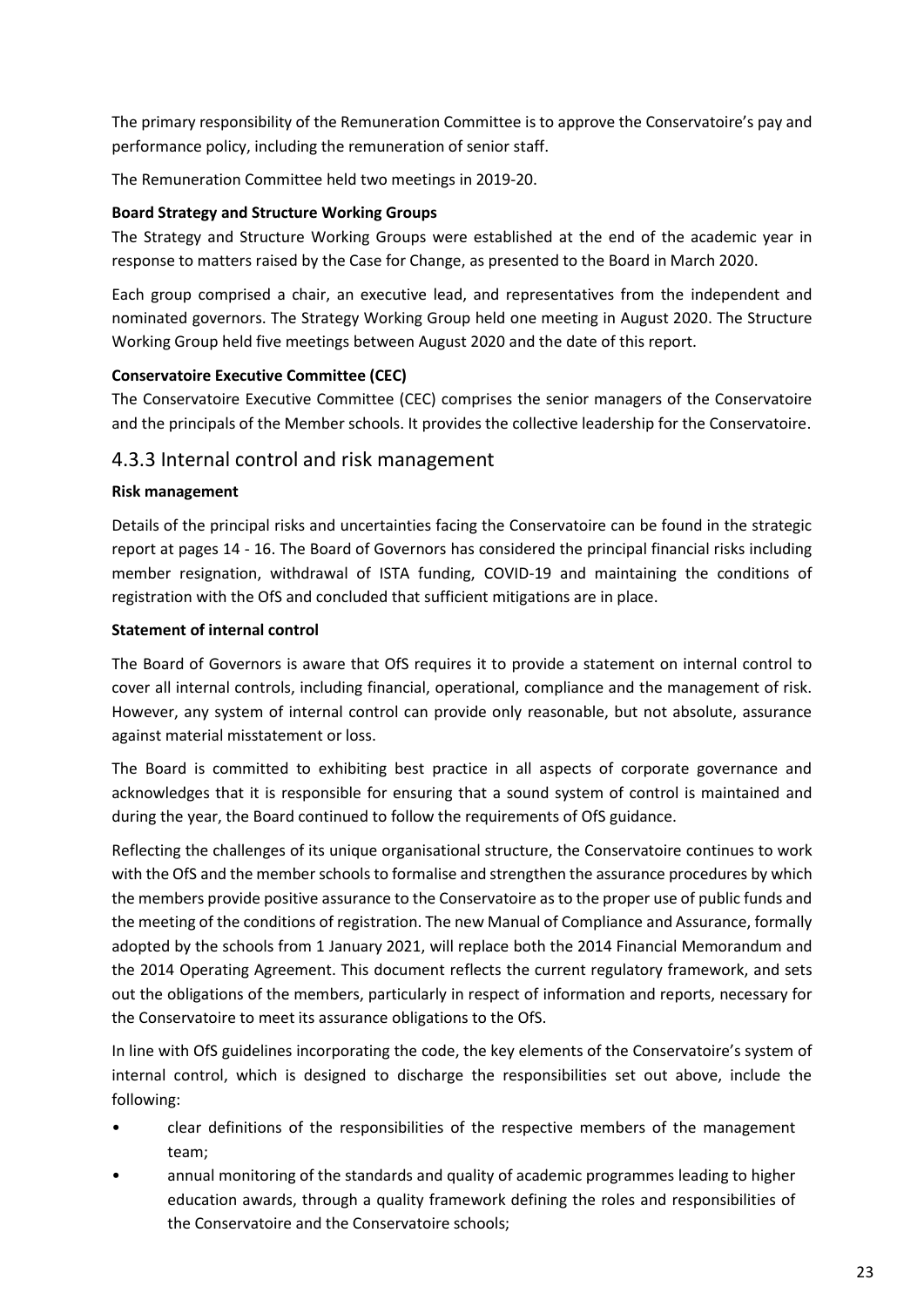The primary responsibility of the Remuneration Committee is to approve the Conservatoire's pay and performance policy, including the remuneration of senior staff.

The Remuneration Committee held two meetings in 2019-20.

# **Board Strategy and Structure Working Groups**

The Strategy and Structure Working Groups were established at the end of the academic year in response to matters raised by the Case for Change, as presented to the Board in March 2020.

Each group comprised a chair, an executive lead, and representatives from the independent and nominated governors. The Strategy Working Group held one meeting in August 2020. The Structure Working Group held five meetings between August 2020 and the date of this report.

# **Conservatoire Executive Committee (CEC)**

The Conservatoire Executive Committee (CEC) comprises the senior managers of the Conservatoire and the principals of the Member schools. It provides the collective leadership for the Conservatoire.

# 4.3.3 Internal control and risk management

# **Risk management**

Details of the principal risks and uncertainties facing the Conservatoire can be found in the strategic report at pages 14 - 16. The Board of Governors has considered the principal financial risks including member resignation, withdrawal of ISTA funding, COVID-19 and maintaining the conditions of registration with the OfS and concluded that sufficient mitigations are in place.

# **Statement of internal control**

The Board of Governors is aware that OfS requires it to provide a statement on internal control to cover all internal controls, including financial, operational, compliance and the management of risk. However, any system of internal control can provide only reasonable, but not absolute, assurance against material misstatement or loss.

The Board is committed to exhibiting best practice in all aspects of corporate governance and acknowledges that it is responsible for ensuring that a sound system of control is maintained and during the year, the Board continued to follow the requirements of OfS guidance.

Reflecting the challenges of its unique organisational structure, the Conservatoire continues to work with the OfS and the member schools to formalise and strengthen the assurance procedures by which the members provide positive assurance to the Conservatoire as to the proper use of public funds and the meeting of the conditions of registration. The new Manual of Compliance and Assurance, formally adopted by the schools from 1 January 2021, will replace both the 2014 Financial Memorandum and the 2014 Operating Agreement. This document reflects the current regulatory framework, and sets out the obligations of the members, particularly in respect of information and reports, necessary for the Conservatoire to meet its assurance obligations to the OfS.

In line with OfS guidelines incorporating the code, the key elements of the Conservatoire's system of internal control, which is designed to discharge the responsibilities set out above, include the following:

- clear definitions of the responsibilities of the respective members of the management team;
- annual monitoring of the standards and quality of academic programmes leading to higher education awards, through a quality framework defining the roles and responsibilities of the Conservatoire and the Conservatoire schools;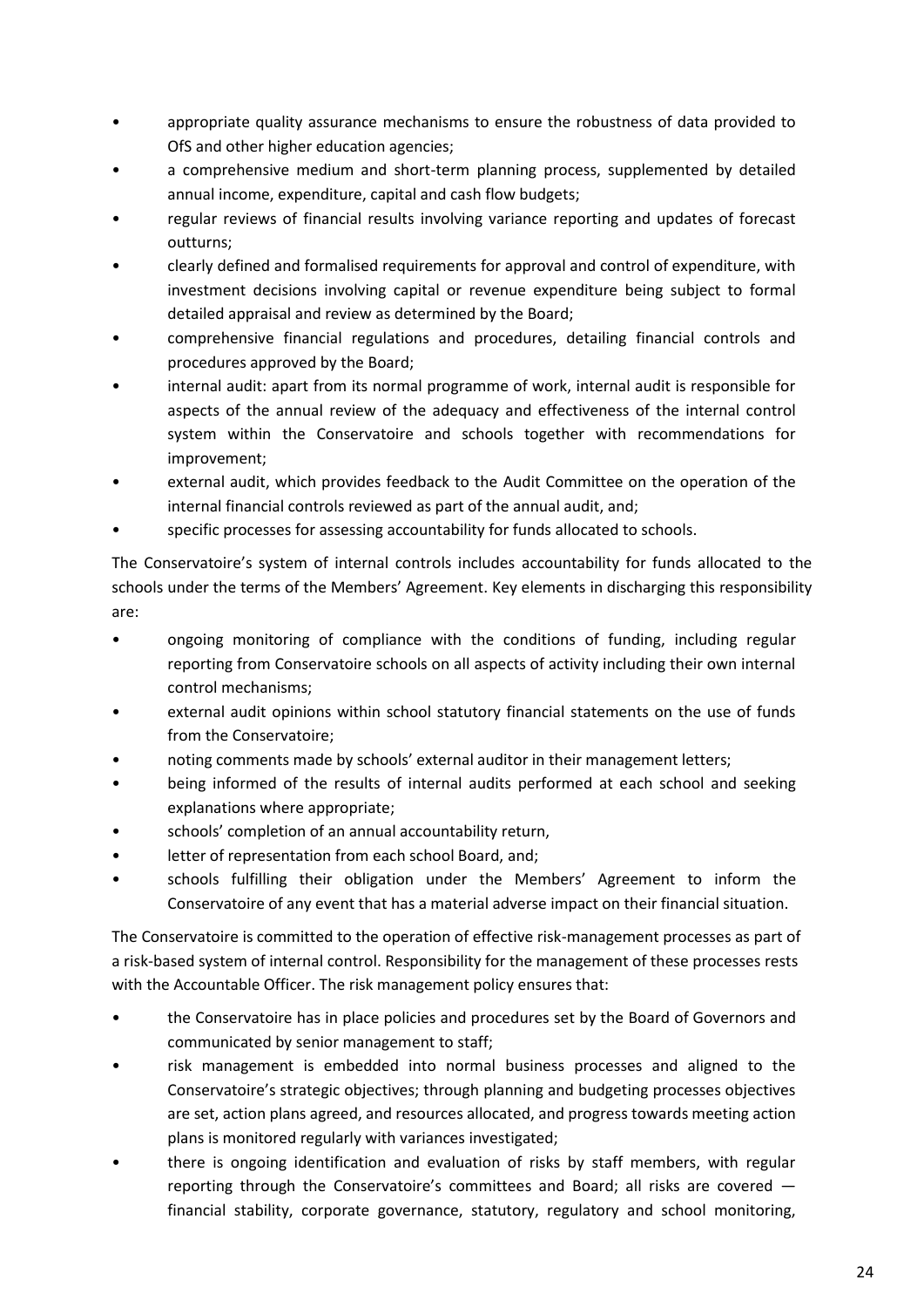- appropriate quality assurance mechanisms to ensure the robustness of data provided to OfS and other higher education agencies;
- a comprehensive medium and short-term planning process, supplemented by detailed annual income, expenditure, capital and cash flow budgets;
- regular reviews of financial results involving variance reporting and updates of forecast outturns;
- clearly defined and formalised requirements for approval and control of expenditure, with investment decisions involving capital or revenue expenditure being subject to formal detailed appraisal and review as determined by the Board;
- comprehensive financial regulations and procedures, detailing financial controls and procedures approved by the Board;
- internal audit: apart from its normal programme of work, internal audit is responsible for aspects of the annual review of the adequacy and effectiveness of the internal control system within the Conservatoire and schools together with recommendations for improvement;
- external audit, which provides feedback to the Audit Committee on the operation of the internal financial controls reviewed as part of the annual audit, and;
- specific processes for assessing accountability for funds allocated to schools.

The Conservatoire's system of internal controls includes accountability for funds allocated to the schools under the terms of the Members' Agreement. Key elements in discharging this responsibility are:

- ongoing monitoring of compliance with the conditions of funding, including regular reporting from Conservatoire schools on all aspects of activity including their own internal control mechanisms;
- external audit opinions within school statutory financial statements on the use of funds from the Conservatoire;
- noting comments made by schools' external auditor in their management letters;
- being informed of the results of internal audits performed at each school and seeking explanations where appropriate;
- schools' completion of an annual accountability return,
- letter of representation from each school Board, and;
- schools fulfilling their obligation under the Members' Agreement to inform the Conservatoire of any event that has a material adverse impact on their financial situation.

The Conservatoire is committed to the operation of effective risk-management processes as part of a risk-based system of internal control. Responsibility for the management of these processes rests with the Accountable Officer. The risk management policy ensures that:

- the Conservatoire has in place policies and procedures set by the Board of Governors and communicated by senior management to staff;
- risk management is embedded into normal business processes and aligned to the Conservatoire's strategic objectives; through planning and budgeting processes objectives are set, action plans agreed, and resources allocated, and progress towards meeting action plans is monitored regularly with variances investigated;
- there is ongoing identification and evaluation of risks by staff members, with regular reporting through the Conservatoire's committees and Board; all risks are covered financial stability, corporate governance, statutory, regulatory and school monitoring,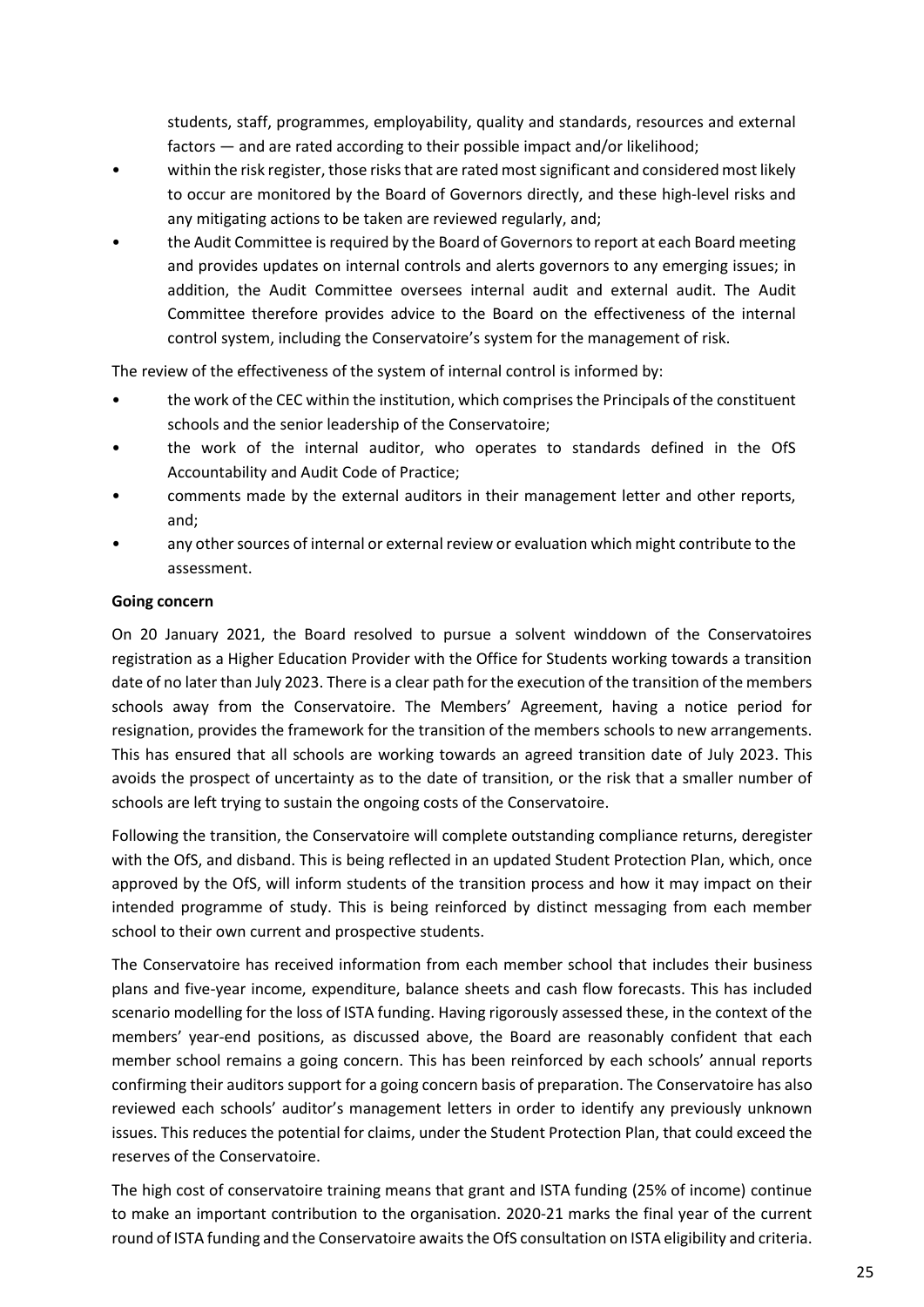students, staff, programmes, employability, quality and standards, resources and external factors — and are rated according to their possible impact and/or likelihood;

- within the risk register, those risks that are rated most significant and considered most likely to occur are monitored by the Board of Governors directly, and these high-level risks and any mitigating actions to be taken are reviewed regularly, and;
- the Audit Committee is required by the Board of Governors to report at each Board meeting and provides updates on internal controls and alerts governors to any emerging issues; in addition, the Audit Committee oversees internal audit and external audit. The Audit Committee therefore provides advice to the Board on the effectiveness of the internal control system, including the Conservatoire's system for the management of risk.

The review of the effectiveness of the system of internal control is informed by:

- the work of the CEC within the institution, which comprises the Principals of the constituent schools and the senior leadership of the Conservatoire;
- the work of the internal auditor, who operates to standards defined in the OfS Accountability and Audit Code of Practice;
- comments made by the external auditors in their management letter and other reports, and;
- any other sources of internal or external review or evaluation which might contribute to the assessment.

# **Going concern**

On 20 January 2021, the Board resolved to pursue a solvent winddown of the Conservatoires registration as a Higher Education Provider with the Office for Students working towards a transition date of no later than July 2023. There is a clear path for the execution of the transition of the members schools away from the Conservatoire. The Members' Agreement, having a notice period for resignation, provides the framework for the transition of the members schools to new arrangements. This has ensured that all schools are working towards an agreed transition date of July 2023. This avoids the prospect of uncertainty as to the date of transition, or the risk that a smaller number of schools are left trying to sustain the ongoing costs of the Conservatoire.

Following the transition, the Conservatoire will complete outstanding compliance returns, deregister with the OfS, and disband. This is being reflected in an updated Student Protection Plan, which, once approved by the OfS, will inform students of the transition process and how it may impact on their intended programme of study. This is being reinforced by distinct messaging from each member school to their own current and prospective students.

The Conservatoire has received information from each member school that includes their business plans and five-year income, expenditure, balance sheets and cash flow forecasts. This has included scenario modelling for the loss of ISTA funding. Having rigorously assessed these, in the context of the members' year-end positions, as discussed above, the Board are reasonably confident that each member school remains a going concern. This has been reinforced by each schools' annual reports confirming their auditors support for a going concern basis of preparation. The Conservatoire has also reviewed each schools' auditor's management letters in order to identify any previously unknown issues. This reduces the potential for claims, under the Student Protection Plan, that could exceed the reserves of the Conservatoire.

The high cost of conservatoire training means that grant and ISTA funding (25% of income) continue to make an important contribution to the organisation. 2020-21 marks the final year of the current round of ISTA funding and the Conservatoire awaits the OfS consultation on ISTA eligibility and criteria.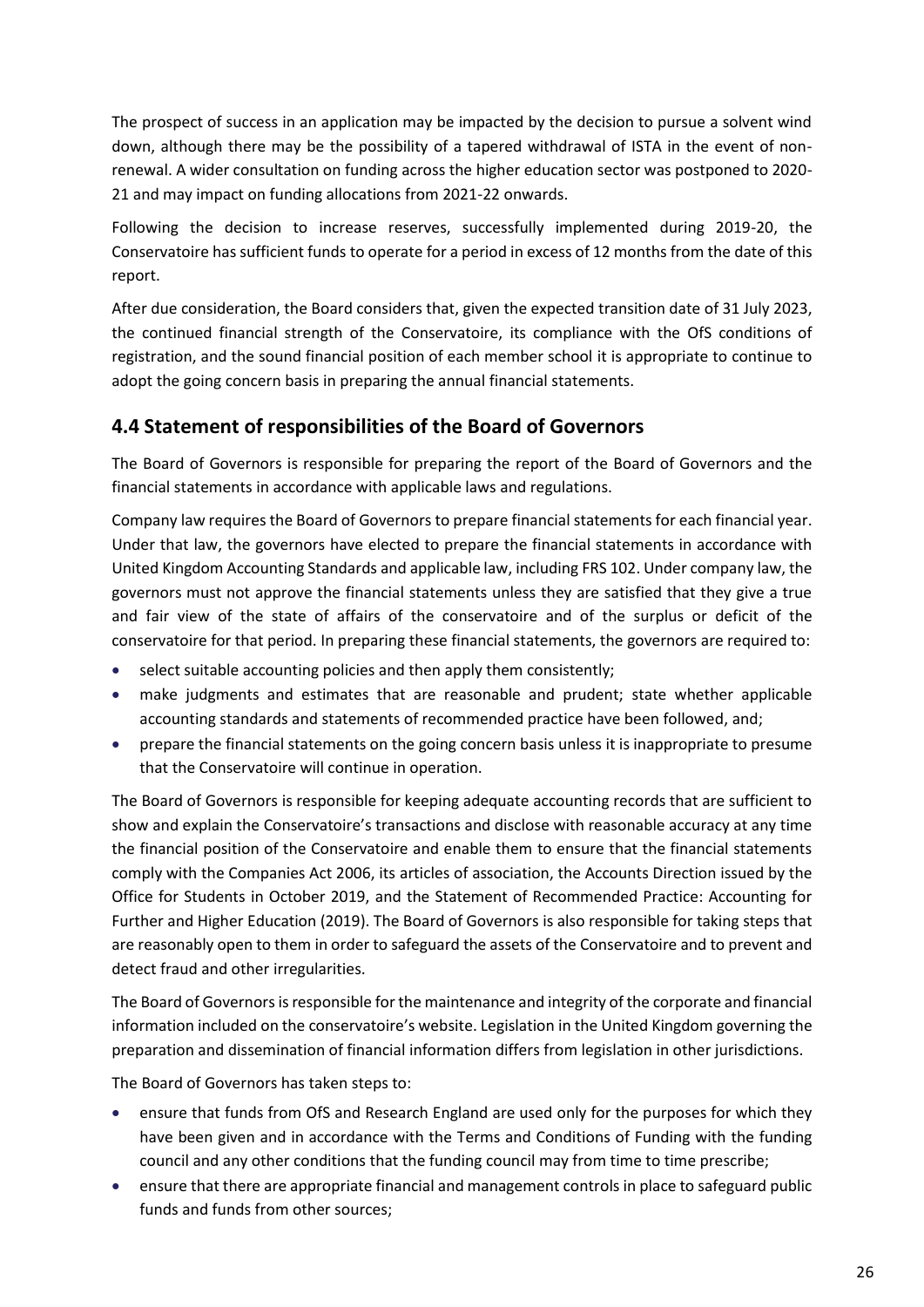The prospect of success in an application may be impacted by the decision to pursue a solvent wind down, although there may be the possibility of a tapered withdrawal of ISTA in the event of nonrenewal. A wider consultation on funding across the higher education sector was postponed to 2020- 21 and may impact on funding allocations from 2021-22 onwards.

Following the decision to increase reserves, successfully implemented during 2019-20, the Conservatoire has sufficient funds to operate for a period in excess of 12 months from the date of this report.

After due consideration, the Board considers that, given the expected transition date of 31 July 2023, the continued financial strength of the Conservatoire, its compliance with the OfS conditions of registration, and the sound financial position of each member school it is appropriate to continue to adopt the going concern basis in preparing the annual financial statements.

# **4.4 Statement of responsibilities of the Board of Governors**

The Board of Governors is responsible for preparing the report of the Board of Governors and the financial statements in accordance with applicable laws and regulations.

Company law requires the Board of Governors to prepare financial statements for each financial year. Under that law, the governors have elected to prepare the financial statements in accordance with United Kingdom Accounting Standards and applicable law, including FRS 102. Under company law, the governors must not approve the financial statements unless they are satisfied that they give a true and fair view of the state of affairs of the conservatoire and of the surplus or deficit of the conservatoire for that period. In preparing these financial statements, the governors are required to:

- select suitable accounting policies and then apply them consistently;
- make judgments and estimates that are reasonable and prudent; state whether applicable accounting standards and statements of recommended practice have been followed, and;
- prepare the financial statements on the going concern basis unless it is inappropriate to presume that the Conservatoire will continue in operation.

The Board of Governors is responsible for keeping adequate accounting records that are sufficient to show and explain the Conservatoire's transactions and disclose with reasonable accuracy at any time the financial position of the Conservatoire and enable them to ensure that the financial statements comply with the Companies Act 2006, its articles of association, the Accounts Direction issued by the Office for Students in October 2019, and the Statement of Recommended Practice: Accounting for Further and Higher Education (2019). The Board of Governors is also responsible for taking steps that are reasonably open to them in order to safeguard the assets of the Conservatoire and to prevent and detect fraud and other irregularities.

The Board of Governors is responsible for the maintenance and integrity of the corporate and financial information included on the conservatoire's website. Legislation in the United Kingdom governing the preparation and dissemination of financial information differs from legislation in other jurisdictions.

The Board of Governors has taken steps to:

- ensure that funds from OfS and Research England are used only for the purposes for which they have been given and in accordance with the Terms and Conditions of Funding with the funding council and any other conditions that the funding council may from time to time prescribe;
- ensure that there are appropriate financial and management controls in place to safeguard public funds and funds from other sources;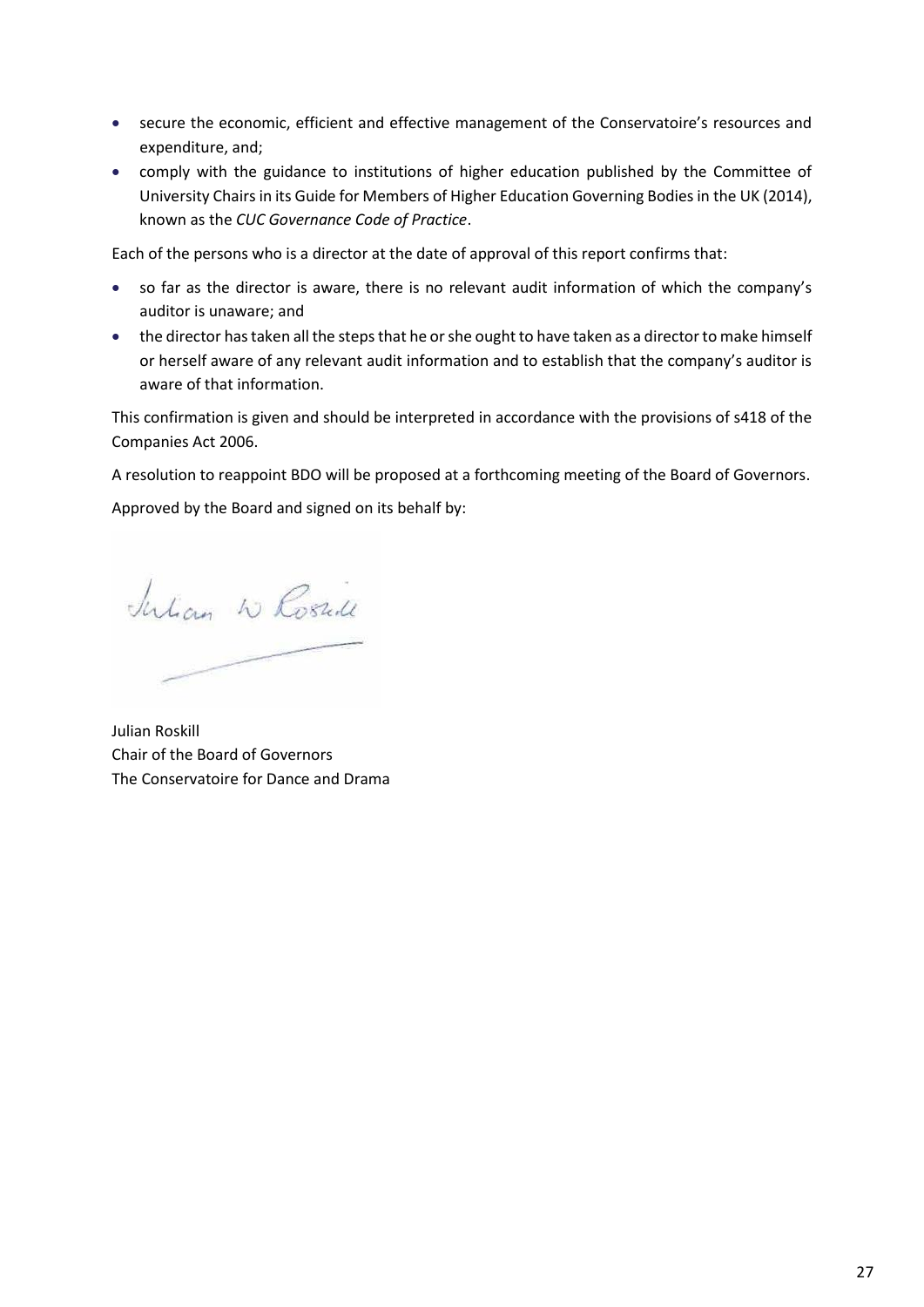- secure the economic, efficient and effective management of the Conservatoire's resources and expenditure, and;
- comply with the guidance to institutions of higher education published by the Committee of University Chairs in its Guide for Members of Higher Education Governing Bodies in the UK (2014), known as the *CUC Governance Code of Practice*.

Each of the persons who is a director at the date of approval of this report confirms that:

- so far as the director is aware, there is no relevant audit information of which the company's auditor is unaware; and
- the director has taken all the steps that he or she ought to have taken as a director to make himself or herself aware of any relevant audit information and to establish that the company's auditor is aware of that information.

This confirmation is given and should be interpreted in accordance with the provisions of s418 of the Companies Act 2006.

A resolution to reappoint BDO will be proposed at a forthcoming meeting of the Board of Governors.

Approved by the Board and signed on its behalf by:

Julian W Rosull

Julian Roskill Chair of the Board of Governors The Conservatoire for Dance and Drama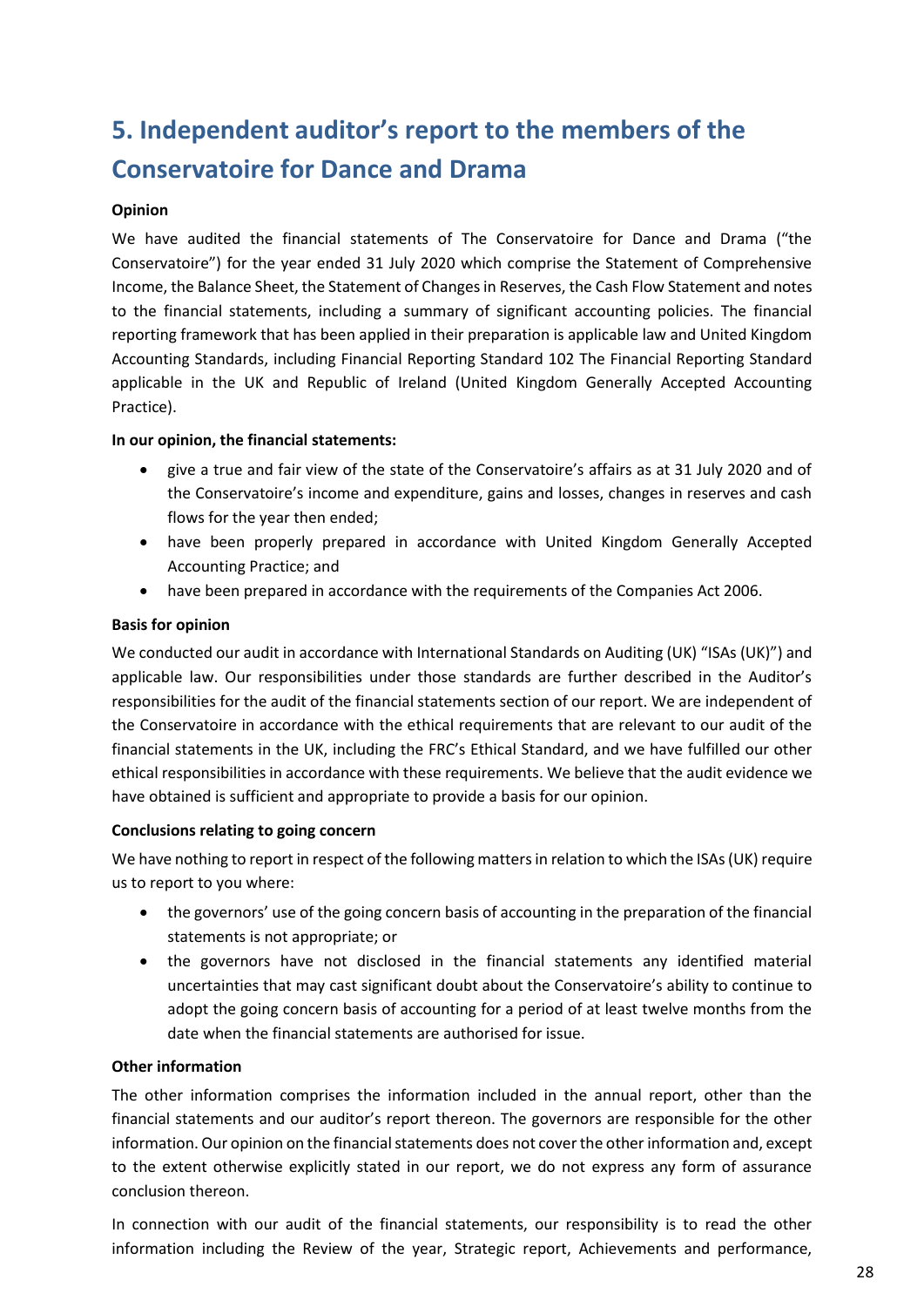# **5. Independent auditor's report to the members of the Conservatoire for Dance and Drama**

#### **Opinion**

We have audited the financial statements of The Conservatoire for Dance and Drama ("the Conservatoire") for the year ended 31 July 2020 which comprise the Statement of Comprehensive Income, the Balance Sheet, the Statement of Changes in Reserves, the Cash Flow Statement and notes to the financial statements, including a summary of significant accounting policies. The financial reporting framework that has been applied in their preparation is applicable law and United Kingdom Accounting Standards, including Financial Reporting Standard 102 The Financial Reporting Standard applicable in the UK and Republic of Ireland (United Kingdom Generally Accepted Accounting Practice).

# **In our opinion, the financial statements:**

- give a true and fair view of the state of the Conservatoire's affairs as at 31 July 2020 and of the Conservatoire's income and expenditure, gains and losses, changes in reserves and cash flows for the year then ended;
- have been properly prepared in accordance with United Kingdom Generally Accepted Accounting Practice; and
- have been prepared in accordance with the requirements of the Companies Act 2006.

# **Basis for opinion**

We conducted our audit in accordance with International Standards on Auditing (UK) "ISAs (UK)") and applicable law. Our responsibilities under those standards are further described in the Auditor's responsibilities for the audit of the financial statements section of our report. We are independent of the Conservatoire in accordance with the ethical requirements that are relevant to our audit of the financial statements in the UK, including the FRC's Ethical Standard, and we have fulfilled our other ethical responsibilities in accordance with these requirements. We believe that the audit evidence we have obtained is sufficient and appropriate to provide a basis for our opinion.

#### **Conclusions relating to going concern**

We have nothing to report in respect of the following matters in relation to which the ISAs (UK) require us to report to you where:

- the governors' use of the going concern basis of accounting in the preparation of the financial statements is not appropriate; or
- the governors have not disclosed in the financial statements any identified material uncertainties that may cast significant doubt about the Conservatoire's ability to continue to adopt the going concern basis of accounting for a period of at least twelve months from the date when the financial statements are authorised for issue.

#### **Other information**

The other information comprises the information included in the annual report, other than the financial statements and our auditor's report thereon. The governors are responsible for the other information. Our opinion on the financial statements does not cover the other information and, except to the extent otherwise explicitly stated in our report, we do not express any form of assurance conclusion thereon.

In connection with our audit of the financial statements, our responsibility is to read the other information including the Review of the year, Strategic report, Achievements and performance,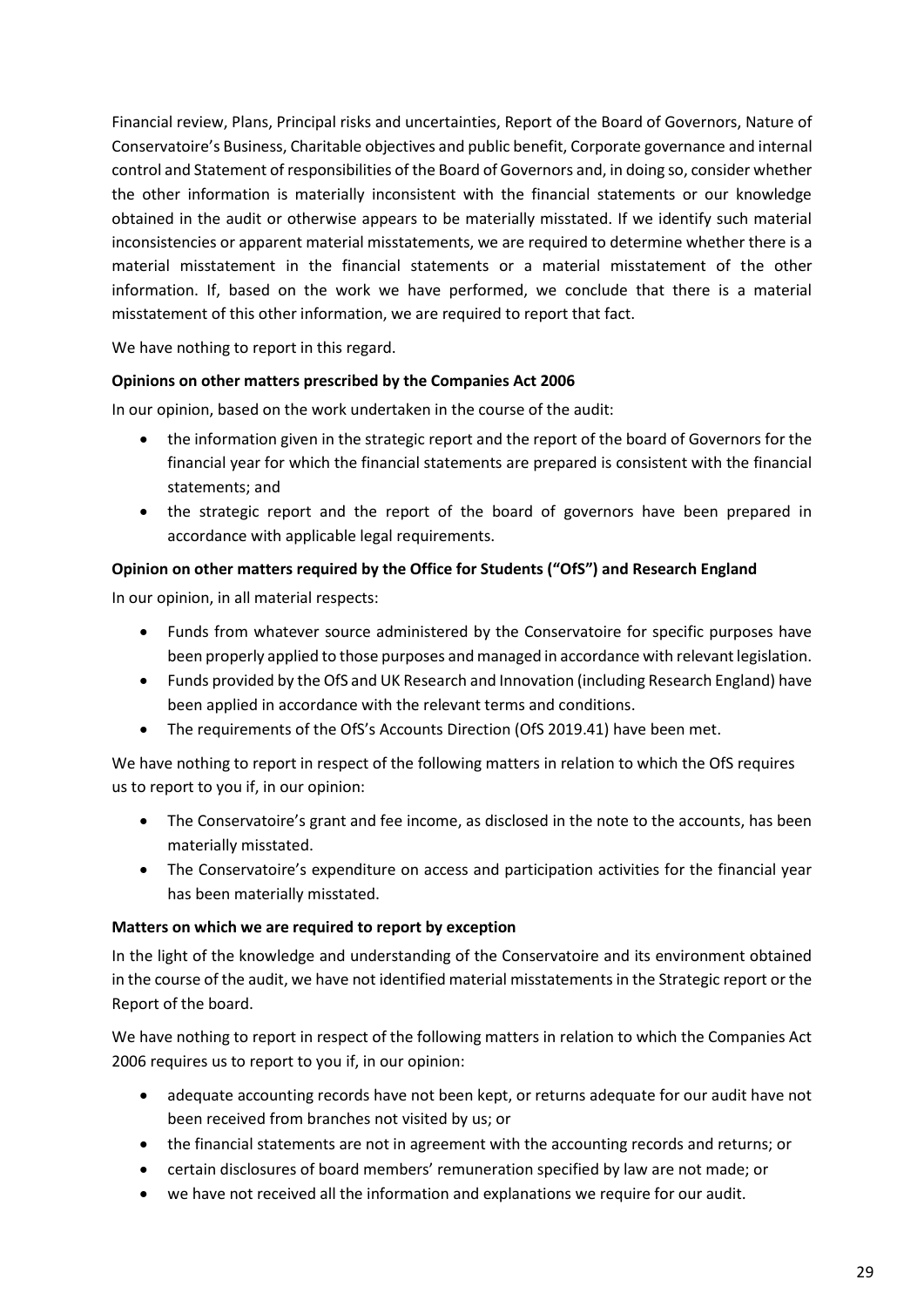Financial review, Plans, Principal risks and uncertainties, Report of the Board of Governors, Nature of Conservatoire's Business, Charitable objectives and public benefit, Corporate governance and internal control and Statement of responsibilities of the Board of Governors and, in doing so, consider whether the other information is materially inconsistent with the financial statements or our knowledge obtained in the audit or otherwise appears to be materially misstated. If we identify such material inconsistencies or apparent material misstatements, we are required to determine whether there is a material misstatement in the financial statements or a material misstatement of the other information. If, based on the work we have performed, we conclude that there is a material misstatement of this other information, we are required to report that fact.

We have nothing to report in this regard.

# **Opinions on other matters prescribed by the Companies Act 2006**

In our opinion, based on the work undertaken in the course of the audit:

- the information given in the strategic report and the report of the board of Governors for the financial year for which the financial statements are prepared is consistent with the financial statements; and
- the strategic report and the report of the board of governors have been prepared in accordance with applicable legal requirements.

# **Opinion on other matters required by the Office for Students ("OfS") and Research England**

In our opinion, in all material respects:

- Funds from whatever source administered by the Conservatoire for specific purposes have been properly applied to those purposes and managed in accordance with relevant legislation.
- Funds provided by the OfS and UK Research and Innovation (including Research England) have been applied in accordance with the relevant terms and conditions.
- The requirements of the OfS's Accounts Direction (OfS 2019.41) have been met.

We have nothing to report in respect of the following matters in relation to which the OfS requires us to report to you if, in our opinion:

- The Conservatoire's grant and fee income, as disclosed in the note to the accounts, has been materially misstated.
- The Conservatoire's expenditure on access and participation activities for the financial year has been materially misstated.

# **Matters on which we are required to report by exception**

In the light of the knowledge and understanding of the Conservatoire and its environment obtained in the course of the audit, we have not identified material misstatements in the Strategic report or the Report of the board.

We have nothing to report in respect of the following matters in relation to which the Companies Act 2006 requires us to report to you if, in our opinion:

- adequate accounting records have not been kept, or returns adequate for our audit have not been received from branches not visited by us; or
- the financial statements are not in agreement with the accounting records and returns; or
- certain disclosures of board members' remuneration specified by law are not made; or
- we have not received all the information and explanations we require for our audit.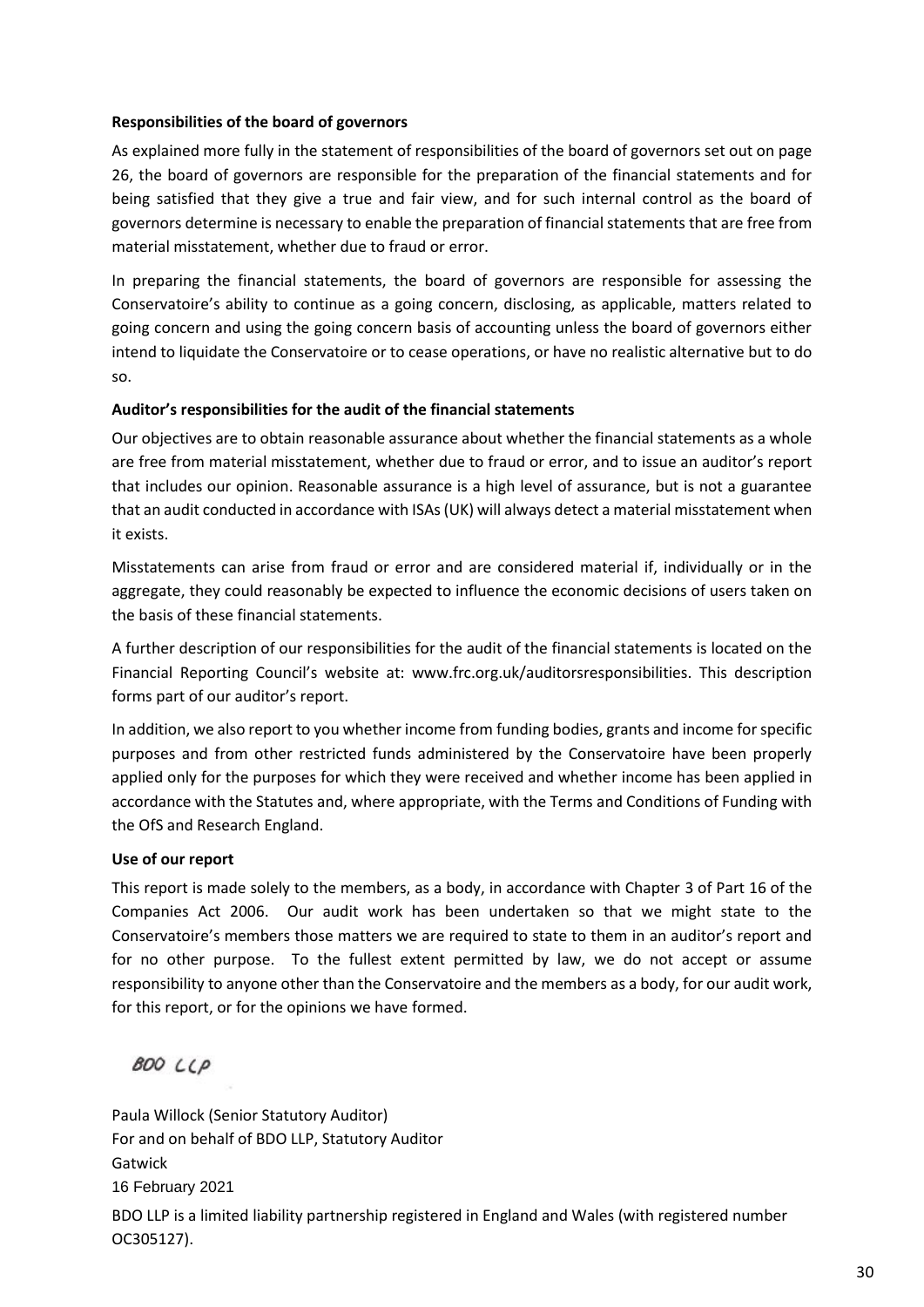# **Responsibilities of the board of governors**

As explained more fully in the statement of responsibilities of the board of governors set out on page 26, the board of governors are responsible for the preparation of the financial statements and for being satisfied that they give a true and fair view, and for such internal control as the board of governors determine is necessary to enable the preparation of financial statements that are free from material misstatement, whether due to fraud or error.

In preparing the financial statements, the board of governors are responsible for assessing the Conservatoire's ability to continue as a going concern, disclosing, as applicable, matters related to going concern and using the going concern basis of accounting unless the board of governors either intend to liquidate the Conservatoire or to cease operations, or have no realistic alternative but to do so.

# **Auditor's responsibilities for the audit of the financial statements**

Our objectives are to obtain reasonable assurance about whether the financial statements as a whole are free from material misstatement, whether due to fraud or error, and to issue an auditor's report that includes our opinion. Reasonable assurance is a high level of assurance, but is not a guarantee that an audit conducted in accordance with ISAs (UK) will always detect a material misstatement when it exists.

Misstatements can arise from fraud or error and are considered material if, individually or in the aggregate, they could reasonably be expected to influence the economic decisions of users taken on the basis of these financial statements.

A further description of our responsibilities for the audit of the financial statements is located on the Financial Reporting Council's website at: www.frc.org.uk/auditorsresponsibilities. This description forms part of our auditor's report.

In addition, we also report to you whether income from funding bodies, grants and income for specific purposes and from other restricted funds administered by the Conservatoire have been properly applied only for the purposes for which they were received and whether income has been applied in accordance with the Statutes and, where appropriate, with the Terms and Conditions of Funding with the OfS and Research England.

# **Use of our report**

This report is made solely to the members, as a body, in accordance with Chapter 3 of Part 16 of the Companies Act 2006. Our audit work has been undertaken so that we might state to the Conservatoire's members those matters we are required to state to them in an auditor's report and for no other purpose. To the fullest extent permitted by law, we do not accept or assume responsibility to anyone other than the Conservatoire and the members as a body, for our audit work, for this report, or for the opinions we have formed.

**BOO LLP** 

Paula Willock (Senior Statutory Auditor) For and on behalf of BDO LLP, Statutory Auditor Gatwick BDO LLP is a limited liability partnership registered in England and Wales (with registered number OC305127). 16 February 2021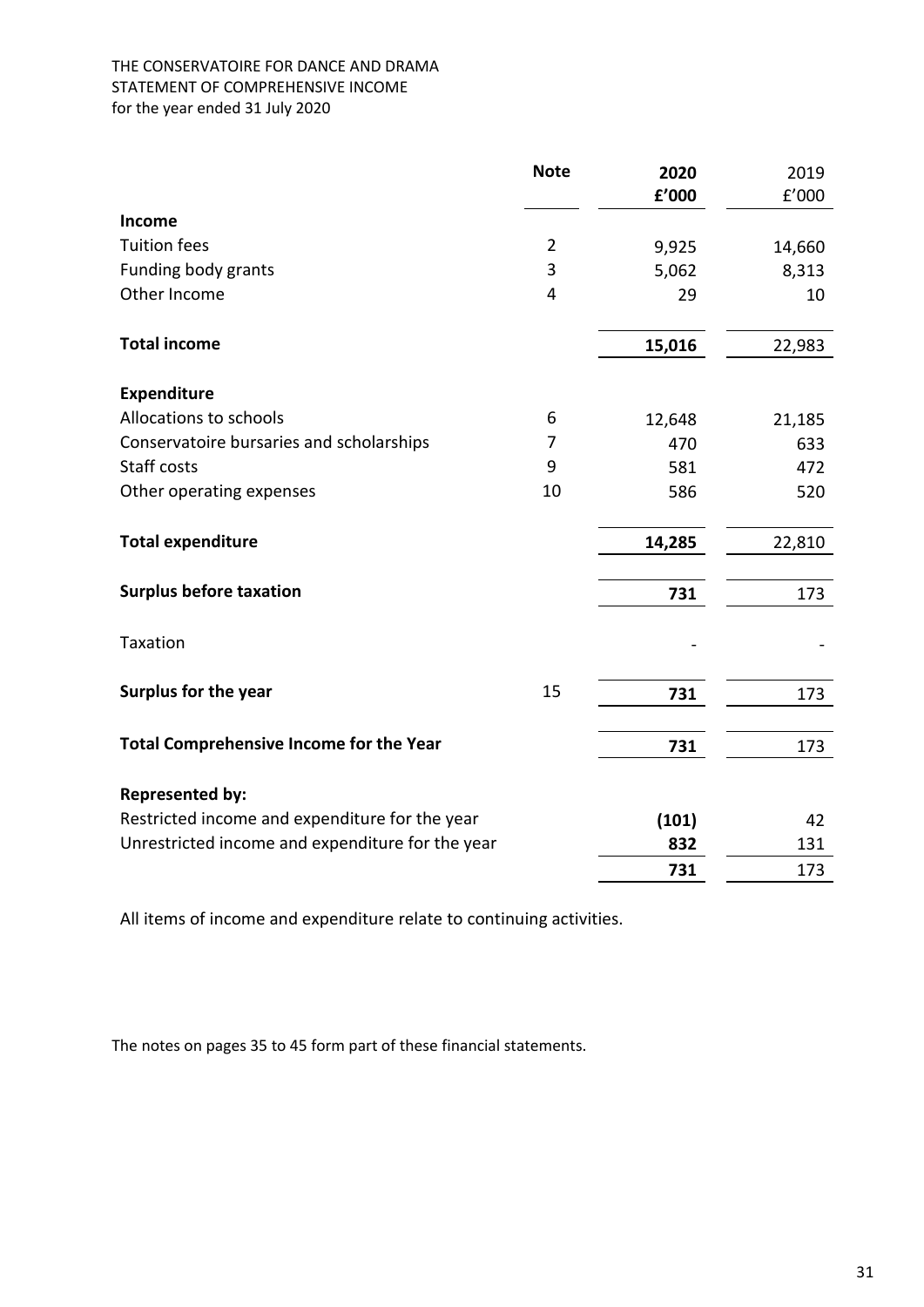# THE CONSERVATOIRE FOR DANCE AND DRAMA STATEMENT OF COMPREHENSIVE INCOME for the year ended 31 July 2020

|                                                  | <b>Note</b>    | 2020   | 2019   |
|--------------------------------------------------|----------------|--------|--------|
|                                                  |                | £'000  | f'000  |
| Income                                           |                |        |        |
| <b>Tuition fees</b>                              | $\overline{2}$ | 9,925  | 14,660 |
| Funding body grants                              | 3              | 5,062  | 8,313  |
| Other Income                                     | 4              | 29     | 10     |
| <b>Total income</b>                              |                | 15,016 | 22,983 |
| <b>Expenditure</b>                               |                |        |        |
| Allocations to schools                           | 6              | 12,648 | 21,185 |
| Conservatoire bursaries and scholarships         | 7              | 470    | 633    |
| Staff costs                                      | 9              | 581    | 472    |
| Other operating expenses                         | 10             | 586    | 520    |
| <b>Total expenditure</b>                         |                | 14,285 | 22,810 |
| <b>Surplus before taxation</b>                   |                | 731    | 173    |
| Taxation                                         |                |        |        |
| <b>Surplus for the year</b>                      | 15             | 731    | 173    |
| <b>Total Comprehensive Income for the Year</b>   |                | 731    | 173    |
| <b>Represented by:</b>                           |                |        |        |
| Restricted income and expenditure for the year   |                | (101)  | 42     |
| Unrestricted income and expenditure for the year |                | 832    | 131    |
|                                                  |                | 731    | 173    |

All items of income and expenditure relate to continuing activities.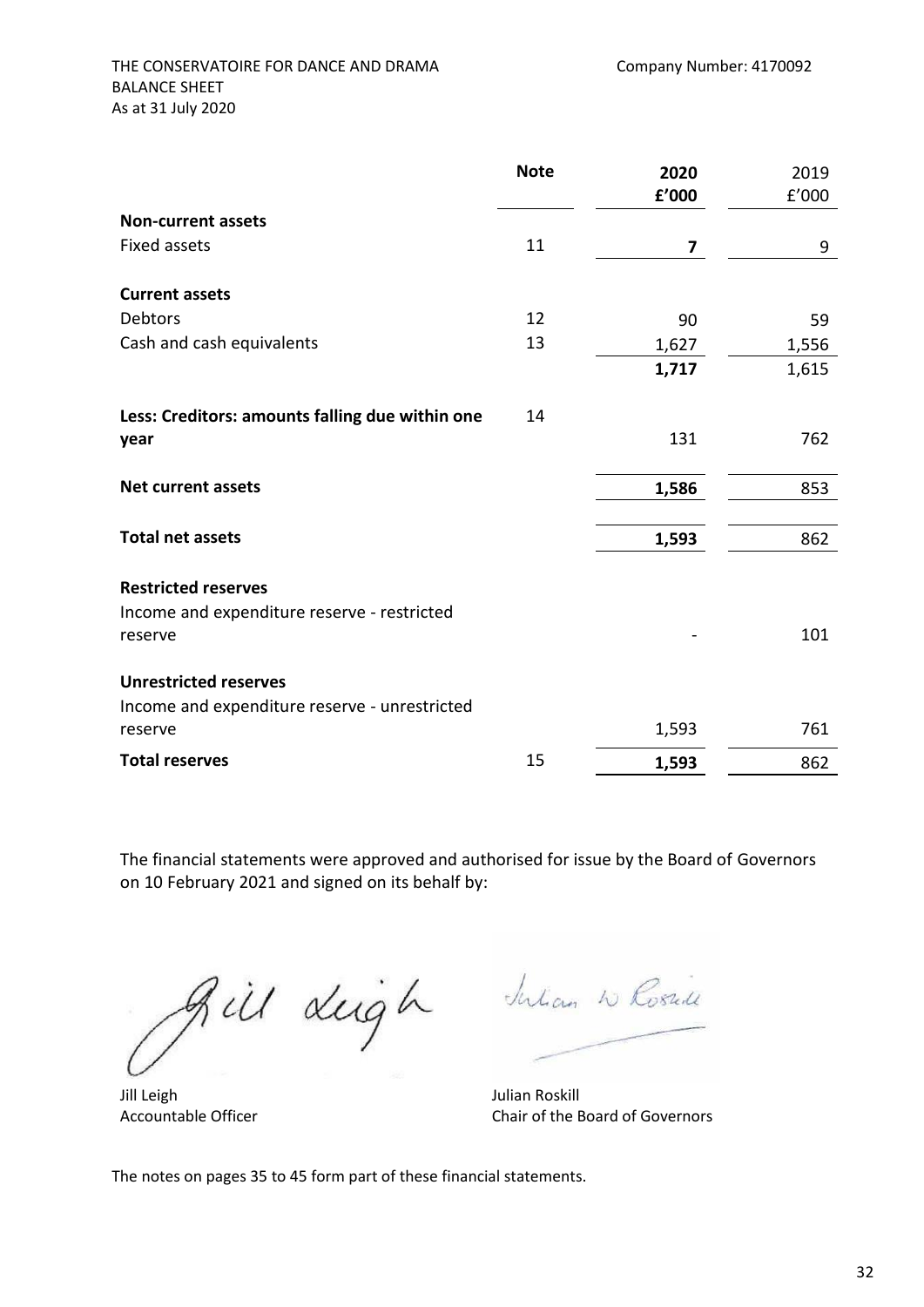|                                                                                          | <b>Note</b> | 2020  | 2019  |
|------------------------------------------------------------------------------------------|-------------|-------|-------|
|                                                                                          |             | £'000 | f'000 |
| <b>Non-current assets</b>                                                                |             |       |       |
| <b>Fixed assets</b>                                                                      | 11          | 7     | 9     |
| <b>Current assets</b>                                                                    |             |       |       |
| Debtors                                                                                  | 12          | 90    | 59    |
| Cash and cash equivalents                                                                | 13          | 1,627 | 1,556 |
|                                                                                          |             | 1,717 | 1,615 |
| Less: Creditors: amounts falling due within one                                          | 14          |       |       |
| year                                                                                     |             | 131   | 762   |
| <b>Net current assets</b>                                                                |             | 1,586 | 853   |
| <b>Total net assets</b>                                                                  |             | 1,593 | 862   |
| <b>Restricted reserves</b><br>Income and expenditure reserve - restricted<br>reserve     |             |       | 101   |
| <b>Unrestricted reserves</b><br>Income and expenditure reserve - unrestricted<br>reserve |             |       | 761   |
|                                                                                          |             | 1,593 |       |
| <b>Total reserves</b>                                                                    | 15          | 1,593 | 862   |

The financial statements were approved and authorised for issue by the Board of Governors on 10 February 2021 and signed on its behalf by:

Bill dugh dulan w Rosald

Jill Leigh Julian Roskill

Accountable Officer Chair of the Board of Governors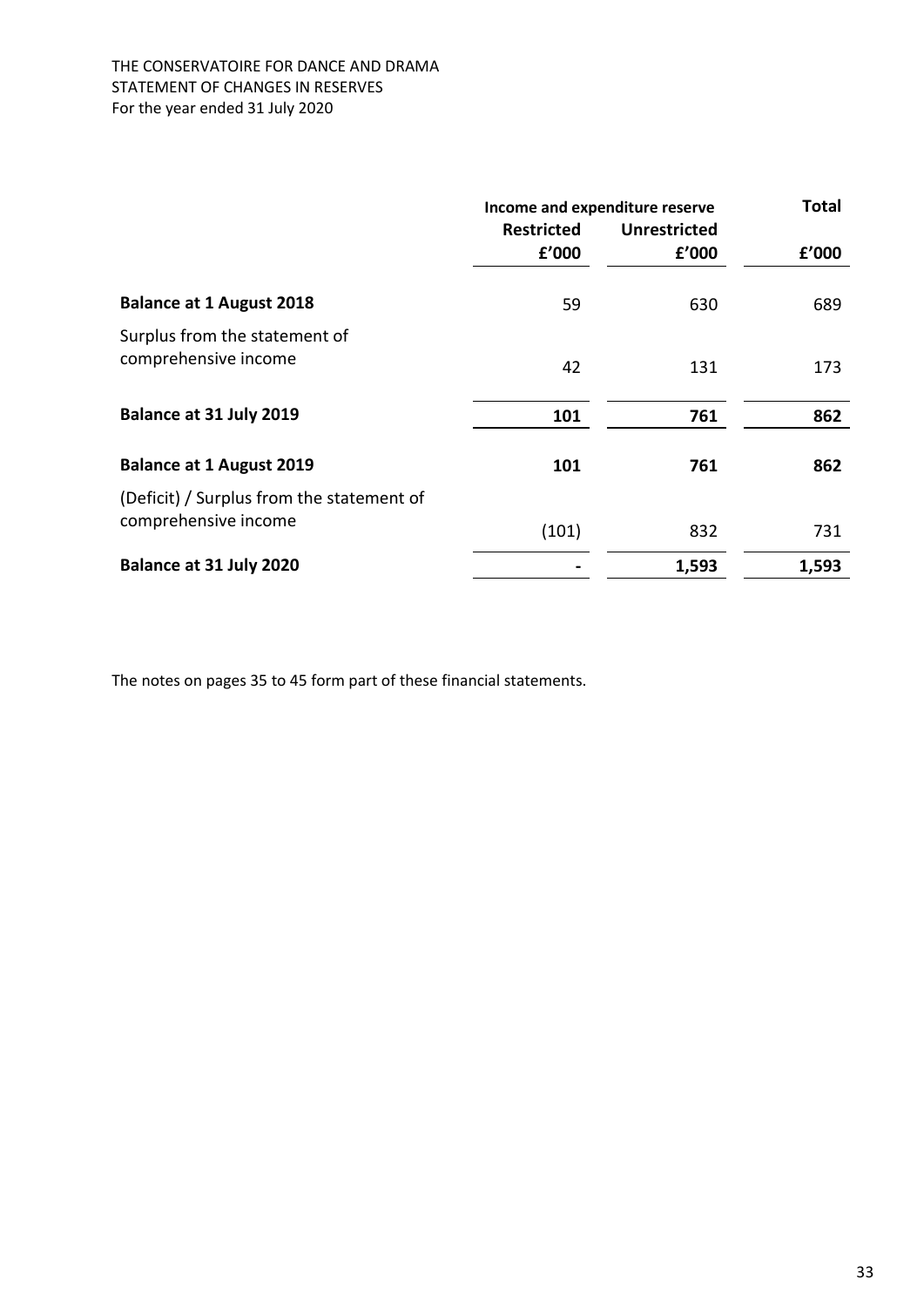# THE CONSERVATOIRE FOR DANCE AND DRAMA STATEMENT OF CHANGES IN RESERVES For the year ended 31 July 2020

|                                                                   | Income and expenditure reserve |                     | <b>Total</b> |
|-------------------------------------------------------------------|--------------------------------|---------------------|--------------|
|                                                                   | <b>Restricted</b>              | <b>Unrestricted</b> |              |
|                                                                   | f'000                          | f'000               | f'000        |
| <b>Balance at 1 August 2018</b>                                   | 59                             | 630                 | 689          |
| Surplus from the statement of<br>comprehensive income             | 42                             | 131                 | 173          |
| Balance at 31 July 2019                                           | 101                            | 761                 | 862          |
| <b>Balance at 1 August 2019</b>                                   | 101                            | 761                 | 862          |
| (Deficit) / Surplus from the statement of<br>comprehensive income | (101)                          | 832                 | 731          |
| Balance at 31 July 2020                                           |                                | 1,593               | 1,593        |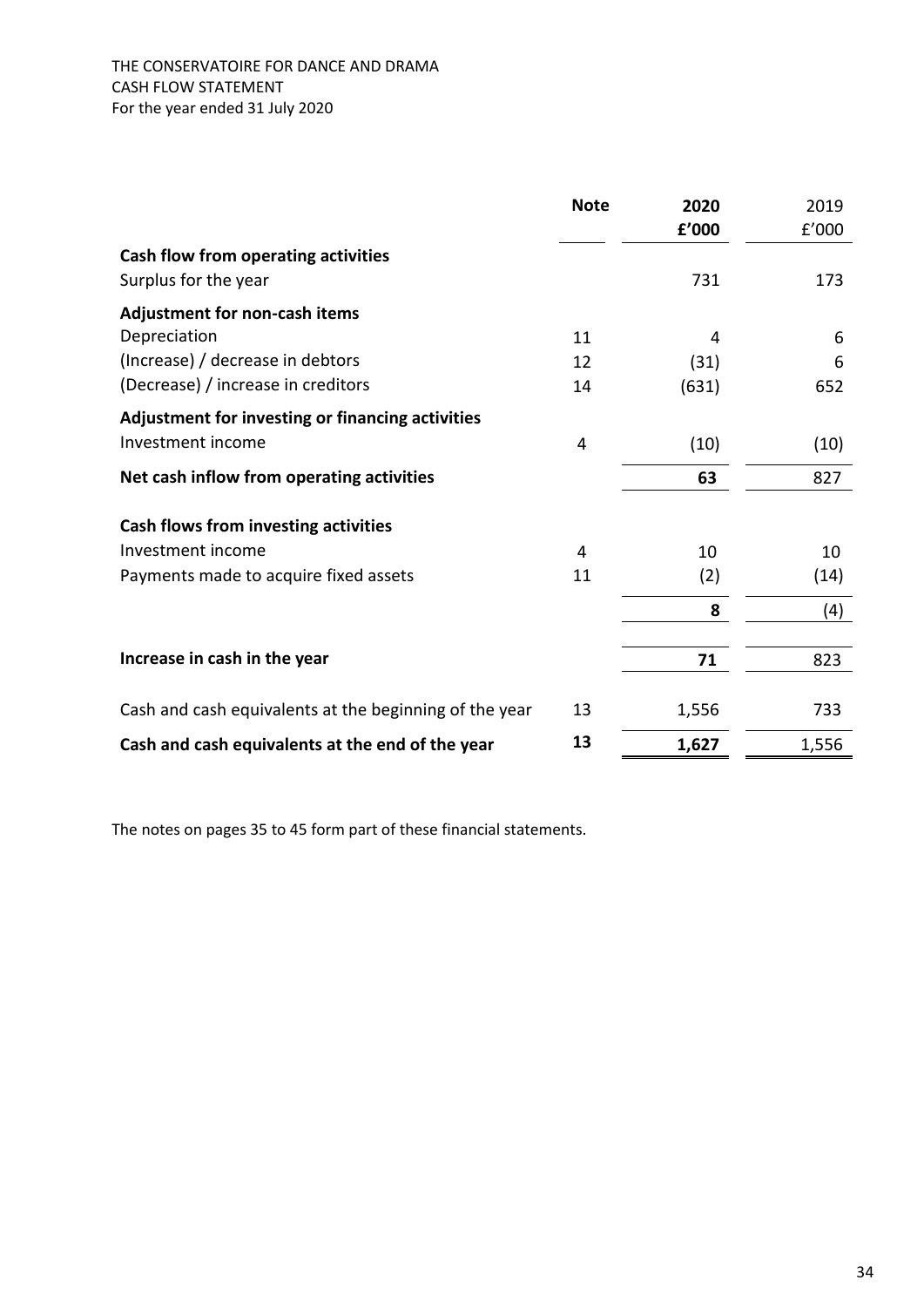|                                                        | <b>Note</b> | 2020<br>f'000 | 2019<br>f'000 |
|--------------------------------------------------------|-------------|---------------|---------------|
| Cash flow from operating activities                    |             |               |               |
| Surplus for the year                                   |             | 731           | 173           |
| <b>Adjustment for non-cash items</b>                   |             |               |               |
| Depreciation                                           | 11          | 4             | 6             |
| (Increase) / decrease in debtors                       | 12          | (31)          | 6             |
| (Decrease) / increase in creditors                     | 14          | (631)         | 652           |
| Adjustment for investing or financing activities       |             |               |               |
| Investment income                                      | 4           | (10)          | (10)          |
| Net cash inflow from operating activities              |             | 63            | 827           |
| Cash flows from investing activities                   |             |               |               |
| Investment income                                      | 4           | 10            | 10            |
| Payments made to acquire fixed assets                  | 11          | (2)           | (14)          |
|                                                        |             | 8             | (4)           |
| Increase in cash in the year                           |             |               | 823           |
|                                                        |             | 71            |               |
| Cash and cash equivalents at the beginning of the year | 13          | 1,556         | 733           |
| Cash and cash equivalents at the end of the year       | 13          | 1,627         | 1,556         |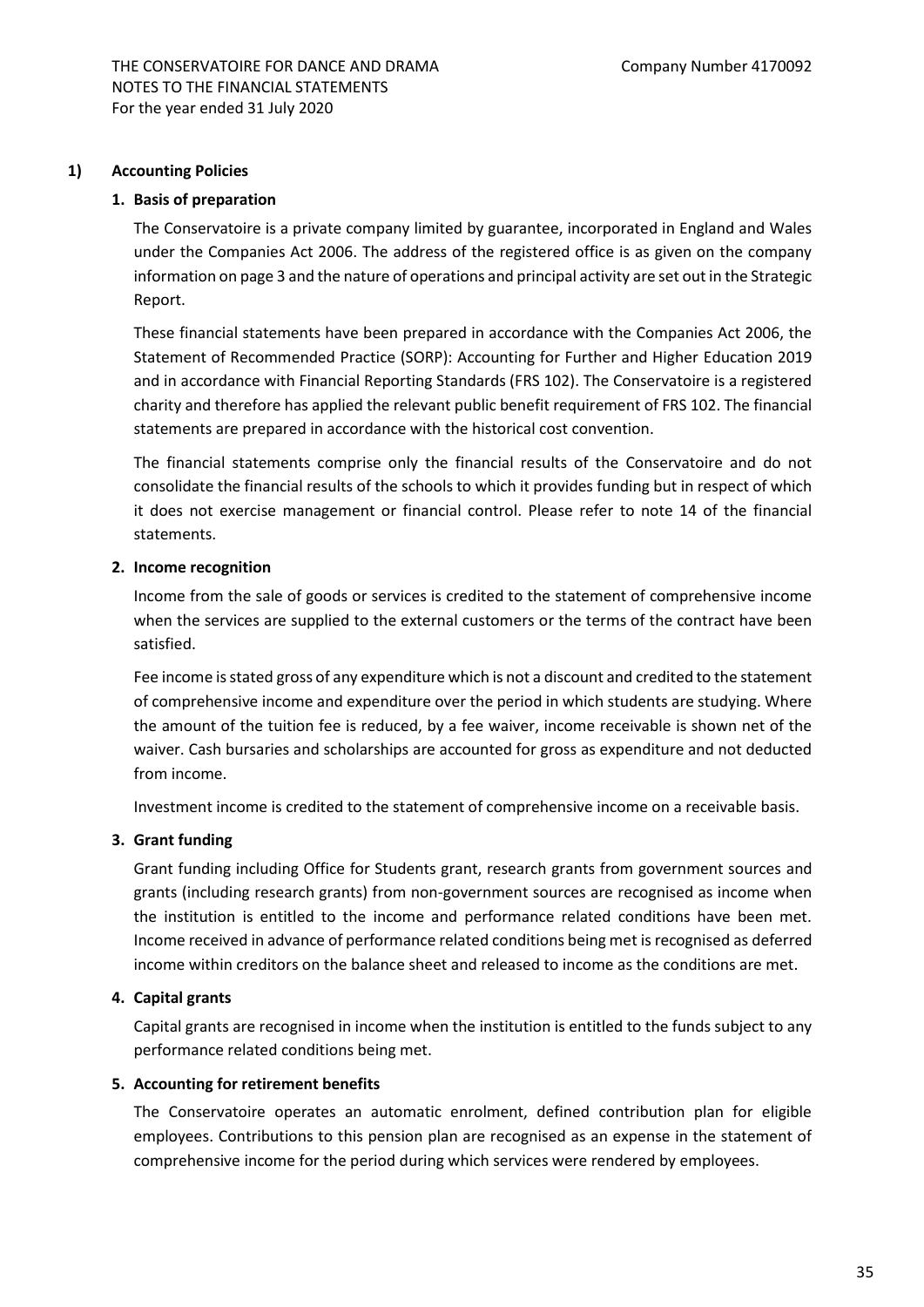#### **1) Accounting Policies**

#### **1. Basis of preparation**

The Conservatoire is a private company limited by guarantee, incorporated in England and Wales under the Companies Act 2006. The address of the registered office is as given on the company information on page 3 and the nature of operations and principal activity are set out in the Strategic Report.

These financial statements have been prepared in accordance with the Companies Act 2006, the Statement of Recommended Practice (SORP): Accounting for Further and Higher Education 2019 and in accordance with Financial Reporting Standards (FRS 102). The Conservatoire is a registered charity and therefore has applied the relevant public benefit requirement of FRS 102. The financial statements are prepared in accordance with the historical cost convention.

The financial statements comprise only the financial results of the Conservatoire and do not consolidate the financial results of the schools to which it provides funding but in respect of which it does not exercise management or financial control. Please refer to note 14 of the financial statements.

#### **2. Income recognition**

Income from the sale of goods or services is credited to the statement of comprehensive income when the services are supplied to the external customers or the terms of the contract have been satisfied.

Fee income is stated gross of any expenditure which is not a discount and credited to the statement of comprehensive income and expenditure over the period in which students are studying. Where the amount of the tuition fee is reduced, by a fee waiver, income receivable is shown net of the waiver. Cash bursaries and scholarships are accounted for gross as expenditure and not deducted from income.

Investment income is credited to the statement of comprehensive income on a receivable basis.

#### **3. Grant funding**

Grant funding including Office for Students grant, research grants from government sources and grants (including research grants) from non-government sources are recognised as income when the institution is entitled to the income and performance related conditions have been met. Income received in advance of performance related conditions being met is recognised as deferred income within creditors on the balance sheet and released to income as the conditions are met.

#### **4. Capital grants**

Capital grants are recognised in income when the institution is entitled to the funds subject to any performance related conditions being met.

#### **5. Accounting for retirement benefits**

The Conservatoire operates an automatic enrolment, defined contribution plan for eligible employees. Contributions to this pension plan are recognised as an expense in the statement of comprehensive income for the period during which services were rendered by employees.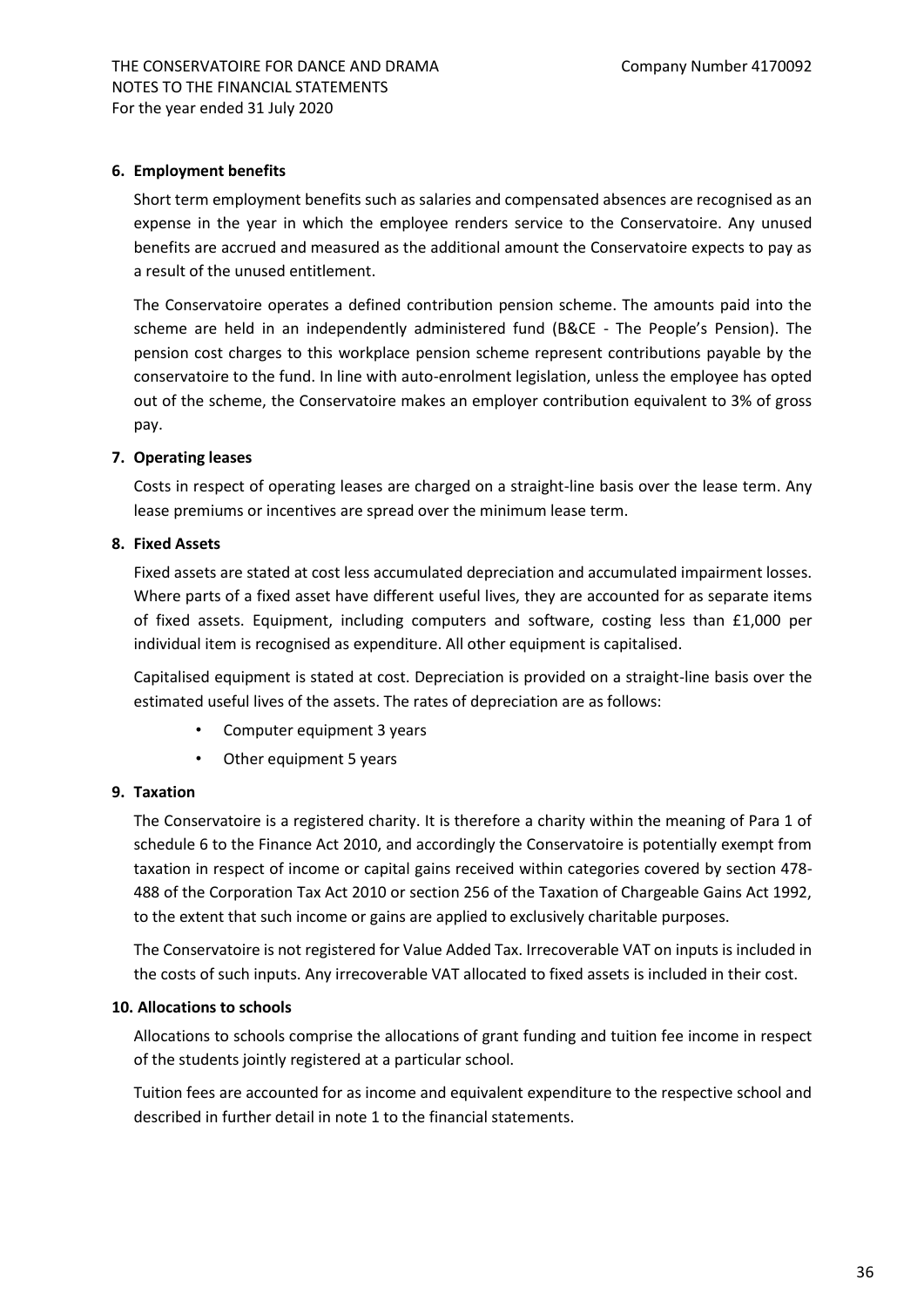#### **6. Employment benefits**

Short term employment benefits such as salaries and compensated absences are recognised as an expense in the year in which the employee renders service to the Conservatoire. Any unused benefits are accrued and measured as the additional amount the Conservatoire expects to pay as a result of the unused entitlement.

The Conservatoire operates a defined contribution pension scheme. The amounts paid into the scheme are held in an independently administered fund (B&CE - The People's Pension). The pension cost charges to this workplace pension scheme represent contributions payable by the conservatoire to the fund. In line with auto-enrolment legislation, unless the employee has opted out of the scheme, the Conservatoire makes an employer contribution equivalent to 3% of gross pay.

# **7. Operating leases**

Costs in respect of operating leases are charged on a straight-line basis over the lease term. Any lease premiums or incentives are spread over the minimum lease term.

# **8. Fixed Assets**

Fixed assets are stated at cost less accumulated depreciation and accumulated impairment losses. Where parts of a fixed asset have different useful lives, they are accounted for as separate items of fixed assets. Equipment, including computers and software, costing less than £1,000 per individual item is recognised as expenditure. All other equipment is capitalised.

Capitalised equipment is stated at cost. Depreciation is provided on a straight-line basis over the estimated useful lives of the assets. The rates of depreciation are as follows:

- Computer equipment 3 years
- Other equipment 5 years

#### **9. Taxation**

The Conservatoire is a registered charity. It is therefore a charity within the meaning of Para 1 of schedule 6 to the Finance Act 2010, and accordingly the Conservatoire is potentially exempt from taxation in respect of income or capital gains received within categories covered by section 478- 488 of the Corporation Tax Act 2010 or section 256 of the Taxation of Chargeable Gains Act 1992, to the extent that such income or gains are applied to exclusively charitable purposes.

The Conservatoire is not registered for Value Added Tax. Irrecoverable VAT on inputs is included in the costs of such inputs. Any irrecoverable VAT allocated to fixed assets is included in their cost.

#### **10. Allocations to schools**

Allocations to schools comprise the allocations of grant funding and tuition fee income in respect of the students jointly registered at a particular school.

Tuition fees are accounted for as income and equivalent expenditure to the respective school and described in further detail in note 1 to the financial statements.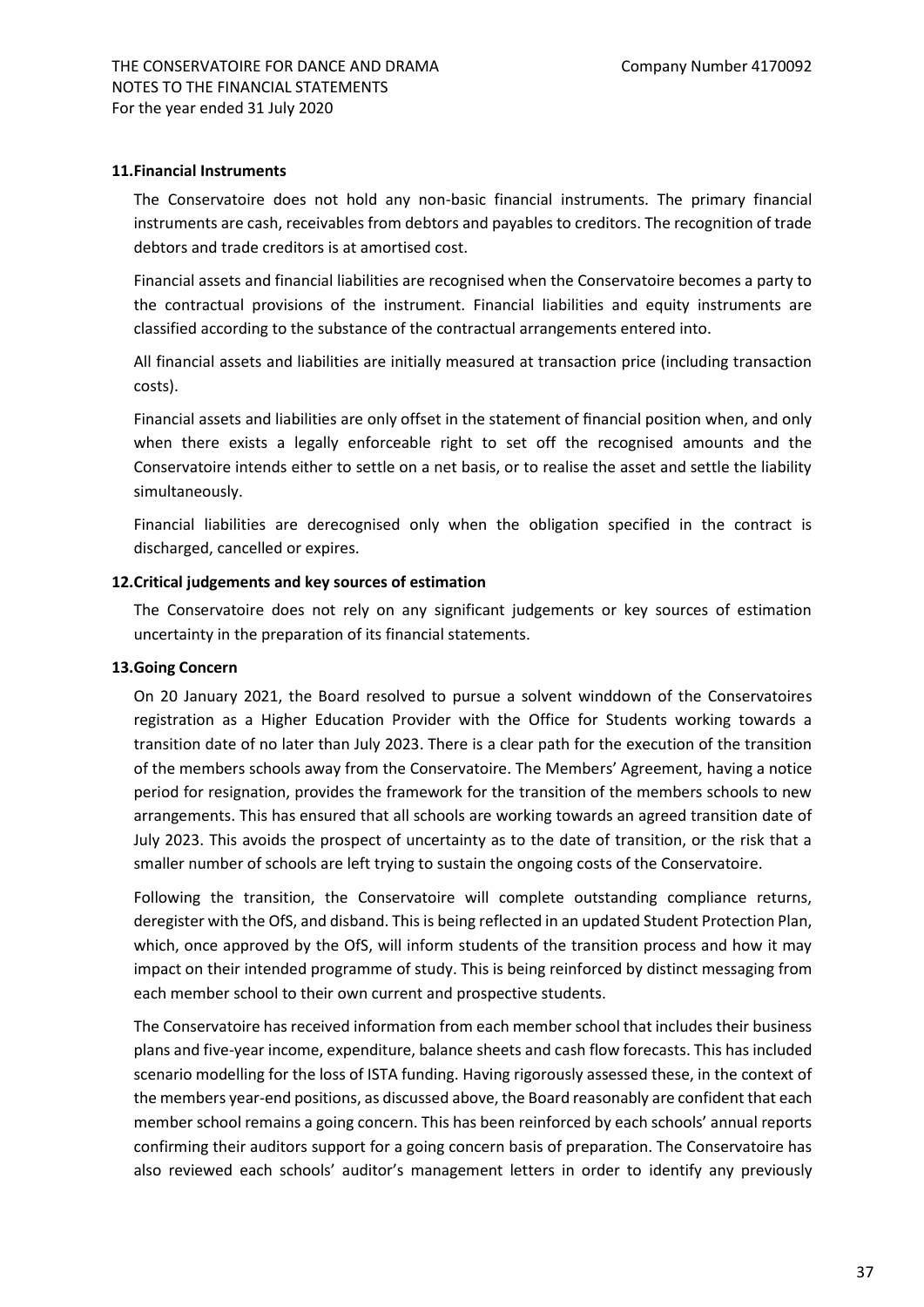#### **11.Financial Instruments**

The Conservatoire does not hold any non-basic financial instruments. The primary financial instruments are cash, receivables from debtors and payables to creditors. The recognition of trade debtors and trade creditors is at amortised cost.

Financial assets and financial liabilities are recognised when the Conservatoire becomes a party to the contractual provisions of the instrument. Financial liabilities and equity instruments are classified according to the substance of the contractual arrangements entered into.

All financial assets and liabilities are initially measured at transaction price (including transaction costs).

Financial assets and liabilities are only offset in the statement of financial position when, and only when there exists a legally enforceable right to set off the recognised amounts and the Conservatoire intends either to settle on a net basis, or to realise the asset and settle the liability simultaneously.

Financial liabilities are derecognised only when the obligation specified in the contract is discharged, cancelled or expires.

# **12.Critical judgements and key sources of estimation**

The Conservatoire does not rely on any significant judgements or key sources of estimation uncertainty in the preparation of its financial statements.

#### **13.Going Concern**

On 20 January 2021, the Board resolved to pursue a solvent winddown of the Conservatoires registration as a Higher Education Provider with the Office for Students working towards a transition date of no later than July 2023. There is a clear path for the execution of the transition of the members schools away from the Conservatoire. The Members' Agreement, having a notice period for resignation, provides the framework for the transition of the members schools to new arrangements. This has ensured that all schools are working towards an agreed transition date of July 2023. This avoids the prospect of uncertainty as to the date of transition, or the risk that a smaller number of schools are left trying to sustain the ongoing costs of the Conservatoire.

Following the transition, the Conservatoire will complete outstanding compliance returns, deregister with the OfS, and disband. This is being reflected in an updated Student Protection Plan, which, once approved by the OfS, will inform students of the transition process and how it may impact on their intended programme of study. This is being reinforced by distinct messaging from each member school to their own current and prospective students.

The Conservatoire has received information from each member school that includes their business plans and five-year income, expenditure, balance sheets and cash flow forecasts. This has included scenario modelling for the loss of ISTA funding. Having rigorously assessed these, in the context of the members year-end positions, as discussed above, the Board reasonably are confident that each member school remains a going concern. This has been reinforced by each schools' annual reports confirming their auditors support for a going concern basis of preparation. The Conservatoire has also reviewed each schools' auditor's management letters in order to identify any previously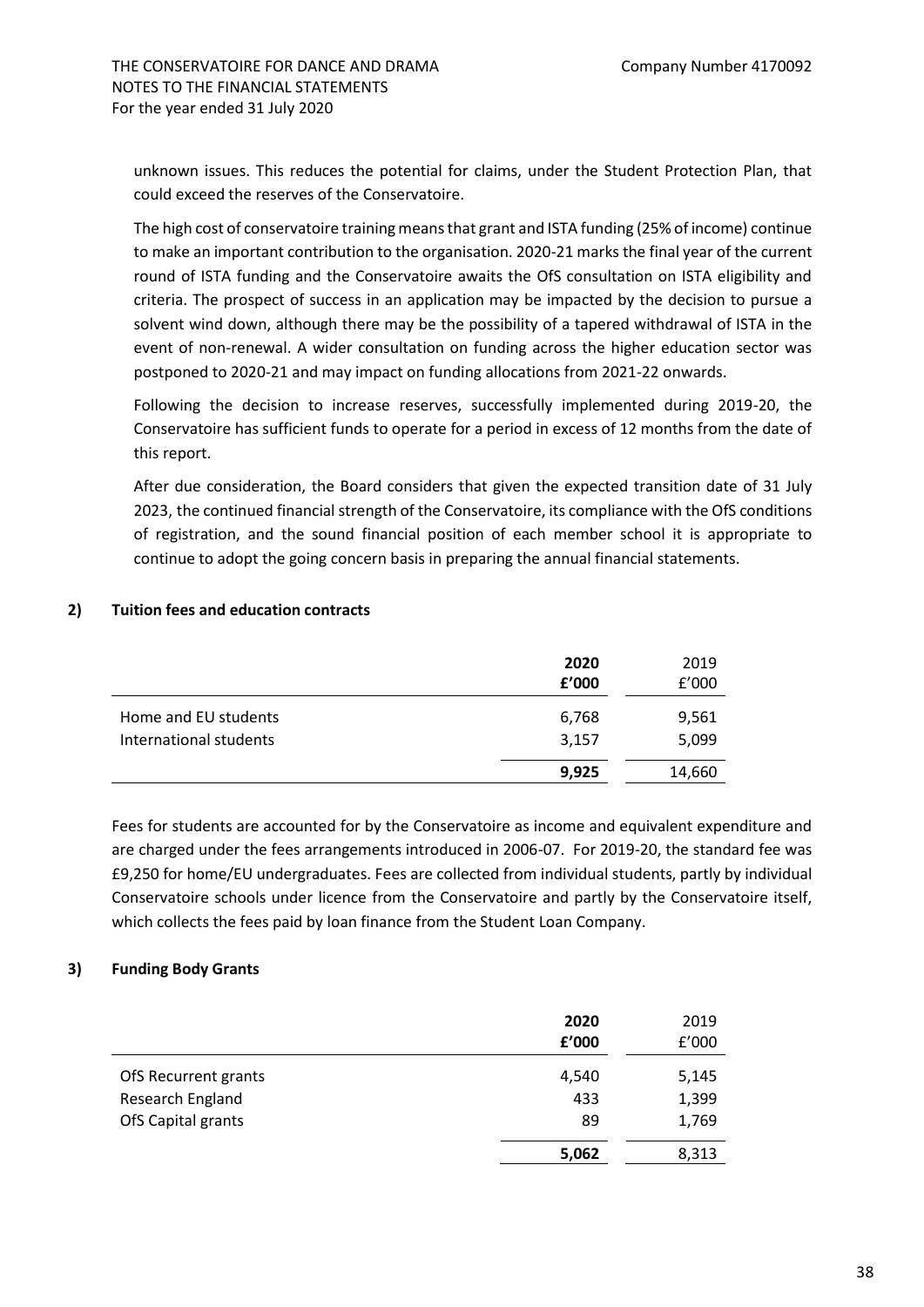unknown issues. This reduces the potential for claims, under the Student Protection Plan, that could exceed the reserves of the Conservatoire.

The high cost of conservatoire training means that grant and ISTA funding (25% of income) continue to make an important contribution to the organisation. 2020-21 marks the final year of the current round of ISTA funding and the Conservatoire awaits the OfS consultation on ISTA eligibility and criteria. The prospect of success in an application may be impacted by the decision to pursue a solvent wind down, although there may be the possibility of a tapered withdrawal of ISTA in the event of non-renewal. A wider consultation on funding across the higher education sector was postponed to 2020-21 and may impact on funding allocations from 2021-22 onwards.

Following the decision to increase reserves, successfully implemented during 2019-20, the Conservatoire has sufficient funds to operate for a period in excess of 12 months from the date of this report.

After due consideration, the Board considers that given the expected transition date of 31 July 2023, the continued financial strength of the Conservatoire, its compliance with the OfS conditions of registration, and the sound financial position of each member school it is appropriate to continue to adopt the going concern basis in preparing the annual financial statements.

# **2) Tuition fees and education contracts**

|                                                | 2020<br>£'000  | 2019<br>f'000  |
|------------------------------------------------|----------------|----------------|
| Home and EU students<br>International students | 6,768<br>3,157 | 9,561<br>5,099 |
|                                                | 9,925          | 14,660         |

Fees for students are accounted for by the Conservatoire as income and equivalent expenditure and are charged under the fees arrangements introduced in 2006-07. For 2019-20, the standard fee was £9,250 for home/EU undergraduates. Fees are collected from individual students, partly by individual Conservatoire schools under licence from the Conservatoire and partly by the Conservatoire itself, which collects the fees paid by loan finance from the Student Loan Company.

# **3) Funding Body Grants**

|                      | 2020<br>£'000 | 2019<br>f'000 |
|----------------------|---------------|---------------|
| OfS Recurrent grants | 4,540         | 5,145         |
| Research England     | 433           | 1,399         |
| OfS Capital grants   | 89            | 1,769         |
|                      | 5,062         | 8,313         |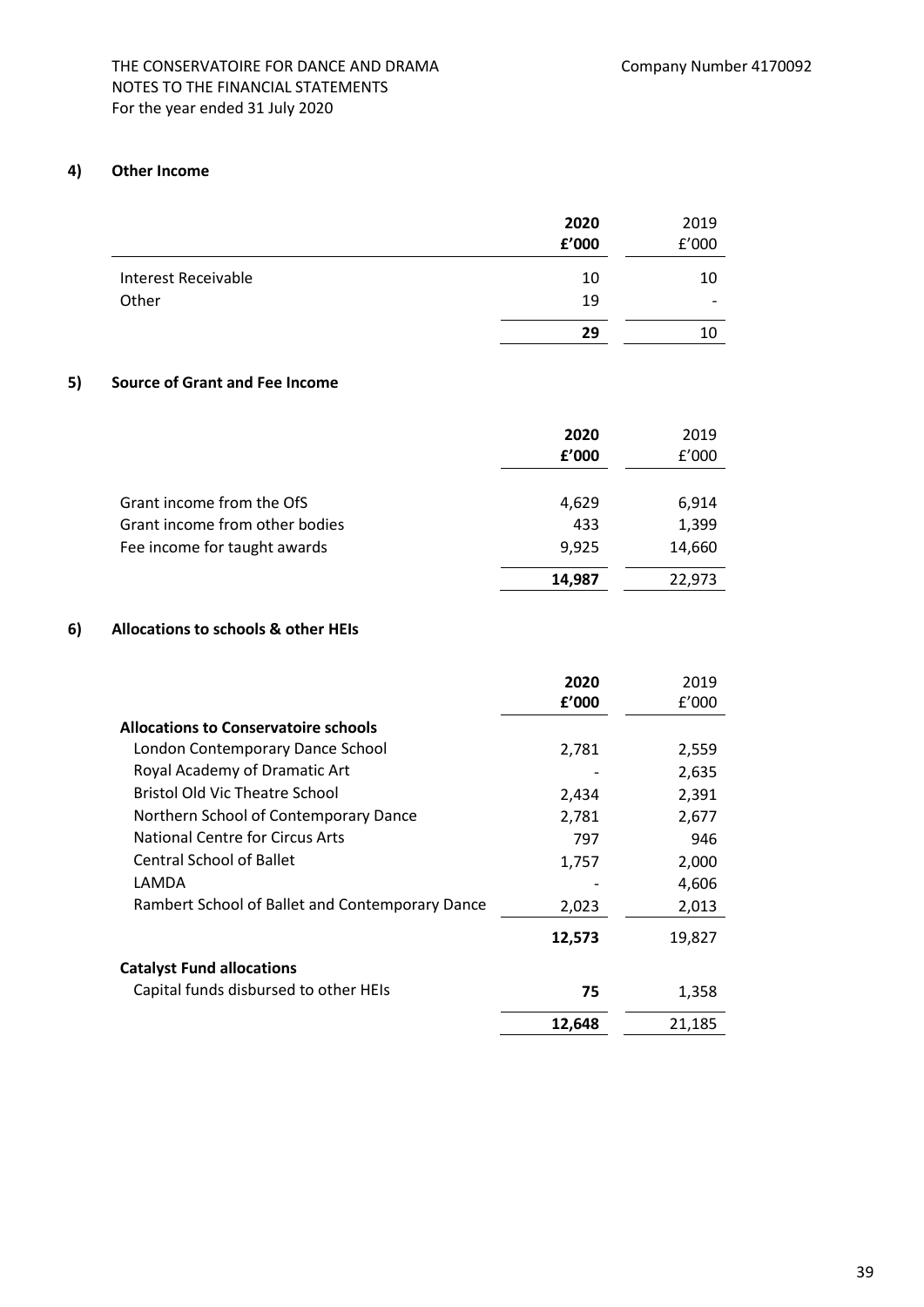# THE CONSERVATOIRE FOR DANCE AND DRAMA Company Number 4170092 NOTES TO THE FINANCIAL STATEMENTS For the year ended 31 July 2020

# **4) Other Income**

|                            | 2020<br>£'000 | 2019<br>f'000            |
|----------------------------|---------------|--------------------------|
|                            |               |                          |
| <b>Interest Receivable</b> | 10            | 10                       |
| Other                      | 19            | $\overline{\phantom{0}}$ |
|                            | 29            | 10                       |

# **5) Source of Grant and Fee Income**

|                                | 2020   | 2019   |
|--------------------------------|--------|--------|
|                                | f'000  | f'000  |
|                                |        |        |
| Grant income from the OfS      | 4,629  | 6,914  |
| Grant income from other bodies | 433    | 1,399  |
| Fee income for taught awards   | 9,925  | 14,660 |
|                                | 14,987 | 22,973 |
|                                |        |        |

# **6) Allocations to schools & other HEIs**

|                                                 | 2020   | 2019   |
|-------------------------------------------------|--------|--------|
|                                                 | f'000  | f'000  |
| <b>Allocations to Conservatoire schools</b>     |        |        |
| London Contemporary Dance School                | 2,781  | 2,559  |
| Royal Academy of Dramatic Art                   |        | 2,635  |
| <b>Bristol Old Vic Theatre School</b>           | 2,434  | 2,391  |
| Northern School of Contemporary Dance           | 2,781  | 2,677  |
| National Centre for Circus Arts                 | 797    | 946    |
| <b>Central School of Ballet</b>                 | 1,757  | 2,000  |
| LAMDA                                           |        | 4,606  |
| Rambert School of Ballet and Contemporary Dance | 2,023  | 2,013  |
|                                                 | 12,573 | 19,827 |
| <b>Catalyst Fund allocations</b>                |        |        |
| Capital funds disbursed to other HEIs           | 75     | 1,358  |
|                                                 | 12,648 | 21,185 |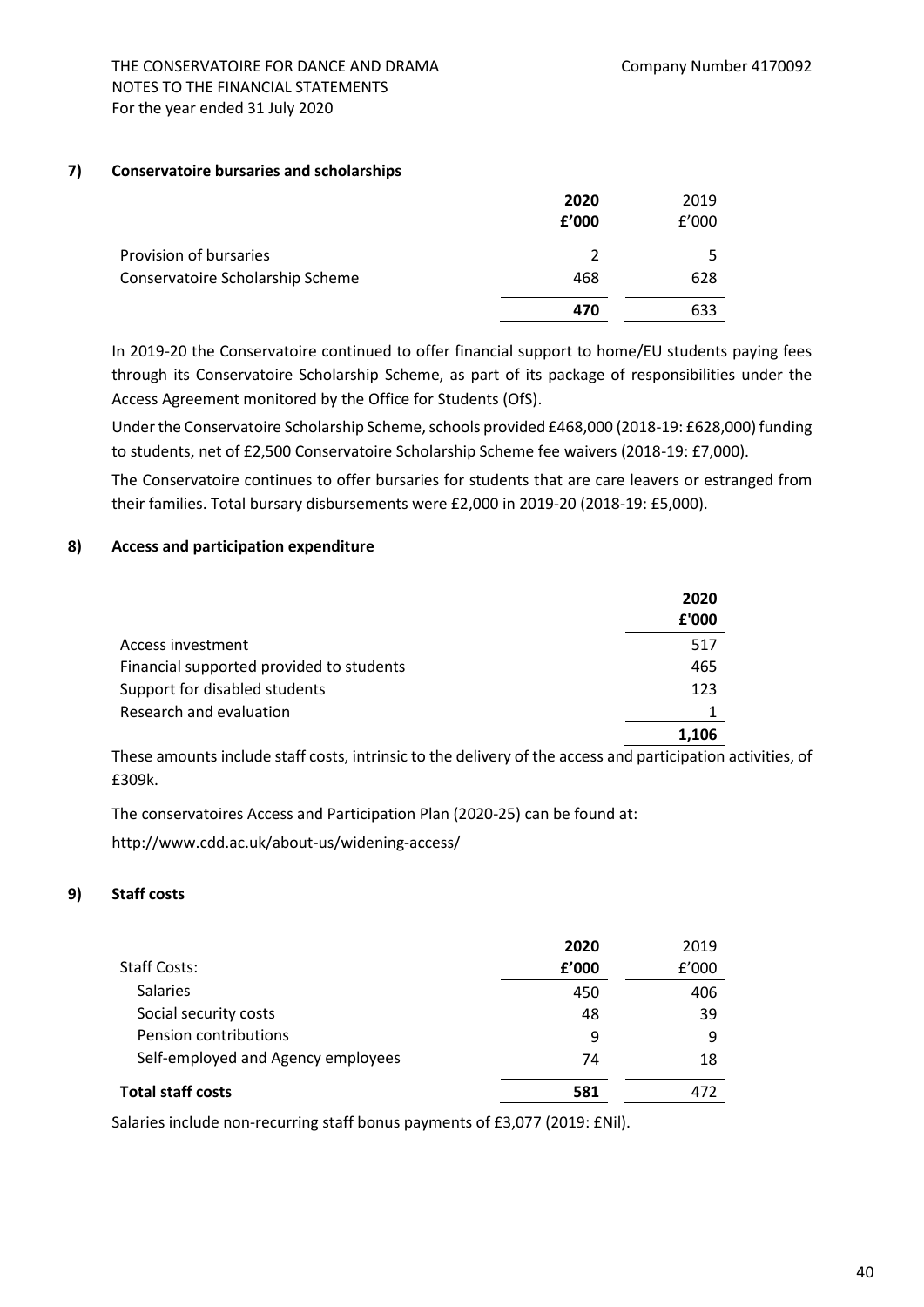#### **7) Conservatoire bursaries and scholarships**

|                                  | 2020<br>£'000 | 2019<br>f'000 |
|----------------------------------|---------------|---------------|
| Provision of bursaries           | $\mathcal{P}$ |               |
| Conservatoire Scholarship Scheme | 468           | 628           |
|                                  | 470           | 633           |

In 2019-20 the Conservatoire continued to offer financial support to home/EU students paying fees through its Conservatoire Scholarship Scheme, as part of its package of responsibilities under the Access Agreement monitored by the Office for Students (OfS).

Under the Conservatoire Scholarship Scheme, schools provided £468,000 (2018-19: £628,000) funding to students, net of £2,500 Conservatoire Scholarship Scheme fee waivers (2018-19: £7,000).

The Conservatoire continues to offer bursaries for students that are care leavers or estranged from their families. Total bursary disbursements were £2,000 in 2019-20 (2018-19: £5,000).

# **8) Access and participation expenditure**

|                                          | 2020<br>£'000 |
|------------------------------------------|---------------|
| Access investment                        | 517           |
| Financial supported provided to students | 465           |
| Support for disabled students            | 123           |
| Research and evaluation                  |               |
|                                          | 1.106         |

These amounts include staff costs, intrinsic to the delivery of the access and participation activities, of £309k.

The conservatoires Access and Participation Plan (2020-25) can be found at:

http://www.cdd.ac.uk/about-us/widening-access/

# **9) Staff costs**

|                                    | 2020  | 2019  |
|------------------------------------|-------|-------|
| Staff Costs:                       | f'000 | f'000 |
| <b>Salaries</b>                    | 450   | 406   |
| Social security costs              | 48    | 39    |
| Pension contributions              | 9     | q     |
| Self-employed and Agency employees | 74    | 18    |
| Total staff costs                  | 581   | 472   |

Salaries include non-recurring staff bonus payments of £3,077 (2019: £Nil).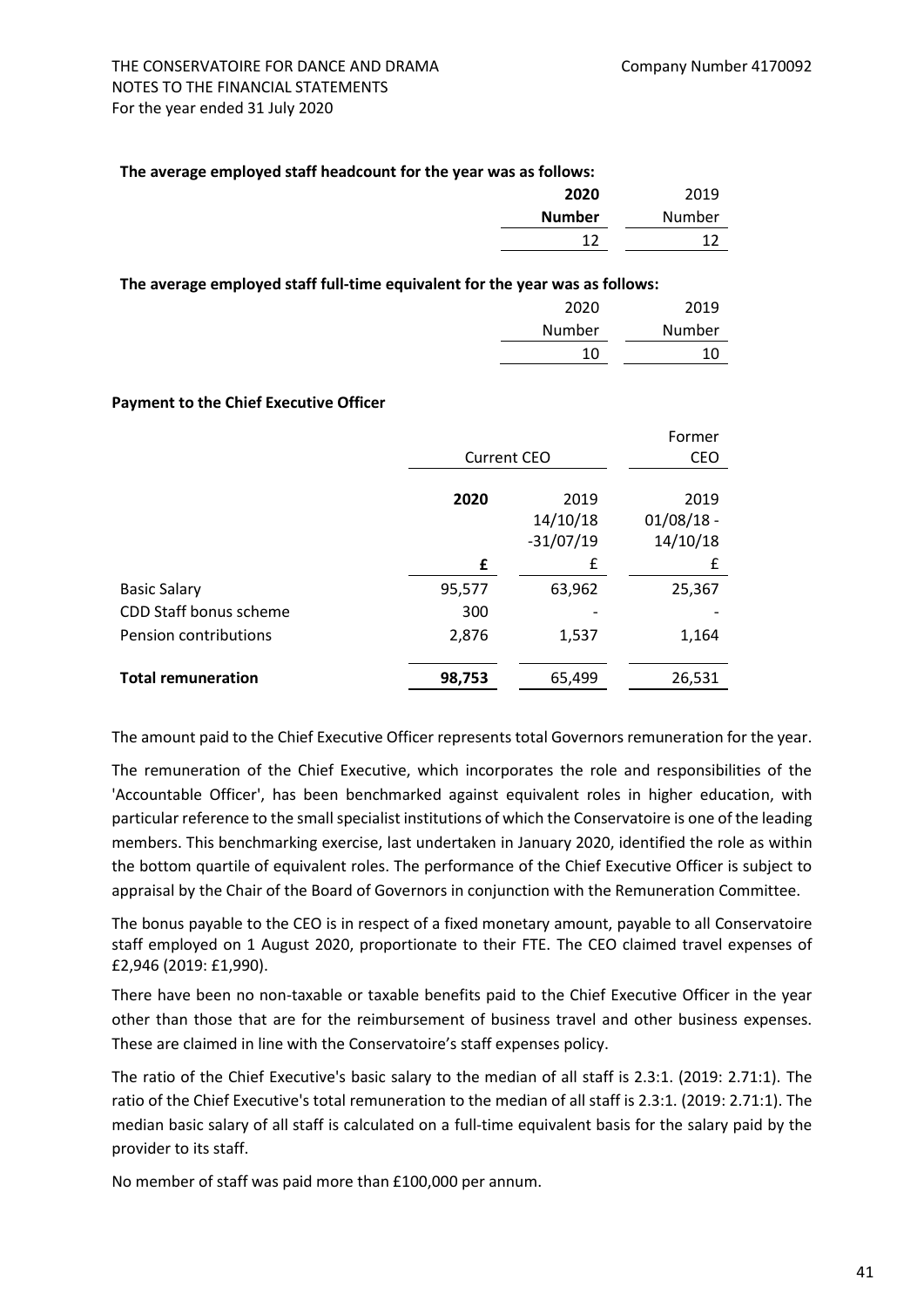#### **The average employed staff headcount for the year was as follows:**

| 2019   | 2020          |
|--------|---------------|
| Number | <b>Number</b> |
|        | 1 ว           |
|        |               |

#### **The average employed staff full-time equivalent for the year was as follows:**

| 2020   | 2019   |
|--------|--------|
| Number | Number |
| 10     | 10     |
|        |        |

#### **Payment to the Chief Executive Officer**

|                           |                    |             | Former       |
|---------------------------|--------------------|-------------|--------------|
|                           | <b>Current CEO</b> |             | CEO          |
|                           |                    |             |              |
|                           | 2020               | 2019        | 2019         |
|                           |                    | 14/10/18    | $01/08/18$ - |
|                           |                    | $-31/07/19$ | 14/10/18     |
|                           | £                  | £           | £            |
| <b>Basic Salary</b>       | 95,577             | 63,962      | 25,367       |
| CDD Staff bonus scheme    | 300                |             |              |
| Pension contributions     | 2,876              | 1,537       | 1,164        |
| <b>Total remuneration</b> | 98,753             | 65,499      | 26,531       |

The amount paid to the Chief Executive Officer represents total Governors remuneration for the year.

The remuneration of the Chief Executive, which incorporates the role and responsibilities of the 'Accountable Officer', has been benchmarked against equivalent roles in higher education, with particular reference to the small specialist institutions of which the Conservatoire is one of the leading members. This benchmarking exercise, last undertaken in January 2020, identified the role as within the bottom quartile of equivalent roles. The performance of the Chief Executive Officer is subject to appraisal by the Chair of the Board of Governors in conjunction with the Remuneration Committee.

The bonus payable to the CEO is in respect of a fixed monetary amount, payable to all Conservatoire staff employed on 1 August 2020, proportionate to their FTE. The CEO claimed travel expenses of £2,946 (2019: £1,990).

There have been no non-taxable or taxable benefits paid to the Chief Executive Officer in the year other than those that are for the reimbursement of business travel and other business expenses. These are claimed in line with the Conservatoire's staff expenses policy.

The ratio of the Chief Executive's basic salary to the median of all staff is 2.3:1. (2019: 2.71:1). The ratio of the Chief Executive's total remuneration to the median of all staff is 2.3:1. (2019: 2.71:1). The median basic salary of all staff is calculated on a full-time equivalent basis for the salary paid by the provider to its staff.

No member of staff was paid more than £100,000 per annum.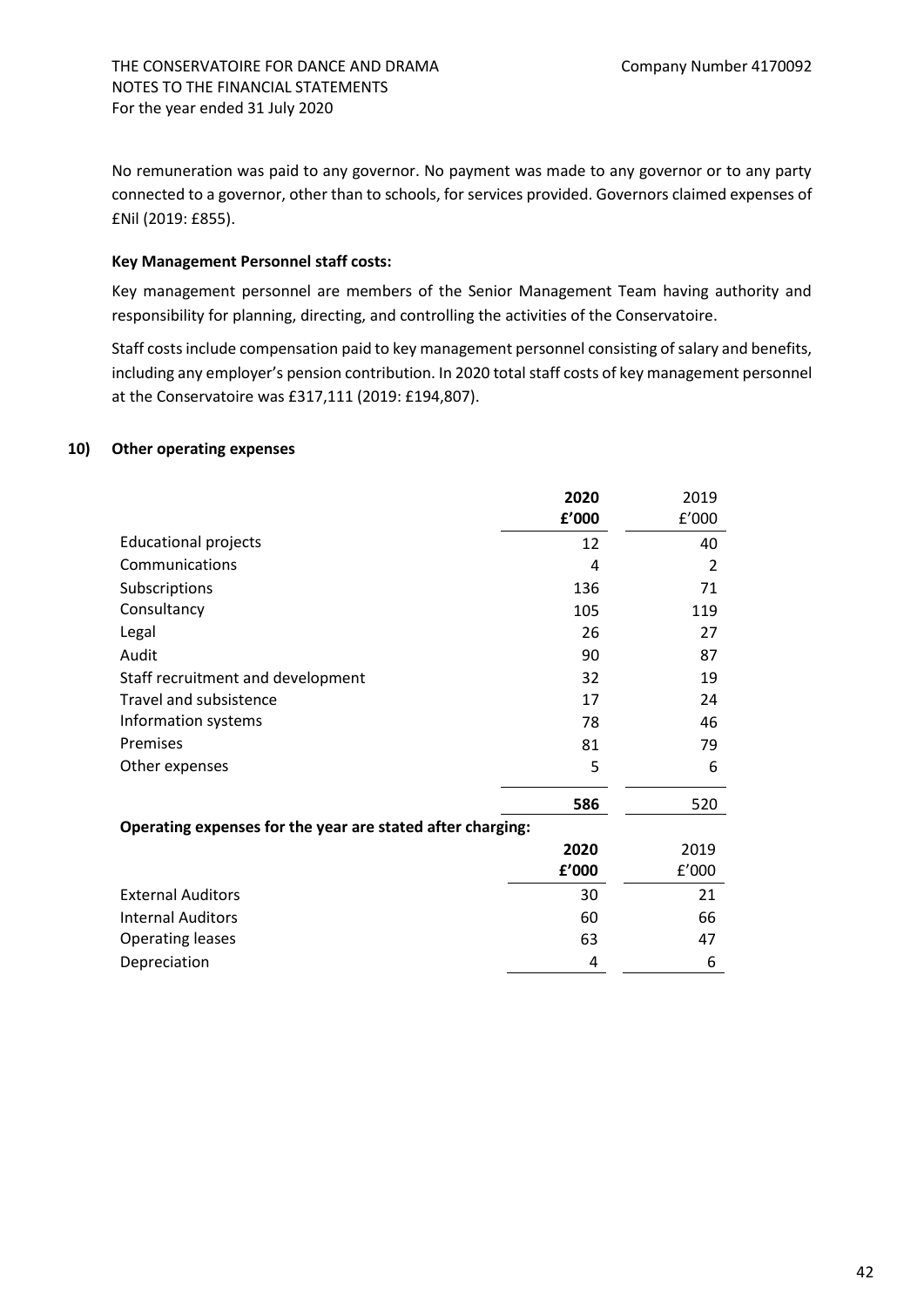No remuneration was paid to any governor. No payment was made to any governor or to any party connected to a governor, other than to schools, for services provided. Governors claimed expenses of £Nil (2019: £855).

#### **Key Management Personnel staff costs:**

Key management personnel are members of the Senior Management Team having authority and responsibility for planning, directing, and controlling the activities of the Conservatoire.

Staff costs include compensation paid to key management personnel consisting of salary and benefits, including any employer's pension contribution. In 2020 total staff costs of key management personnel at the Conservatoire was £317,111 (2019: £194,807).

# **10) Other operating expenses**

|                                                            | 2020  | 2019  |
|------------------------------------------------------------|-------|-------|
|                                                            | f'000 | f'000 |
| <b>Educational projects</b>                                | 12    | 40    |
| Communications                                             | 4     | 2     |
| Subscriptions                                              | 136   | 71    |
| Consultancy                                                | 105   | 119   |
| Legal                                                      | 26    | 27    |
| Audit                                                      | 90    | 87    |
| Staff recruitment and development                          | 32    | 19    |
| <b>Travel and subsistence</b>                              | 17    | 24    |
| Information systems                                        | 78    | 46    |
| Premises                                                   | 81    | 79    |
| Other expenses                                             | 5     | 6     |
|                                                            | 586   | 520   |
| Operating expenses for the year are stated after charging: |       |       |
|                                                            | 2020  | 2019  |
|                                                            | f'000 | f'000 |
| <b>External Auditors</b>                                   | 30    | 21    |
| <b>Internal Auditors</b>                                   | 60    | 66    |
| <b>Operating leases</b>                                    | 63    | 47    |
| Depreciation                                               | 4     | 6     |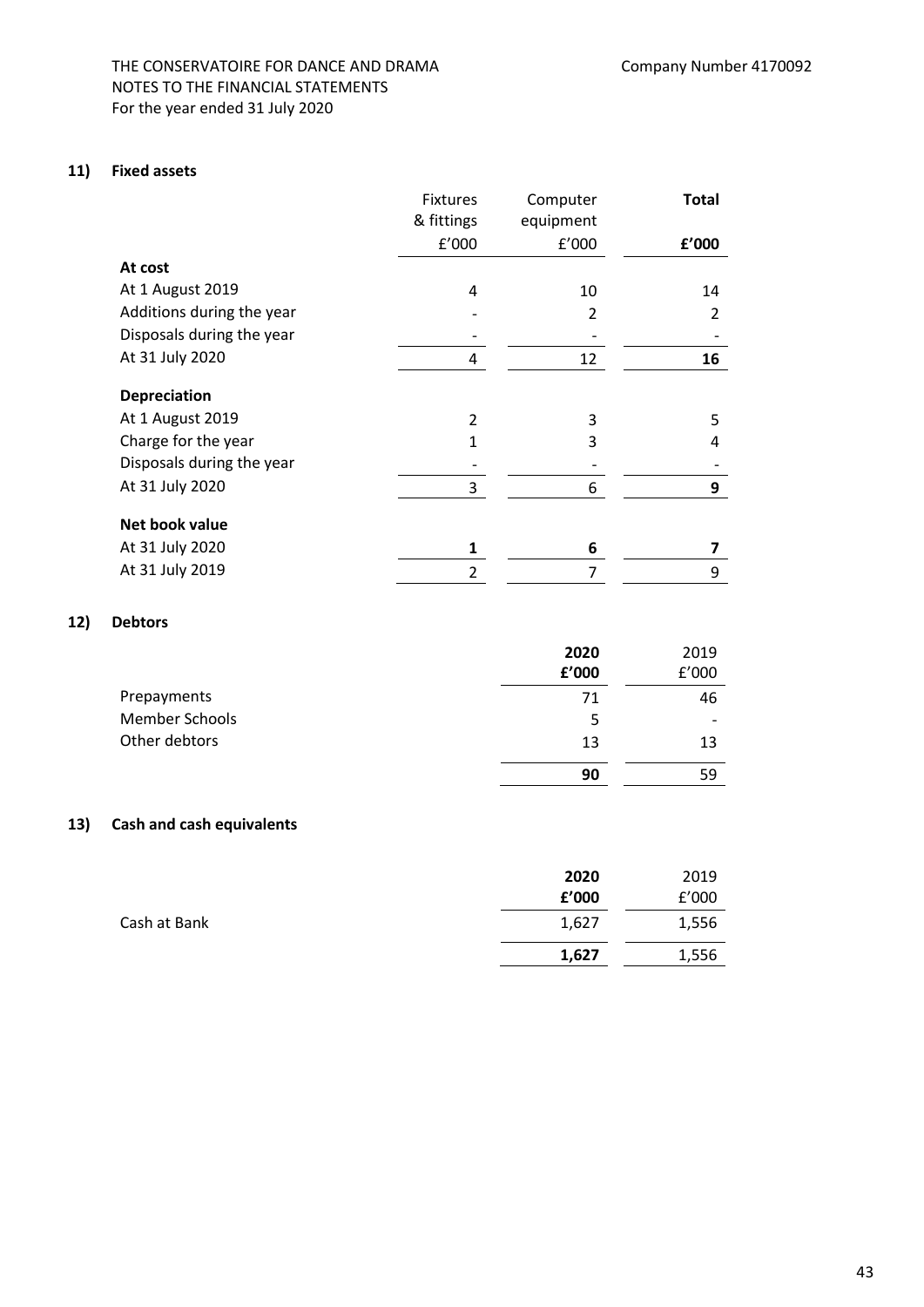# THE CONSERVATOIRE FOR DANCE AND DRAMA Company Number 4170092 NOTES TO THE FINANCIAL STATEMENTS For the year ended 31 July 2020

#### **11) Fixed assets**

|                           | <b>Fixtures</b> | Computer       | <b>Total</b> |
|---------------------------|-----------------|----------------|--------------|
|                           | & fittings      | equipment      |              |
|                           | f'000           | f'000          | f'000        |
| At cost                   |                 |                |              |
| At 1 August 2019          | 4               | 10             | 14           |
| Additions during the year |                 | $\overline{2}$ | 2            |
| Disposals during the year |                 |                |              |
| At 31 July 2020           | 4               | 12             | 16           |
| Depreciation              |                 |                |              |
| At 1 August 2019          | $\overline{2}$  | 3              | 5            |
| Charge for the year       | 1               | 3              | 4            |
| Disposals during the year |                 |                |              |
| At 31 July 2020           | 3               | 6              | 9            |
| Net book value            |                 |                |              |
| At 31 July 2020           | 1               | 6              | 7            |
| At 31 July 2019           | $\overline{2}$  | 7              | 9            |

# **12) Debtors**

|                | 2020  | 2019                     |
|----------------|-------|--------------------------|
|                | £'000 | f'000                    |
| Prepayments    | 71    | 46                       |
| Member Schools | 5     | $\overline{\phantom{0}}$ |
| Other debtors  | 13    | 13                       |
|                | 90    | 59                       |

# **13) Cash and cash equivalents**

|              | 2020  | 2019  |
|--------------|-------|-------|
|              | £'000 | f'000 |
| Cash at Bank | 1,627 | 1,556 |
|              | 1,627 | 1,556 |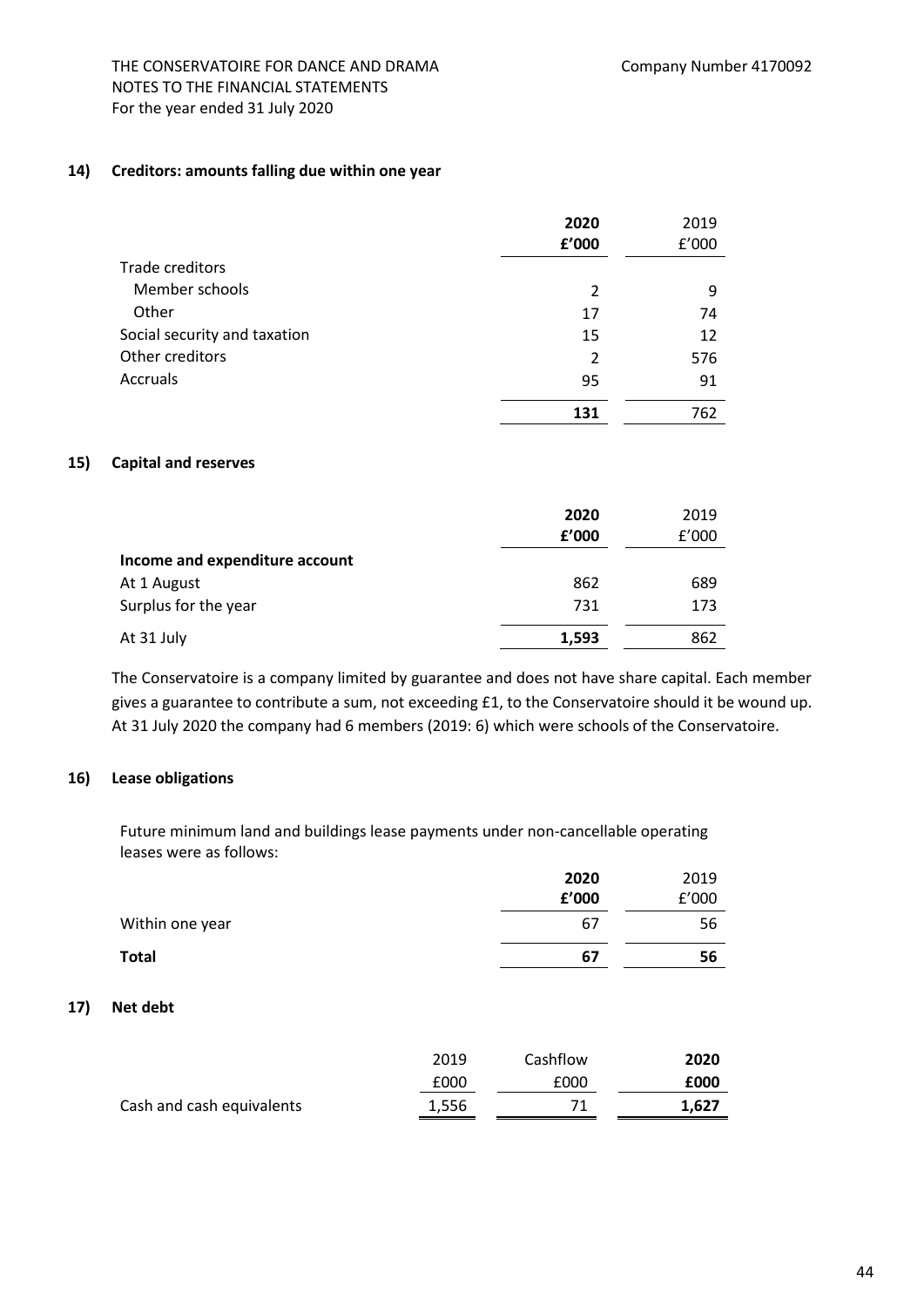#### **14) Creditors: amounts falling due within one year**

|                              | 2020<br>£'000 | 2019<br>f'000 |
|------------------------------|---------------|---------------|
| Trade creditors              |               |               |
| Member schools               | 2             | 9             |
| Other                        | 17            | 74            |
| Social security and taxation | 15            | 12            |
| Other creditors              | 2             | 576           |
| Accruals                     | 95            | 91            |
|                              | 131           | 762           |

#### **15) Capital and reserves**

|                                | 2020<br>£'000 | 2019<br>f'000 |
|--------------------------------|---------------|---------------|
| Income and expenditure account |               |               |
| At 1 August                    | 862           | 689           |
| Surplus for the year           | 731           | 173           |
| At 31 July                     | 1,593         | 862           |

The Conservatoire is a company limited by guarantee and does not have share capital. Each member gives a guarantee to contribute a sum, not exceeding £1, to the Conservatoire should it be wound up. At 31 July 2020 the company had 6 members (2019: 6) which were schools of the Conservatoire.

# **16) Lease obligations**

Future minimum land and buildings lease payments under non-cancellable operating leases were as follows:

|                 | 2020  | 2019  |
|-----------------|-------|-------|
|                 | £'000 | f'000 |
| Within one year | 67    | 56    |
| <b>Total</b>    | 67    | 56    |

#### **17) Net debt**

|                           | 2019  | Cashflow | 2020  |
|---------------------------|-------|----------|-------|
|                           | £000  | £000     | £000  |
| Cash and cash equivalents | 1,556 | 71       | 1.627 |